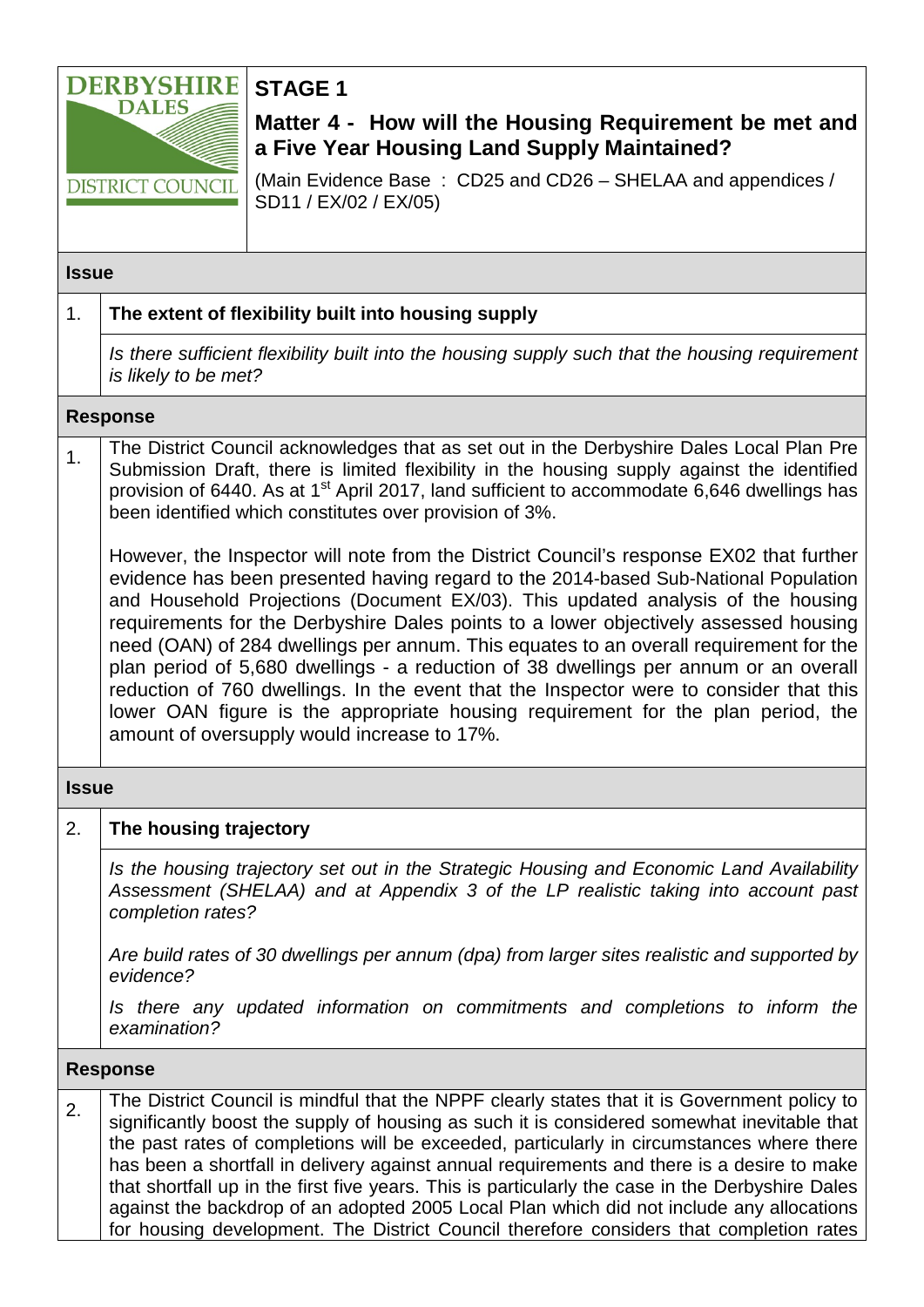

**STAGE 1**

## **Matter 4 - How will the Housing Requirement be met and a Five Year Housing Land Supply Maintained?**

(Main Evidence Base : CD25 and CD26 – SHELAA and appendices / SD11 / EX/02 / EX/05)

#### **Issue**

## 1. **The extent of flexibility built into housing supply** *Is there sufficient flexibility built into the housing supply such that the housing requirement is likely to be met?* **Response** <sub>1.</sub> The District Council acknowledges that as set out in the Derbyshire Dales Local Plan Pre Submission Draft, there is limited flexibility in the housing supply against the identified provision of 6440. As at 1<sup>st</sup> April 2017, land sufficient to accommodate 6,646 dwellings has been identified which constitutes over provision of 3%. However, the Inspector will note from the District Council's response EX02 that further evidence has been presented having regard to the 2014-based Sub-National Population and Household Projections (Document EX/03). This updated analysis of the housing

requirements for the Derbyshire Dales points to a lower objectively assessed housing need (OAN) of 284 dwellings per annum. This equates to an overall requirement for the plan period of 5,680 dwellings - a reduction of 38 dwellings per annum or an overall reduction of 760 dwellings. In the event that the Inspector were to consider that this lower OAN figure is the appropriate housing requirement for the plan period, the amount of oversupply would increase to 17%.

#### **Issue**

#### 2. **The housing trajectory**

*Is the housing trajectory set out in the Strategic Housing and Economic Land Availability Assessment (SHELAA) and at Appendix 3 of the LP realistic taking into account past completion rates?* 

*Are build rates of 30 dwellings per annum (dpa) from larger sites realistic and supported by evidence?*

*Is there any updated information on commitments and completions to inform the examination?*

#### **Response**

2. The District Council is mindful that the NPPF clearly states that it is Government policy to significantly boost the supply of housing as such it is considered somewhat inevitable that the past rates of completions will be exceeded, particularly in circumstances where there has been a shortfall in delivery against annual requirements and there is a desire to make that shortfall up in the first five years. This is particularly the case in the Derbyshire Dales against the backdrop of an adopted 2005 Local Plan which did not include any allocations for housing development. The District Council therefore considers that completion rates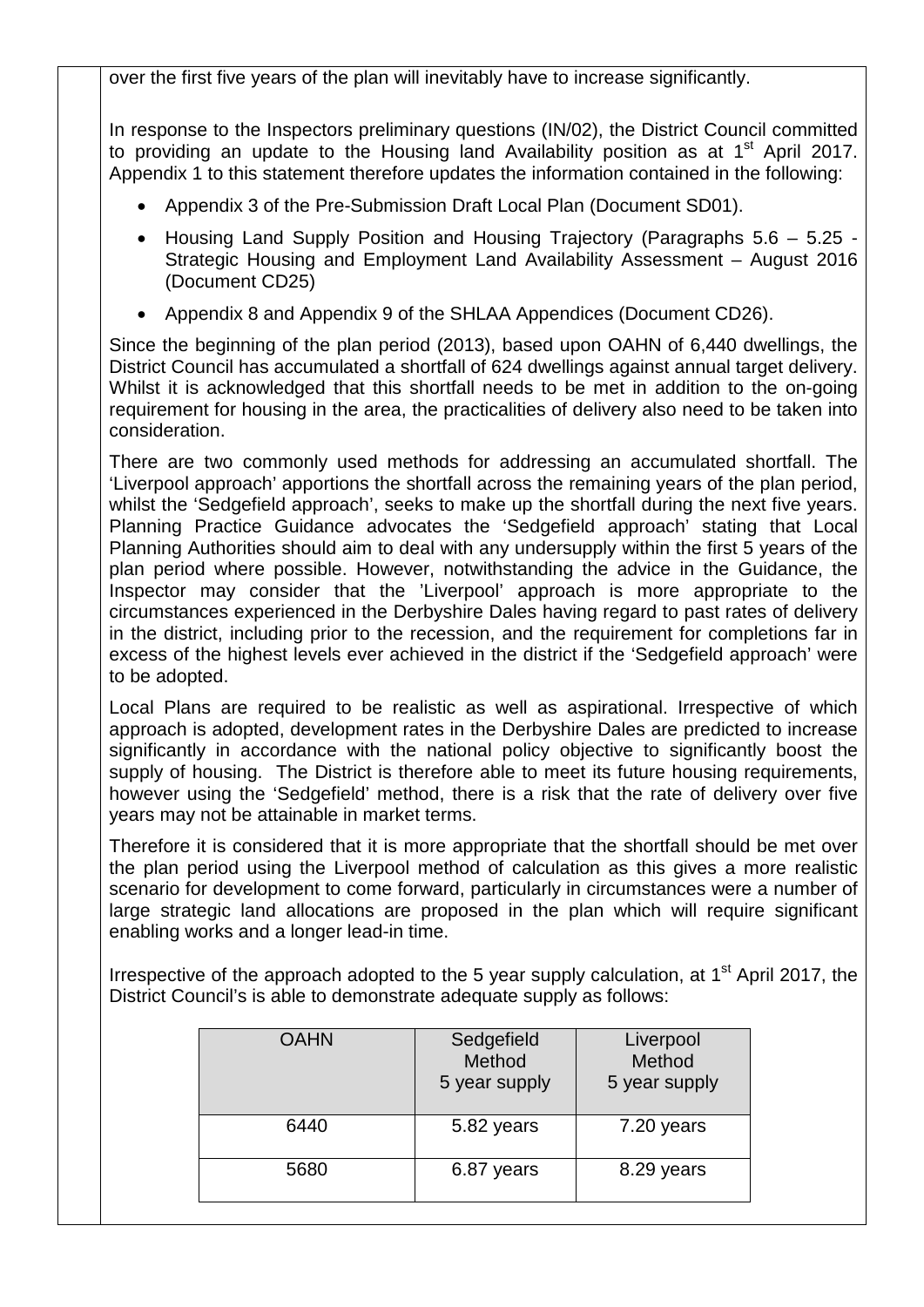over the first five years of the plan will inevitably have to increase significantly.

In response to the Inspectors preliminary questions (IN/02), the District Council committed to providing an update to the Housing land Availability position as at 1<sup>st</sup> April 2017. Appendix 1 to this statement therefore updates the information contained in the following:

- Appendix 3 of the Pre-Submission Draft Local Plan (Document SD01).
- Housing Land Supply Position and Housing Trajectory (Paragraphs 5.6 5.25 Strategic Housing and Employment Land Availability Assessment – August 2016 (Document CD25)
- Appendix 8 and Appendix 9 of the SHLAA Appendices (Document CD26).

Since the beginning of the plan period (2013), based upon OAHN of 6,440 dwellings, the District Council has accumulated a shortfall of 624 dwellings against annual target delivery. Whilst it is acknowledged that this shortfall needs to be met in addition to the on-going requirement for housing in the area, the practicalities of delivery also need to be taken into consideration.

There are two commonly used methods for addressing an accumulated shortfall. The 'Liverpool approach' apportions the shortfall across the remaining years of the plan period, whilst the 'Sedgefield approach', seeks to make up the shortfall during the next five years. Planning Practice Guidance advocates the 'Sedgefield approach' stating that Local Planning Authorities should aim to deal with any undersupply within the first 5 years of the plan period where possible. However, notwithstanding the advice in the Guidance, the Inspector may consider that the 'Liverpool' approach is more appropriate to the circumstances experienced in the Derbyshire Dales having regard to past rates of delivery in the district, including prior to the recession, and the requirement for completions far in excess of the highest levels ever achieved in the district if the 'Sedgefield approach' were to be adopted.

Local Plans are required to be realistic as well as aspirational. Irrespective of which approach is adopted, development rates in the Derbyshire Dales are predicted to increase significantly in accordance with the national policy objective to significantly boost the supply of housing. The District is therefore able to meet its future housing requirements, however using the 'Sedgefield' method, there is a risk that the rate of delivery over five years may not be attainable in market terms.

Therefore it is considered that it is more appropriate that the shortfall should be met over the plan period using the Liverpool method of calculation as this gives a more realistic scenario for development to come forward, particularly in circumstances were a number of large strategic land allocations are proposed in the plan which will require significant enabling works and a longer lead-in time.

Irrespective of the approach adopted to the 5 year supply calculation, at  $1<sup>st</sup>$  April 2017, the District Council's is able to demonstrate adequate supply as follows:

| <b>OAHN</b> | Sedgefield<br>Method<br>5 year supply | Liverpool<br>Method<br>5 year supply |  |  |  |  |
|-------------|---------------------------------------|--------------------------------------|--|--|--|--|
| 6440        | 5.82 years                            | 7.20 years                           |  |  |  |  |
| 5680        | 6.87 years                            | 8.29 years                           |  |  |  |  |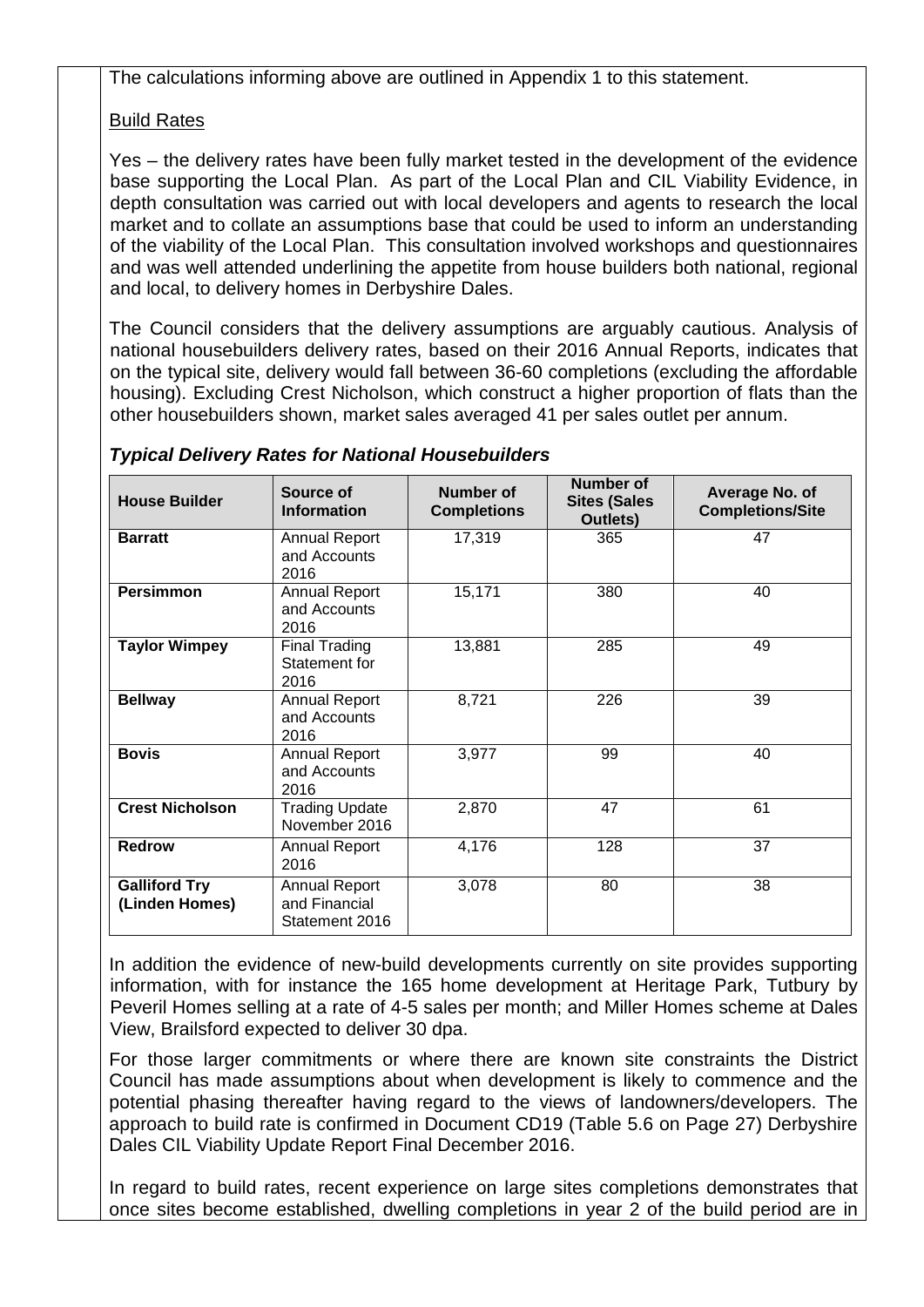The calculations informing above are outlined in Appendix 1 to this statement.

#### Build Rates

Yes – the delivery rates have been fully market tested in the development of the evidence base supporting the Local Plan. As part of the Local Plan and CIL Viability Evidence, in depth consultation was carried out with local developers and agents to research the local market and to collate an assumptions base that could be used to inform an understanding of the viability of the Local Plan. This consultation involved workshops and questionnaires and was well attended underlining the appetite from house builders both national, regional and local, to delivery homes in Derbyshire Dales.

The Council considers that the delivery assumptions are arguably cautious. Analysis of national housebuilders delivery rates, based on their 2016 Annual Reports, indicates that on the typical site, delivery would fall between 36-60 completions (excluding the affordable housing). Excluding Crest Nicholson, which construct a higher proportion of flats than the other housebuilders shown, market sales averaged 41 per sales outlet per annum.

| <b>House Builder</b>                   | Source of<br><b>Information</b>                         | Number of<br><b>Completions</b> | <b>Number of</b><br><b>Sites (Sales</b><br>Outlets) | Average No. of<br><b>Completions/Site</b> |
|----------------------------------------|---------------------------------------------------------|---------------------------------|-----------------------------------------------------|-------------------------------------------|
| <b>Barratt</b>                         | <b>Annual Report</b><br>and Accounts<br>2016            | 17,319                          | 365                                                 | 47                                        |
| <b>Persimmon</b>                       | <b>Annual Report</b><br>and Accounts<br>2016            | 15,171                          | 380                                                 | 40                                        |
| <b>Taylor Wimpey</b>                   | <b>Final Trading</b><br>Statement for<br>2016           | 13,881                          | 285                                                 | 49                                        |
| <b>Bellway</b>                         | <b>Annual Report</b><br>and Accounts<br>2016            | 8,721                           | 226                                                 | 39                                        |
| <b>Bovis</b>                           | <b>Annual Report</b><br>and Accounts<br>2016            | 3,977                           | 99                                                  | 40                                        |
| <b>Crest Nicholson</b>                 | <b>Trading Update</b><br>November 2016                  | 2,870                           | 47                                                  | 61                                        |
| <b>Redrow</b>                          | <b>Annual Report</b><br>2016                            | 4,176                           | 128                                                 | 37                                        |
| <b>Galliford Try</b><br>(Linden Homes) | <b>Annual Report</b><br>and Financial<br>Statement 2016 | 3,078                           | 80                                                  | 38                                        |

#### *Typical Delivery Rates for National Housebuilders*

In addition the evidence of new-build developments currently on site provides supporting information, with for instance the 165 home development at Heritage Park, Tutbury by Peveril Homes selling at a rate of 4-5 sales per month; and Miller Homes scheme at Dales View, Brailsford expected to deliver 30 dpa.

For those larger commitments or where there are known site constraints the District Council has made assumptions about when development is likely to commence and the potential phasing thereafter having regard to the views of landowners/developers. The approach to build rate is confirmed in Document CD19 (Table 5.6 on Page 27) Derbyshire Dales CIL Viability Update Report Final December 2016.

In regard to build rates, recent experience on large sites completions demonstrates that once sites become established, dwelling completions in year 2 of the build period are in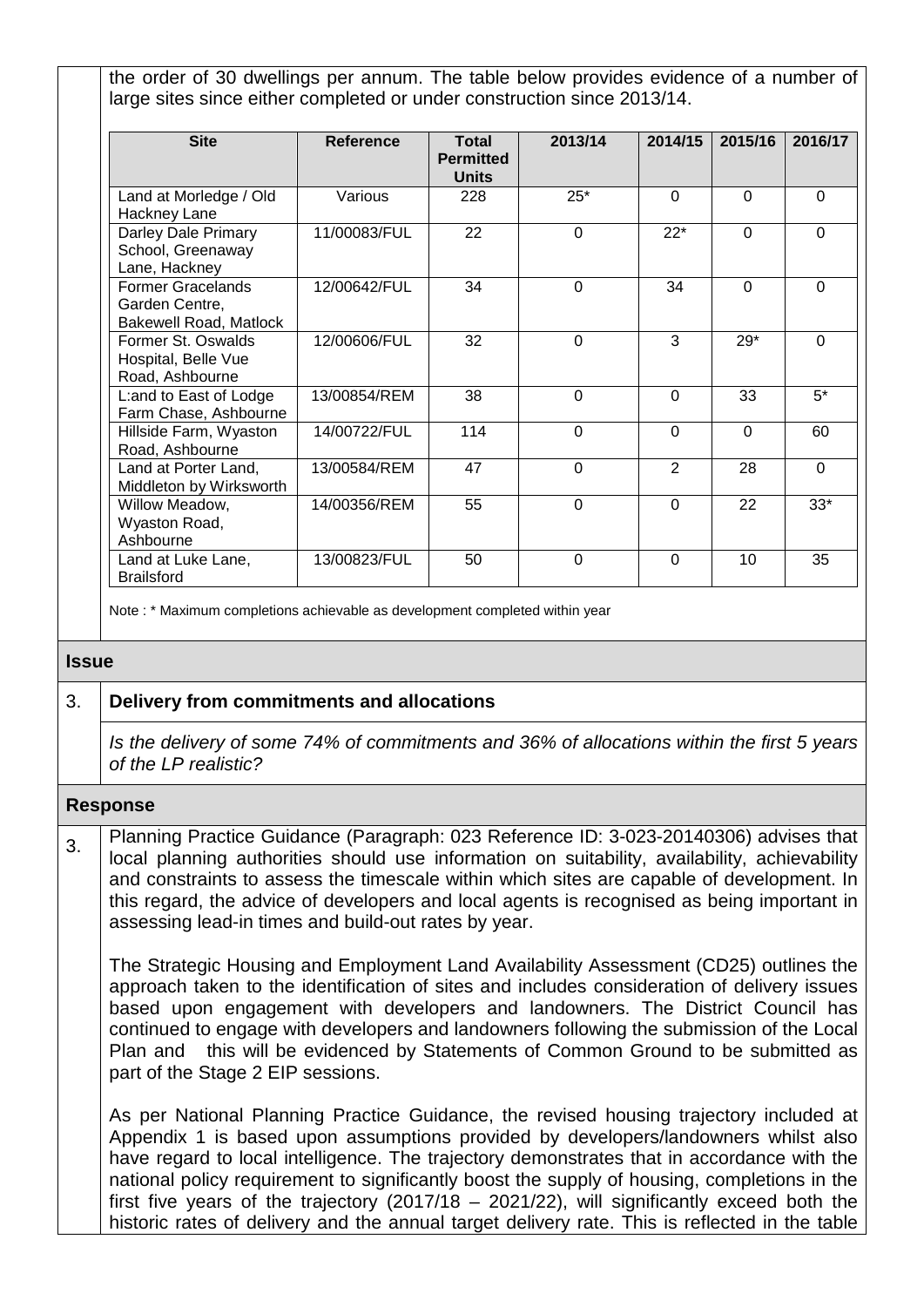the order of 30 dwellings per annum. The table below provides evidence of a number of large sites since either completed or under construction since 2013/14.

| <b>Site</b>                                                                 | <b>Reference</b> | <b>Total</b>                     | 2013/14     | 2014/15        | 2015/16        | 2016/17  |
|-----------------------------------------------------------------------------|------------------|----------------------------------|-------------|----------------|----------------|----------|
|                                                                             |                  | <b>Permitted</b><br><b>Units</b> |             |                |                |          |
| Land at Morledge / Old<br>Hackney Lane                                      | Various          | 228                              | $25*$       | $\Omega$       | $\Omega$       | $\Omega$ |
| Darley Dale Primary<br>School, Greenaway<br>Lane, Hackney                   | 11/00083/FUL     | 22                               | $\mathbf 0$ | $22*$          | $\overline{0}$ | $\Omega$ |
| <b>Former Gracelands</b><br>Garden Centre,<br><b>Bakewell Road, Matlock</b> | 12/00642/FUL     | 34                               | $\Omega$    | 34             | $\Omega$       | $\Omega$ |
| Former St. Oswalds<br>Hospital, Belle Vue<br>Road, Ashbourne                | 12/00606/FUL     | 32                               | $\Omega$    | 3              | $29*$          | $\Omega$ |
| L:and to East of Lodge<br>Farm Chase, Ashbourne                             | 13/00854/REM     | 38                               | $\Omega$    | $\Omega$       | 33             | $5^*$    |
| Hillside Farm, Wyaston<br>Road, Ashbourne                                   | 14/00722/FUL     | 114                              | $\Omega$    | $\Omega$       | $\Omega$       | 60       |
| Land at Porter Land,<br>Middleton by Wirksworth                             | 13/00584/REM     | 47                               | $\mathbf 0$ | $\overline{2}$ | 28             | $\Omega$ |
| Willow Meadow,<br>Wyaston Road,<br>Ashbourne                                | 14/00356/REM     | 55                               | $\Omega$    | $\Omega$       | 22             | $33*$    |
| Land at Luke Lane,<br><b>Brailsford</b>                                     | 13/00823/FUL     | 50                               | $\Omega$    | $\Omega$       | 10             | 35       |

Note : \* Maximum completions achievable as development completed within year

#### **Issue**

#### 3. **Delivery from commitments and allocations**

*Is the delivery of some 74% of commitments and 36% of allocations within the first 5 years of the LP realistic?*

#### **Response**

3. Planning Practice Guidance (Paragraph: 023 Reference ID: 3-023-20140306) advises that local planning authorities should use information on suitability, availability, achievability and constraints to assess the timescale within which sites are capable of development. In this regard, the advice of developers and local agents is recognised as being important in assessing lead-in times and build-out rates by year.

The Strategic Housing and Employment Land Availability Assessment (CD25) outlines the approach taken to the identification of sites and includes consideration of delivery issues based upon engagement with developers and landowners. The District Council has continued to engage with developers and landowners following the submission of the Local Plan and this will be evidenced by Statements of Common Ground to be submitted as part of the Stage 2 EIP sessions.

As per National Planning Practice Guidance, the revised housing trajectory included at Appendix 1 is based upon assumptions provided by developers/landowners whilst also have regard to local intelligence. The trajectory demonstrates that in accordance with the national policy requirement to significantly boost the supply of housing, completions in the first five years of the trajectory (2017/18 – 2021/22), will significantly exceed both the historic rates of delivery and the annual target delivery rate. This is reflected in the table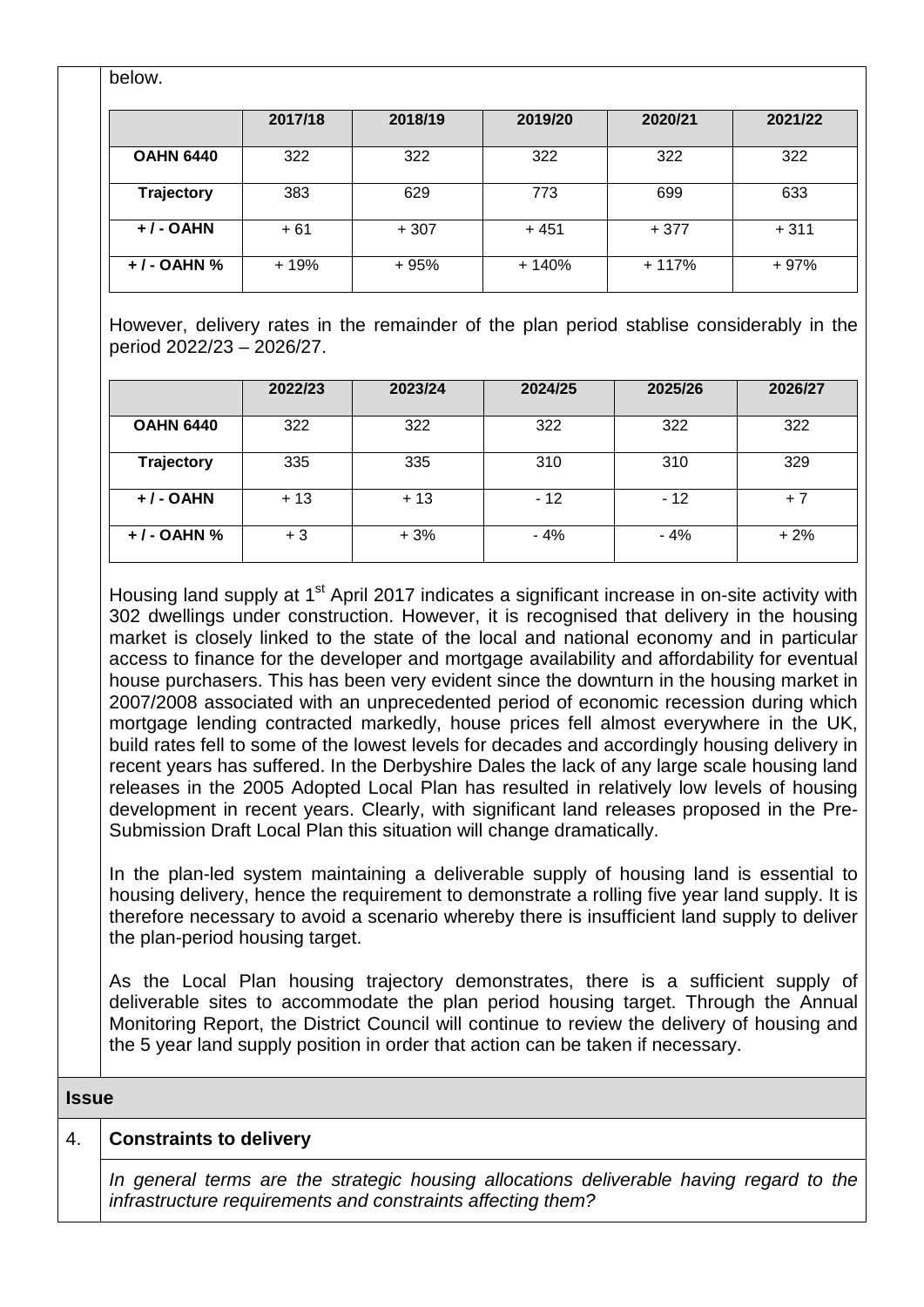| pelow.           |         |         |         |         |         |
|------------------|---------|---------|---------|---------|---------|
|                  | 2017/18 | 2018/19 | 2019/20 | 2020/21 | 2021/22 |
| <b>OAHN 6440</b> | 322     | 322     | 322     | 322     | 322     |
| Trajectory       | 383     | 629     | 773     | 699     | 633     |
| $+$ / - OAHN     | $+61$   | $+307$  | $+451$  | $+377$  | $+311$  |
| $+$ / - OAHN $%$ | + 19%   | + 95%   | + 140%  | + 117%  | + 97%   |

However, delivery rates in the remainder of the plan period stablise considerably in the period 2022/23 – 2026/27.

|                  | 2022/23 | 2023/24 | 2024/25 | 2025/26 | 2026/27 |
|------------------|---------|---------|---------|---------|---------|
| <b>OAHN 6440</b> | 322     | 322     | 322     | 322     | 322     |
| Trajectory       | 335     | 335     | 310     | 310     | 329     |
| $+$ / - OAHN     | $+13$   | $+13$   | $-12$   | $-12$   | $+7$    |
| $+$ / - OAHN %   | + 3     | $+3%$   | $-4%$   | $-4%$   | $+2%$   |

Housing land supply at 1<sup>st</sup> April 2017 indicates a significant increase in on-site activity with 302 dwellings under construction. However, it is recognised that delivery in the housing market is closely linked to the state of the local and national economy and in particular access to finance for the developer and mortgage availability and affordability for eventual house purchasers. This has been very evident since the downturn in the housing market in 2007/2008 associated with an unprecedented period of economic recession during which mortgage lending contracted markedly, house prices fell almost everywhere in the UK, build rates fell to some of the lowest levels for decades and accordingly housing delivery in recent years has suffered. In the Derbyshire Dales the lack of any large scale housing land releases in the 2005 Adopted Local Plan has resulted in relatively low levels of housing development in recent years. Clearly, with significant land releases proposed in the Pre-Submission Draft Local Plan this situation will change dramatically.

In the plan-led system maintaining a deliverable supply of housing land is essential to housing delivery, hence the requirement to demonstrate a rolling five year land supply. It is therefore necessary to avoid a scenario whereby there is insufficient land supply to deliver the plan-period housing target.

As the Local Plan housing trajectory demonstrates, there is a sufficient supply of deliverable sites to accommodate the plan period housing target. Through the Annual Monitoring Report, the District Council will continue to review the delivery of housing and the 5 year land supply position in order that action can be taken if necessary.

**Issue**

below.

#### 4. **Constraints to delivery**

*In general terms are the strategic housing allocations deliverable having regard to the infrastructure requirements and constraints affecting them?*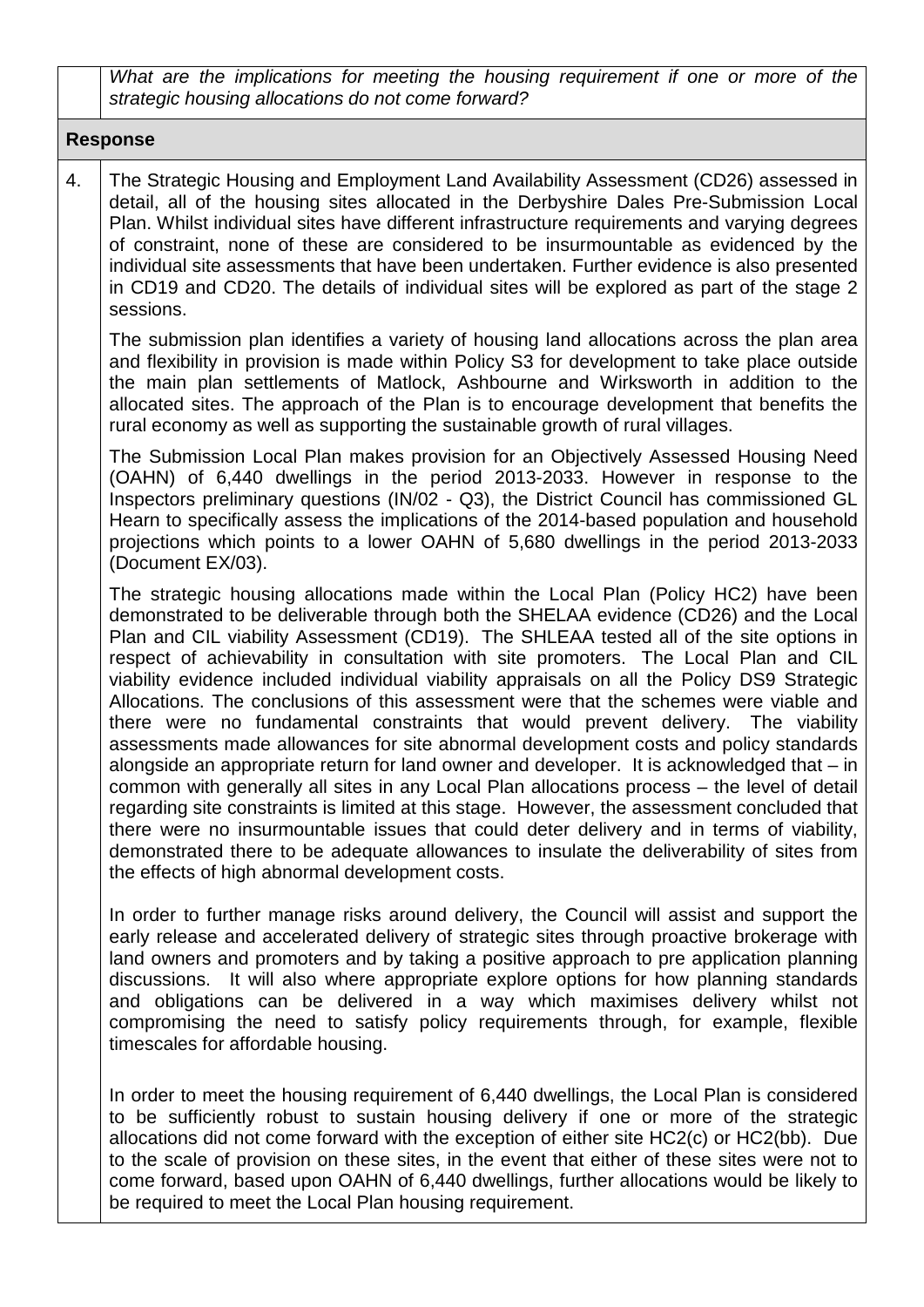*What are the implications for meeting the housing requirement if one or more of the strategic housing allocations do not come forward?*

#### **Response**

4. The Strategic Housing and Employment Land Availability Assessment (CD26) assessed in detail, all of the housing sites allocated in the Derbyshire Dales Pre-Submission Local Plan. Whilst individual sites have different infrastructure requirements and varying degrees of constraint, none of these are considered to be insurmountable as evidenced by the individual site assessments that have been undertaken. Further evidence is also presented in CD19 and CD20. The details of individual sites will be explored as part of the stage 2 sessions.

The submission plan identifies a variety of housing land allocations across the plan area and flexibility in provision is made within Policy S3 for development to take place outside the main plan settlements of Matlock, Ashbourne and Wirksworth in addition to the allocated sites. The approach of the Plan is to encourage development that benefits the rural economy as well as supporting the sustainable growth of rural villages.

The Submission Local Plan makes provision for an Objectively Assessed Housing Need (OAHN) of 6,440 dwellings in the period 2013-2033. However in response to the Inspectors preliminary questions (IN/02 - Q3), the District Council has commissioned GL Hearn to specifically assess the implications of the 2014-based population and household projections which points to a lower OAHN of 5,680 dwellings in the period 2013-2033 (Document EX/03).

The strategic housing allocations made within the Local Plan (Policy HC2) have been demonstrated to be deliverable through both the SHELAA evidence (CD26) and the Local Plan and CIL viability Assessment (CD19). The SHLEAA tested all of the site options in respect of achievability in consultation with site promoters. The Local Plan and CIL viability evidence included individual viability appraisals on all the Policy DS9 Strategic Allocations. The conclusions of this assessment were that the schemes were viable and there were no fundamental constraints that would prevent delivery. The viability assessments made allowances for site abnormal development costs and policy standards alongside an appropriate return for land owner and developer. It is acknowledged that – in common with generally all sites in any Local Plan allocations process – the level of detail regarding site constraints is limited at this stage. However, the assessment concluded that there were no insurmountable issues that could deter delivery and in terms of viability, demonstrated there to be adequate allowances to insulate the deliverability of sites from the effects of high abnormal development costs.

In order to further manage risks around delivery, the Council will assist and support the early release and accelerated delivery of strategic sites through proactive brokerage with land owners and promoters and by taking a positive approach to pre application planning discussions. It will also where appropriate explore options for how planning standards and obligations can be delivered in a way which maximises delivery whilst not compromising the need to satisfy policy requirements through, for example, flexible timescales for affordable housing.

In order to meet the housing requirement of 6,440 dwellings, the Local Plan is considered to be sufficiently robust to sustain housing delivery if one or more of the strategic allocations did not come forward with the exception of either site HC2(c) or HC2(bb). Due to the scale of provision on these sites, in the event that either of these sites were not to come forward, based upon OAHN of 6,440 dwellings, further allocations would be likely to be required to meet the Local Plan housing requirement.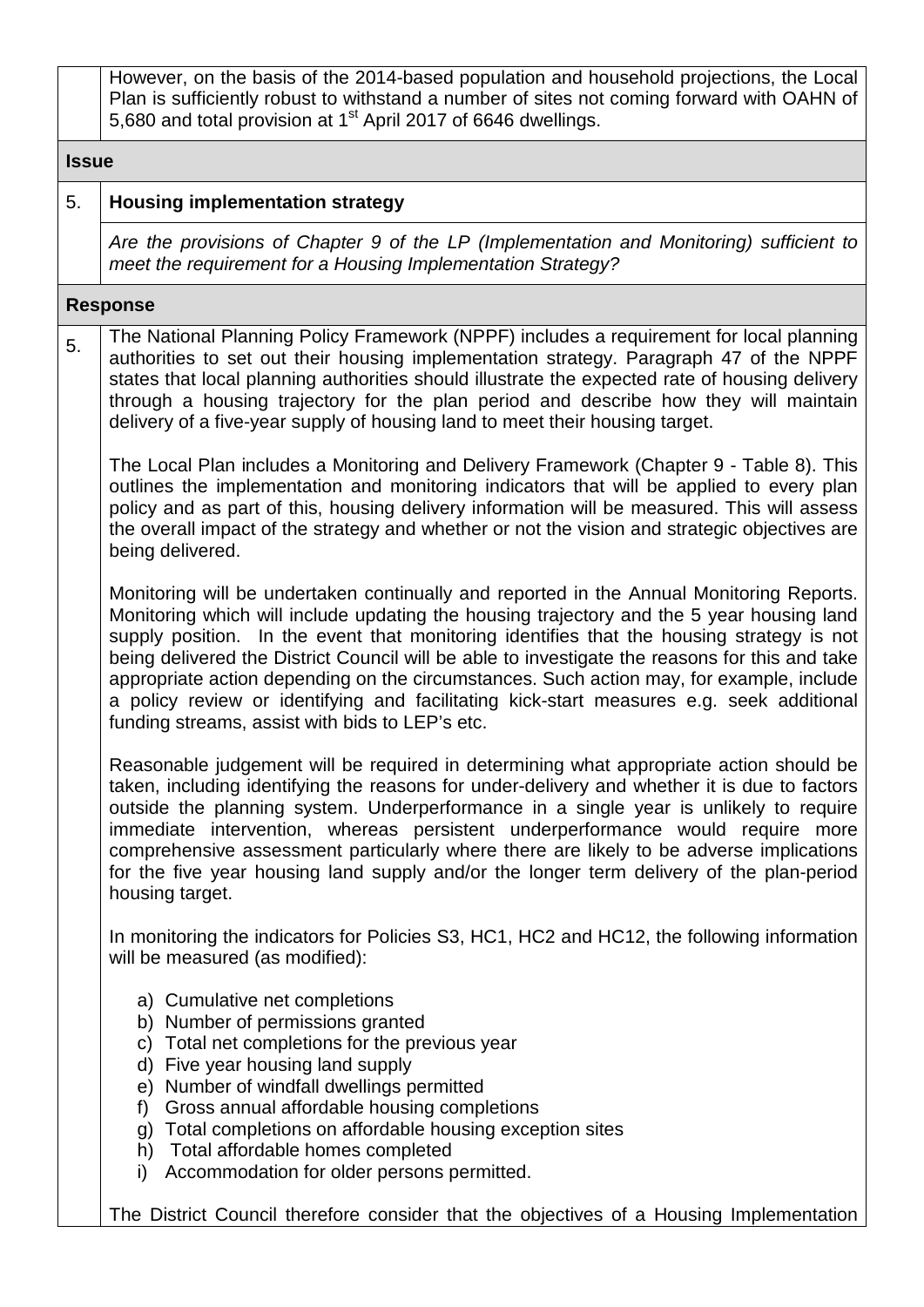However, on the basis of the 2014-based population and household projections, the Local Plan is sufficiently robust to withstand a number of sites not coming forward with OAHN of 5,680 and total provision at 1<sup>st</sup> April 2017 of 6646 dwellings.

#### **Issue**

#### 5. **Housing implementation strategy**

*Are the provisions of Chapter 9 of the LP (Implementation and Monitoring) sufficient to meet the requirement for a Housing Implementation Strategy?*

#### **Response**

5. The National Planning Policy Framework (NPPF) includes a requirement for local planning authorities to set out their housing implementation strategy. Paragraph 47 of the NPPF states that local planning authorities should illustrate the expected rate of housing delivery through a housing trajectory for the plan period and describe how they will maintain delivery of a five-year supply of housing land to meet their housing target.

The Local Plan includes a Monitoring and Delivery Framework (Chapter 9 - Table 8). This outlines the implementation and monitoring indicators that will be applied to every plan policy and as part of this, housing delivery information will be measured. This will assess the overall impact of the strategy and whether or not the vision and strategic objectives are being delivered.

Monitoring will be undertaken continually and reported in the Annual Monitoring Reports. Monitoring which will include updating the housing trajectory and the 5 year housing land supply position. In the event that monitoring identifies that the housing strategy is not being delivered the District Council will be able to investigate the reasons for this and take appropriate action depending on the circumstances. Such action may, for example, include a policy review or identifying and facilitating kick-start measures e.g. seek additional funding streams, assist with bids to LEP's etc.

Reasonable judgement will be required in determining what appropriate action should be taken, including identifying the reasons for under-delivery and whether it is due to factors outside the planning system. Underperformance in a single year is unlikely to require immediate intervention, whereas persistent underperformance would require more comprehensive assessment particularly where there are likely to be adverse implications for the five year housing land supply and/or the longer term delivery of the plan-period housing target.

In monitoring the indicators for Policies S3, HC1, HC2 and HC12, the following information will be measured (as modified):

- a) Cumulative net completions
- b) Number of permissions granted
- c) Total net completions for the previous year
- d) Five year housing land supply
- e) Number of windfall dwellings permitted
- f) Gross annual affordable housing completions
- g) Total completions on affordable housing exception sites
- h) Total affordable homes completed
- i) Accommodation for older persons permitted.

The District Council therefore consider that the objectives of a Housing Implementation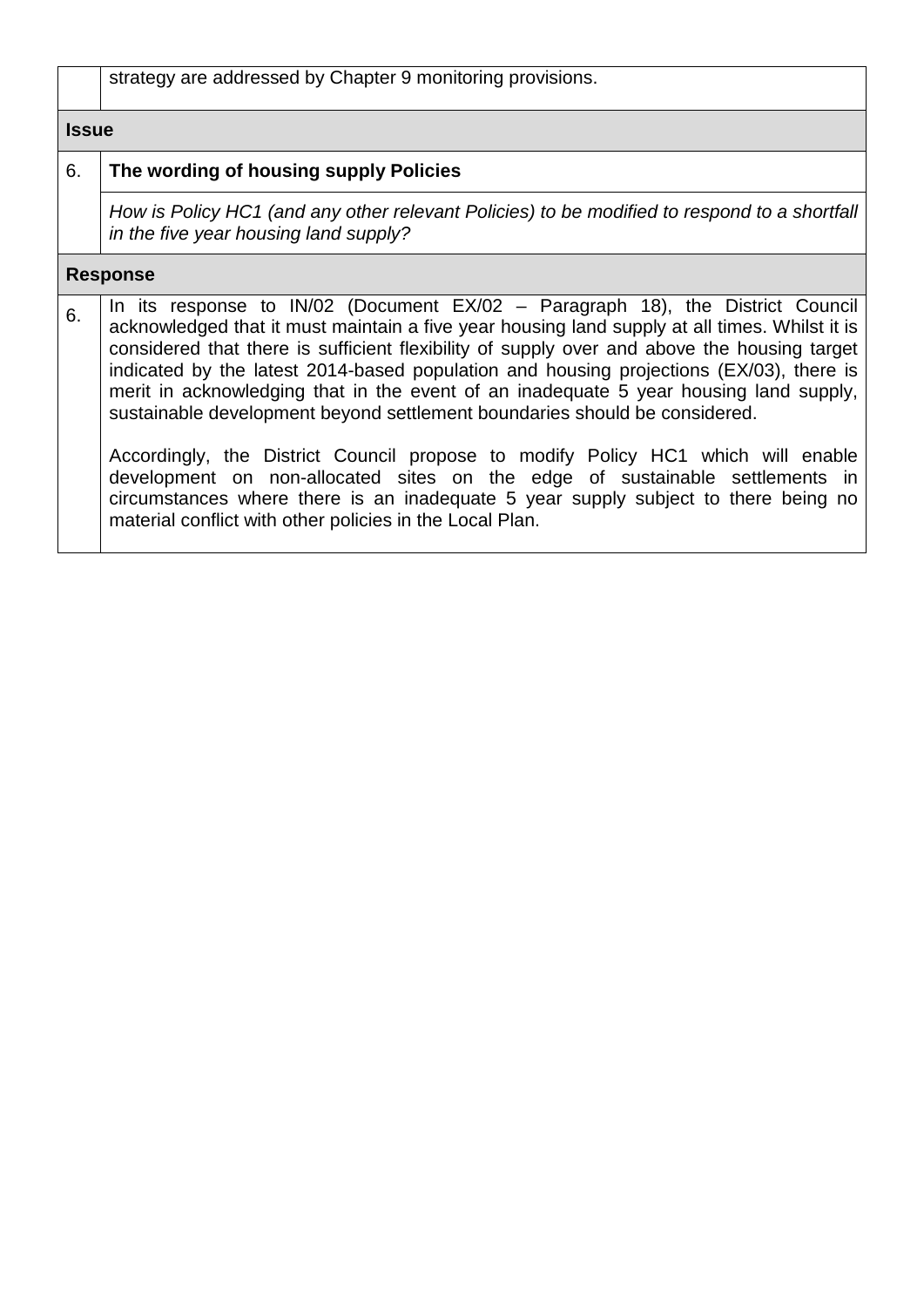| strategy are addressed by Chapter 9 monitoring provisions. |  |  |  |
|------------------------------------------------------------|--|--|--|
|------------------------------------------------------------|--|--|--|

#### **Issue**

## 6. **The wording of housing supply Policies**

*How is Policy HC1 (and any other relevant Policies) to be modified to respond to a shortfall in the five year housing land supply?*

|    | <b>Response</b>                                                                                                                                                                                                                                                                                                                                                                                                                                                                                                                                      |
|----|------------------------------------------------------------------------------------------------------------------------------------------------------------------------------------------------------------------------------------------------------------------------------------------------------------------------------------------------------------------------------------------------------------------------------------------------------------------------------------------------------------------------------------------------------|
| 6. | In its response to $IN/02$ (Document $EX/02$ – Paragraph 18), the District Council<br>acknowledged that it must maintain a five year housing land supply at all times. Whilst it is<br>considered that there is sufficient flexibility of supply over and above the housing target<br>indicated by the latest 2014-based population and housing projections (EX/03), there is<br>merit in acknowledging that in the event of an inadequate 5 year housing land supply,<br>sustainable development beyond settlement boundaries should be considered. |
|    | Accordingly, the District Council propose to modify Policy HC1 which will enable<br>development on non-allocated sites on the edge of sustainable settlements in<br>circumstances where there is an inadequate 5 year supply subject to there being no<br>material conflict with other policies in the Local Plan.                                                                                                                                                                                                                                   |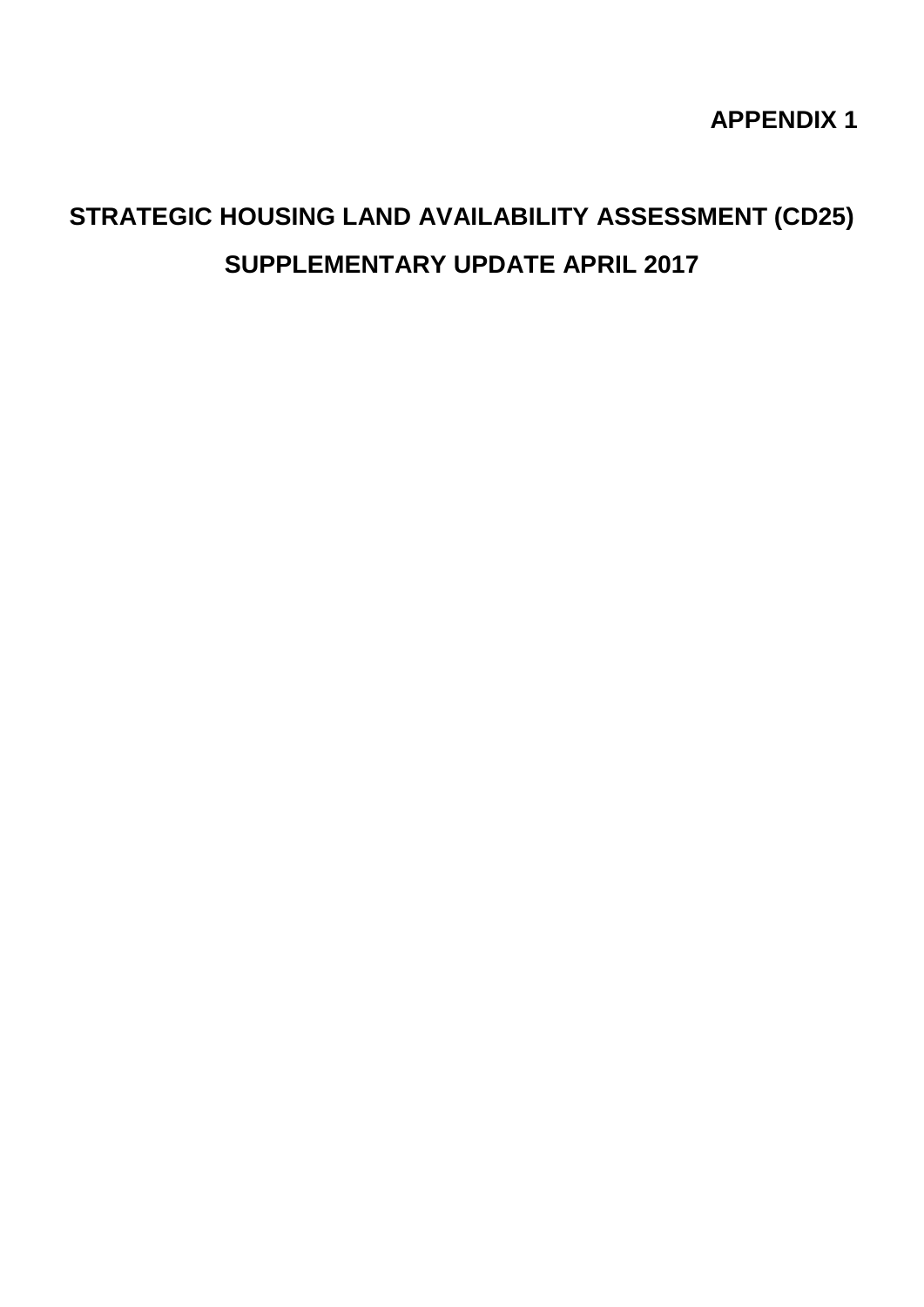**APPENDIX 1** 

## **STRATEGIC HOUSING LAND AVAILABILITY ASSESSMENT (CD25) SUPPLEMENTARY UPDATE APRIL 2017**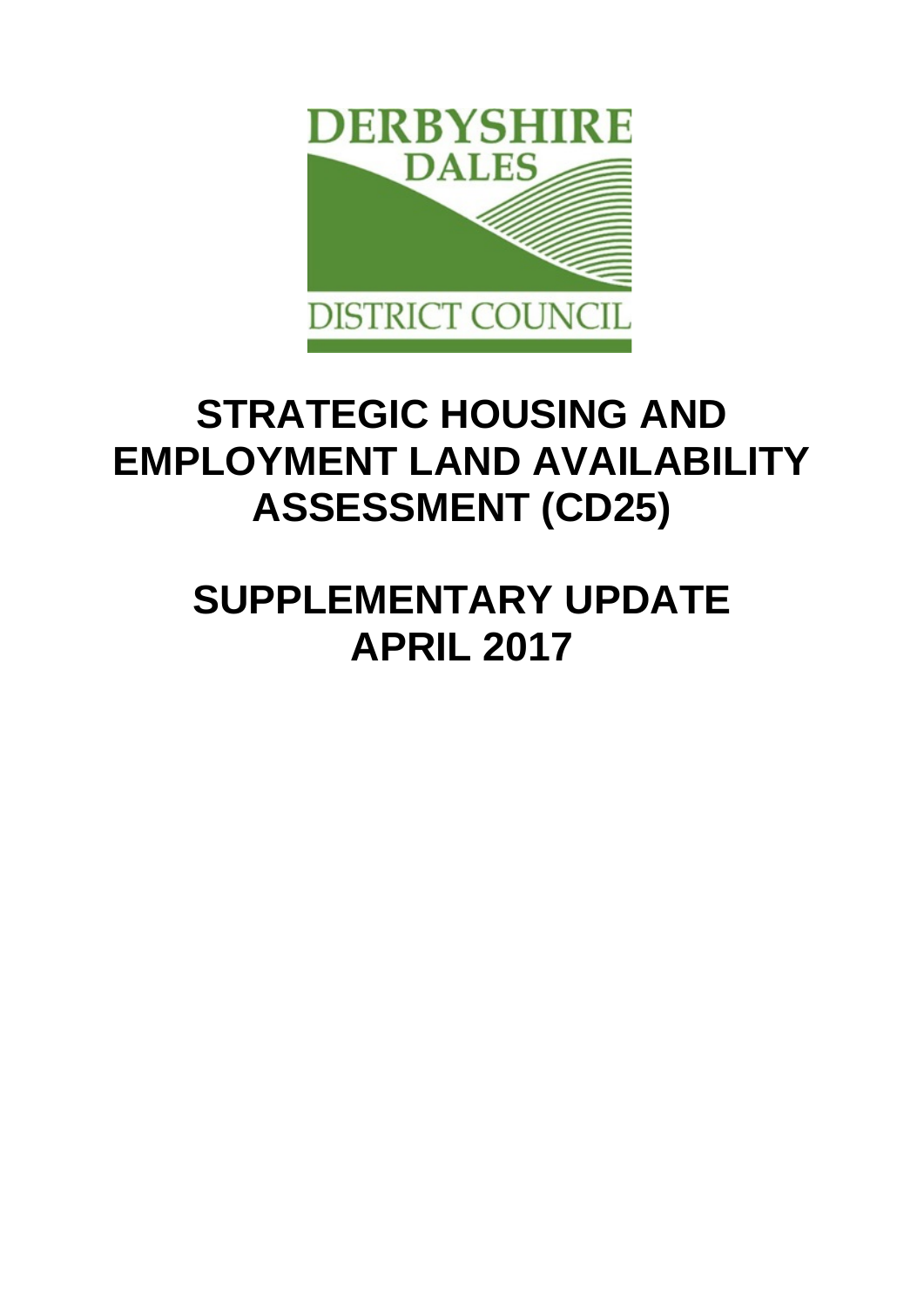

# **STRATEGIC HOUSING AND EMPLOYMENT LAND AVAILABILITY ASSESSMENT (CD25)**

# **SUPPLEMENTARY UPDATE APRIL 2017**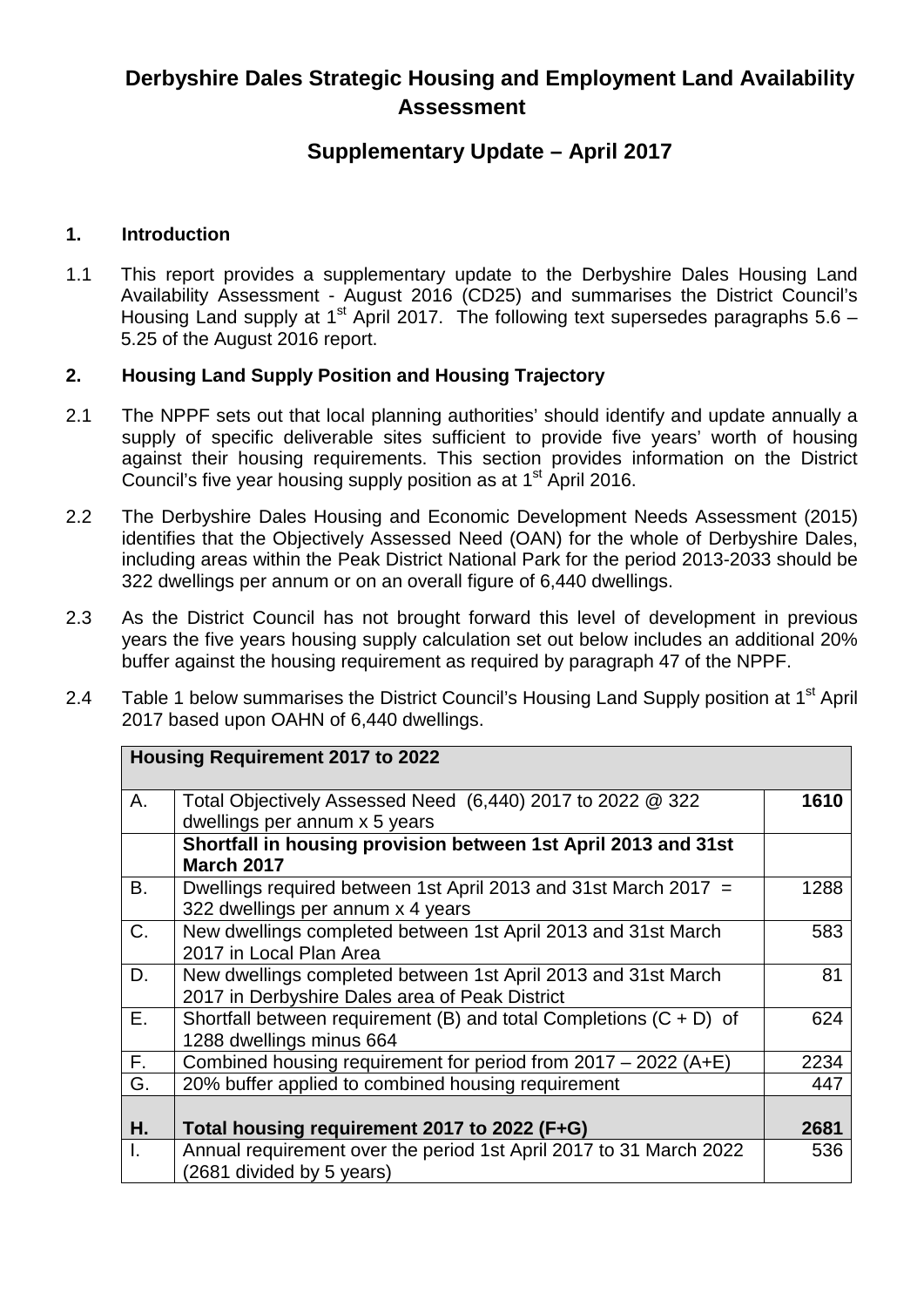### **Derbyshire Dales Strategic Housing and Employment Land Availability Assessment**

#### **Supplementary Update – April 2017**

#### **1. Introduction**

1.1 This report provides a supplementary update to the Derbyshire Dales Housing Land Availability Assessment - August 2016 (CD25) and summarises the District Council's Housing Land supply at 1<sup>st</sup> April 2017. The following text supersedes paragraphs  $5.6 -$ 5.25 of the August 2016 report.

#### **2. Housing Land Supply Position and Housing Trajectory**

- 2.1 The NPPF sets out that local planning authorities' should identify and update annually a supply of specific deliverable sites sufficient to provide five years' worth of housing against their housing requirements. This section provides information on the District Council's five year housing supply position as at 1<sup>st</sup> April 2016.
- 2.2 The Derbyshire Dales Housing and Economic Development Needs Assessment (2015) identifies that the Objectively Assessed Need (OAN) for the whole of Derbyshire Dales, including areas within the Peak District National Park for the period 2013-2033 should be 322 dwellings per annum or on an overall figure of 6,440 dwellings.
- 2.3 As the District Council has not brought forward this level of development in previous years the five years housing supply calculation set out below includes an additional 20% buffer against the housing requirement as required by paragraph 47 of the NPPF.
- 2.4 Table 1 below summarises the District Council's Housing Land Supply position at 1<sup>st</sup> April 2017 based upon OAHN of 6,440 dwellings.

|    | <b>Housing Requirement 2017 to 2022</b>                              |      |
|----|----------------------------------------------------------------------|------|
| Α. | Total Objectively Assessed Need (6,440) 2017 to 2022 @ 322           | 1610 |
|    | dwellings per annum x 5 years                                        |      |
|    | Shortfall in housing provision between 1st April 2013 and 31st       |      |
|    | <b>March 2017</b>                                                    |      |
| В. | Dwellings required between 1st April 2013 and 31st March 2017 =      | 1288 |
|    | 322 dwellings per annum x 4 years                                    |      |
| C. | New dwellings completed between 1st April 2013 and 31st March        | 583  |
|    | 2017 in Local Plan Area                                              |      |
| D. | New dwellings completed between 1st April 2013 and 31st March        | 81   |
|    | 2017 in Derbyshire Dales area of Peak District                       |      |
| Ε. | Shortfall between requirement (B) and total Completions $(C + D)$ of | 624  |
|    | 1288 dwellings minus 664                                             |      |
| F. | Combined housing requirement for period from $2017 - 2022$ (A+E)     | 2234 |
| G. | 20% buffer applied to combined housing requirement                   | 447  |
|    |                                                                      |      |
| Η. | Total housing requirement 2017 to 2022 (F+G)                         | 2681 |
| I. | Annual requirement over the period 1st April 2017 to 31 March 2022   | 536  |
|    | (2681 divided by 5 years)                                            |      |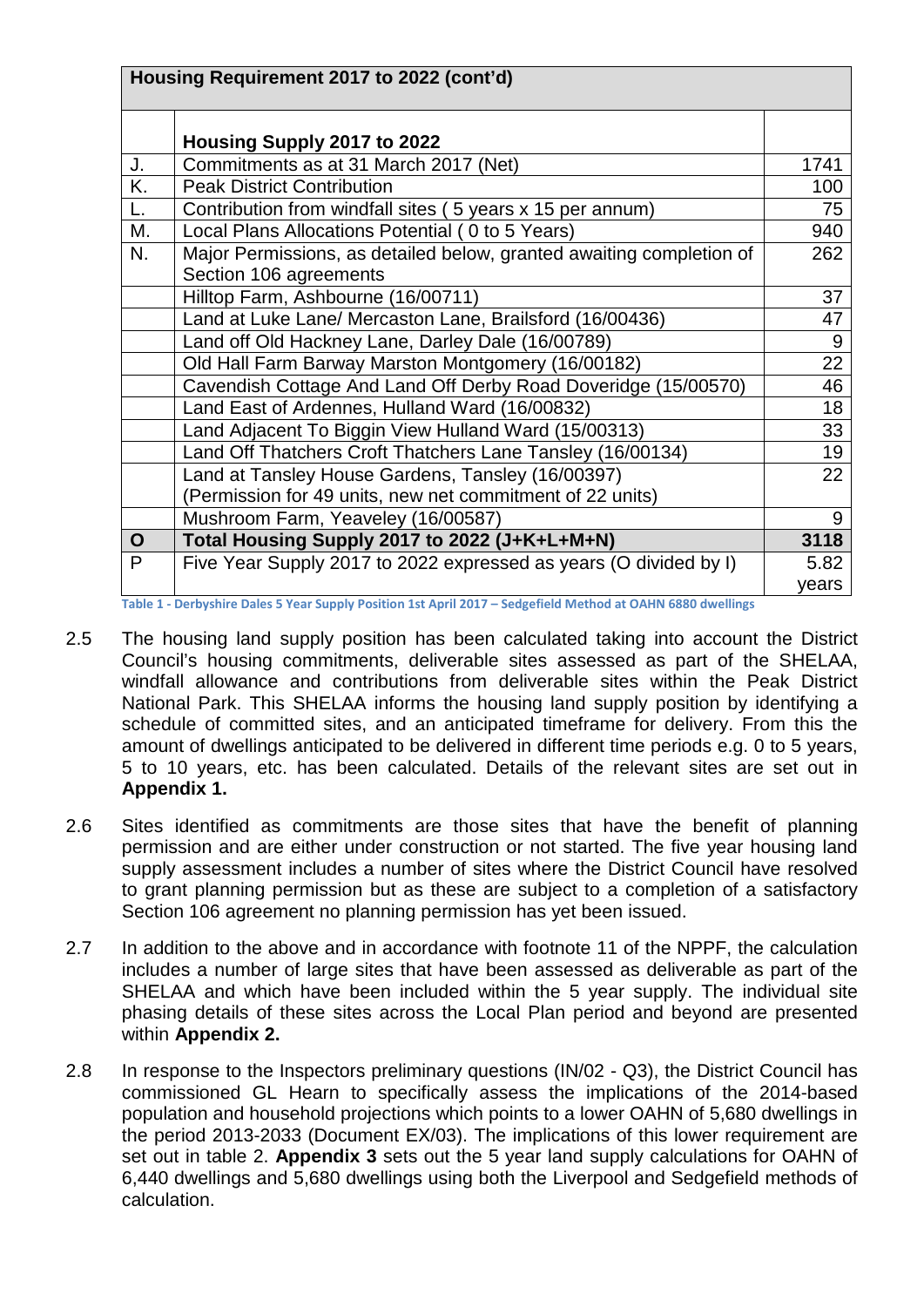|             | Housing Requirement 2017 to 2022 (cont'd)                                                                      |       |
|-------------|----------------------------------------------------------------------------------------------------------------|-------|
|             | Housing Supply 2017 to 2022                                                                                    |       |
| J.          | Commitments as at 31 March 2017 (Net)                                                                          | 1741  |
| K.          | <b>Peak District Contribution</b>                                                                              | 100   |
|             | Contribution from windfall sites (5 years x 15 per annum)                                                      | 75    |
| М.          | Local Plans Allocations Potential (0 to 5 Years)                                                               | 940   |
| N.          | Major Permissions, as detailed below, granted awaiting completion of<br>Section 106 agreements                 | 262   |
|             | Hilltop Farm, Ashbourne (16/00711)                                                                             | 37    |
|             | Land at Luke Lane/ Mercaston Lane, Brailsford (16/00436)                                                       | 47    |
|             | Land off Old Hackney Lane, Darley Dale (16/00789)                                                              | 9     |
|             | Old Hall Farm Barway Marston Montgomery (16/00182)                                                             | 22    |
|             | Cavendish Cottage And Land Off Derby Road Doveridge (15/00570)                                                 | 46    |
|             | Land East of Ardennes, Hulland Ward (16/00832)                                                                 | 18    |
|             | Land Adjacent To Biggin View Hulland Ward (15/00313)                                                           | 33    |
|             | Land Off Thatchers Croft Thatchers Lane Tansley (16/00134)                                                     | 19    |
|             | Land at Tansley House Gardens, Tansley (16/00397)                                                              | 22    |
|             | (Permission for 49 units, new net commitment of 22 units)                                                      |       |
|             | Mushroom Farm, Yeaveley (16/00587)                                                                             | 9     |
| $\mathbf O$ | Total Housing Supply 2017 to 2022 (J+K+L+M+N)                                                                  | 3118  |
| P           | Five Year Supply 2017 to 2022 expressed as years (O divided by I)                                              | 5.82  |
|             | Table 4 - Daubrickius Dalas F. Vagu Crushi, Davitisu 4st Anuil 2047 - Cadasfield Mathael at OAUM COOO drugilis | years |

**Table 1 - Derbyshire Dales 5 Year Supply Position 1st April 2017 – Sedgefield Method at OAHN 6880 dwellings**

- 2.5 The housing land supply position has been calculated taking into account the District Council's housing commitments, deliverable sites assessed as part of the SHELAA, windfall allowance and contributions from deliverable sites within the Peak District National Park. This SHELAA informs the housing land supply position by identifying a schedule of committed sites, and an anticipated timeframe for delivery. From this the amount of dwellings anticipated to be delivered in different time periods e.g. 0 to 5 years, 5 to 10 years, etc. has been calculated. Details of the relevant sites are set out in **Appendix 1.**
- 2.6 Sites identified as commitments are those sites that have the benefit of planning permission and are either under construction or not started. The five year housing land supply assessment includes a number of sites where the District Council have resolved to grant planning permission but as these are subject to a completion of a satisfactory Section 106 agreement no planning permission has yet been issued.
- 2.7 In addition to the above and in accordance with footnote 11 of the NPPF, the calculation includes a number of large sites that have been assessed as deliverable as part of the SHELAA and which have been included within the 5 year supply. The individual site phasing details of these sites across the Local Plan period and beyond are presented within **Appendix 2.**
- 2.8 In response to the Inspectors preliminary questions (IN/02 Q3), the District Council has commissioned GL Hearn to specifically assess the implications of the 2014-based population and household projections which points to a lower OAHN of 5,680 dwellings in the period 2013-2033 (Document EX/03). The implications of this lower requirement are set out in table 2. **Appendix 3** sets out the 5 year land supply calculations for OAHN of 6,440 dwellings and 5,680 dwellings using both the Liverpool and Sedgefield methods of calculation.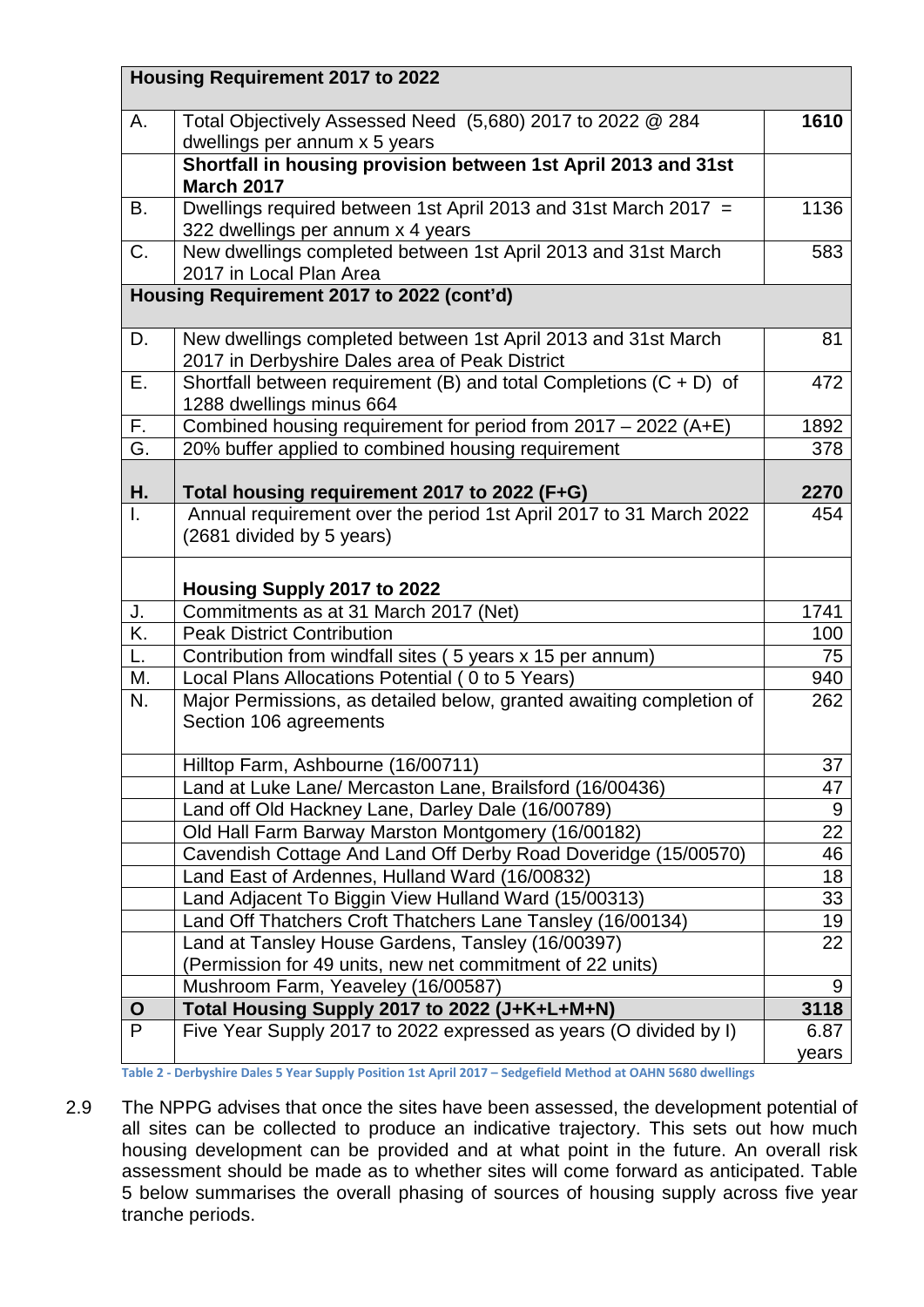|              | Housing Requirement 2017 to 2022                                                                                |               |
|--------------|-----------------------------------------------------------------------------------------------------------------|---------------|
| А.           | Total Objectively Assessed Need (5,680) 2017 to 2022 @ 284<br>dwellings per annum x 5 years                     | 1610          |
|              | Shortfall in housing provision between 1st April 2013 and 31st<br><b>March 2017</b>                             |               |
| В.           | Dwellings required between 1st April 2013 and 31st March 2017 =<br>322 dwellings per annum x 4 years            | 1136          |
| C.           | New dwellings completed between 1st April 2013 and 31st March<br>2017 in Local Plan Area                        | 583           |
|              | Housing Requirement 2017 to 2022 (cont'd)                                                                       |               |
| D.           | New dwellings completed between 1st April 2013 and 31st March<br>2017 in Derbyshire Dales area of Peak District | 81            |
| Ε.           | Shortfall between requirement (B) and total Completions $(C + D)$ of<br>1288 dwellings minus 664                | 472           |
| F.           | Combined housing requirement for period from 2017 - 2022 (A+E)                                                  | 1892          |
| G.           | 20% buffer applied to combined housing requirement                                                              | 378           |
| Η.           | Total housing requirement 2017 to 2022 (F+G)                                                                    | 2270          |
| $\mathbf{L}$ | Annual requirement over the period 1st April 2017 to 31 March 2022<br>(2681 divided by 5 years)                 | 454           |
|              | Housing Supply 2017 to 2022                                                                                     |               |
| J.           | Commitments as at 31 March 2017 (Net)                                                                           | 1741          |
| K.           | <b>Peak District Contribution</b>                                                                               | 100           |
| L.           | Contribution from windfall sites (5 years x 15 per annum)                                                       | 75            |
| M.           | Local Plans Allocations Potential (0 to 5 Years)                                                                | 940           |
| N.           | Major Permissions, as detailed below, granted awaiting completion of<br>Section 106 agreements                  | 262           |
|              | Hilltop Farm, Ashbourne (16/00711)                                                                              | 37            |
|              | Land at Luke Lane/ Mercaston Lane, Brailsford (16/00436)                                                        | 47            |
|              | Land off Old Hackney Lane, Darley Dale (16/00789)                                                               | 9             |
|              | Old Hall Farm Barway Marston Montgomery (16/00182)                                                              | 22            |
|              | Cavendish Cottage And Land Off Derby Road Doveridge (15/00570)                                                  | 46            |
|              | Land East of Ardennes, Hulland Ward (16/00832)                                                                  | 18            |
|              | Land Adjacent To Biggin View Hulland Ward (15/00313)                                                            | 33            |
|              | Land Off Thatchers Croft Thatchers Lane Tansley (16/00134)                                                      | 19            |
|              | Land at Tansley House Gardens, Tansley (16/00397)                                                               | 22            |
|              | (Permission for 49 units, new net commitment of 22 units)                                                       |               |
|              | Mushroom Farm, Yeaveley (16/00587)                                                                              | 9             |
| $\mathbf O$  | Total Housing Supply 2017 to 2022 (J+K+L+M+N)                                                                   | 3118          |
| P            | Five Year Supply 2017 to 2022 expressed as years (O divided by I)                                               | 6.87<br>years |
|              | Table 2 - Derbyshire Dales 5 Year Supply Position 1st April 2017 - Sedgefield Method at OAHN 5680 dwellings     |               |

2.9 The NPPG advises that once the sites have been assessed, the development potential of all sites can be collected to produce an indicative trajectory. This sets out how much housing development can be provided and at what point in the future. An overall risk assessment should be made as to whether sites will come forward as anticipated. Table 5 below summarises the overall phasing of sources of housing supply across five year tranche periods.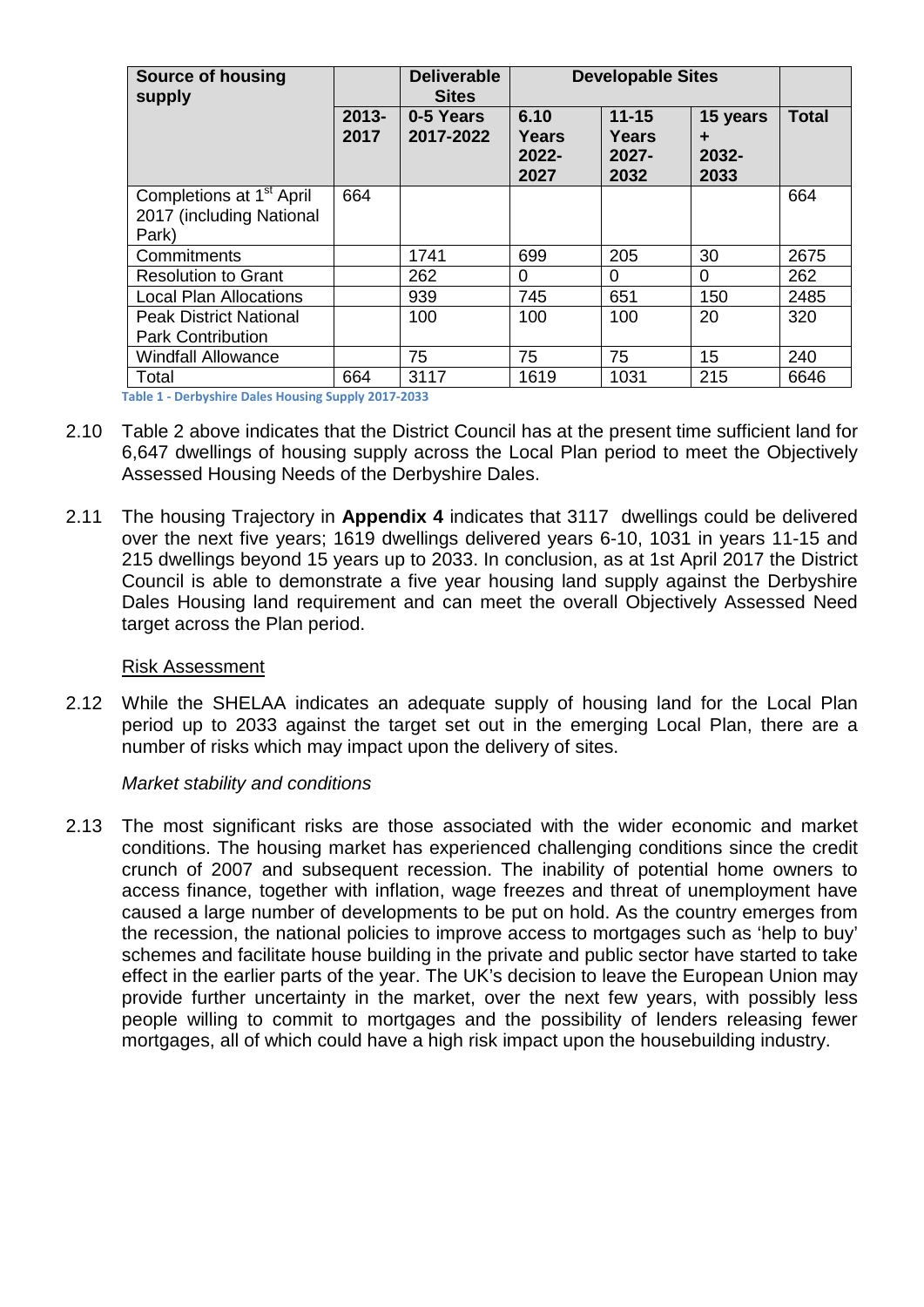| <b>Source of housing</b><br>supply                               | <b>Deliverable</b><br><b>Sites</b> |                        | <b>Developable Sites</b>       |                                        |                                |              |
|------------------------------------------------------------------|------------------------------------|------------------------|--------------------------------|----------------------------------------|--------------------------------|--------------|
|                                                                  | $2013 -$<br>2017                   | 0-5 Years<br>2017-2022 | 6.10<br>Years<br>2022-<br>2027 | $11 - 15$<br>Years<br>$2027 -$<br>2032 | 15 years<br>÷<br>2032-<br>2033 | <b>Total</b> |
| Completions at 1 <sup>st</sup> April<br>2017 (including National | 664                                |                        |                                |                                        |                                | 664          |
| Park)                                                            |                                    |                        |                                |                                        |                                |              |
| Commitments                                                      |                                    | 1741                   | 699                            | 205                                    | 30                             | 2675         |
| <b>Resolution to Grant</b>                                       |                                    | 262                    | 0                              | 0                                      | 0                              | 262          |
| <b>Local Plan Allocations</b>                                    |                                    | 939                    | 745                            | 651                                    | 150                            | 2485         |
| <b>Peak District National</b>                                    |                                    | 100                    | 100                            | 100                                    | 20                             | 320          |
| <b>Park Contribution</b>                                         |                                    |                        |                                |                                        |                                |              |
| <b>Windfall Allowance</b>                                        |                                    | 75                     | 75                             | 75                                     | 15                             | 240          |
| Total                                                            | 664                                | 3117                   | 1619                           | 1031                                   | 215                            | 6646         |

**Table 1 - Derbyshire Dales Housing Supply 2017-2033** 

- 2.10 Table 2 above indicates that the District Council has at the present time sufficient land for 6,647 dwellings of housing supply across the Local Plan period to meet the Objectively Assessed Housing Needs of the Derbyshire Dales.
- 2.11 The housing Trajectory in **Appendix 4** indicates that 3117 dwellings could be delivered over the next five years; 1619 dwellings delivered years 6-10, 1031 in years 11-15 and 215 dwellings beyond 15 years up to 2033. In conclusion, as at 1st April 2017 the District Council is able to demonstrate a five year housing land supply against the Derbyshire Dales Housing land requirement and can meet the overall Objectively Assessed Need target across the Plan period.

#### Risk Assessment

2.12 While the SHELAA indicates an adequate supply of housing land for the Local Plan period up to 2033 against the target set out in the emerging Local Plan, there are a number of risks which may impact upon the delivery of sites.

#### *Market stability and conditions*

2.13 The most significant risks are those associated with the wider economic and market conditions. The housing market has experienced challenging conditions since the credit crunch of 2007 and subsequent recession. The inability of potential home owners to access finance, together with inflation, wage freezes and threat of unemployment have caused a large number of developments to be put on hold. As the country emerges from the recession, the national policies to improve access to mortgages such as 'help to buy' schemes and facilitate house building in the private and public sector have started to take effect in the earlier parts of the year. The UK's decision to leave the European Union may provide further uncertainty in the market, over the next few years, with possibly less people willing to commit to mortgages and the possibility of lenders releasing fewer mortgages, all of which could have a high risk impact upon the housebuilding industry.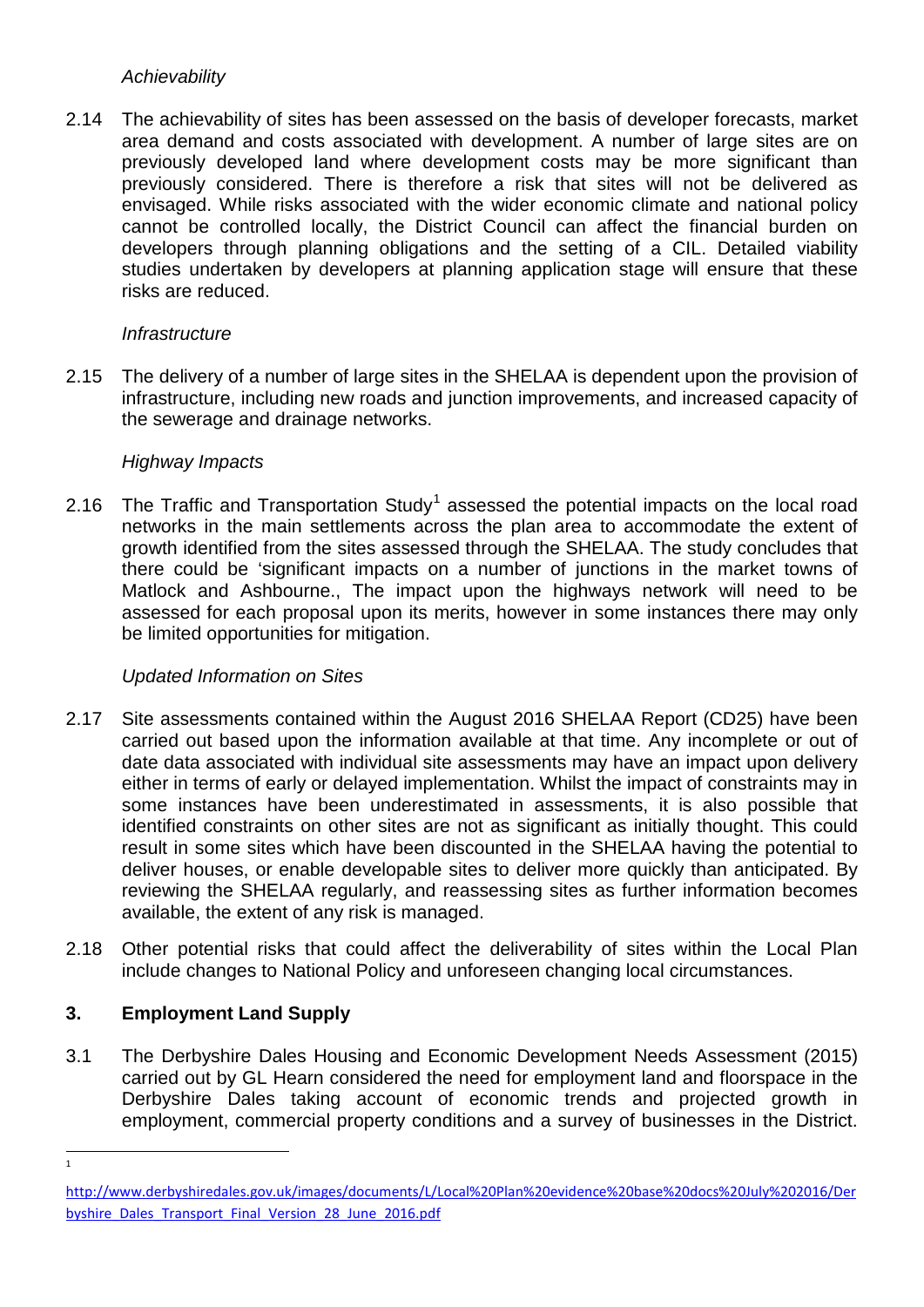#### *Achievability*

2.14 The achievability of sites has been assessed on the basis of developer forecasts, market area demand and costs associated with development. A number of large sites are on previously developed land where development costs may be more significant than previously considered. There is therefore a risk that sites will not be delivered as envisaged. While risks associated with the wider economic climate and national policy cannot be controlled locally, the District Council can affect the financial burden on developers through planning obligations and the setting of a CIL. Detailed viability studies undertaken by developers at planning application stage will ensure that these risks are reduced.

#### *Infrastructure*

2.15 The delivery of a number of large sites in the SHELAA is dependent upon the provision of infrastructure, including new roads and junction improvements, and increased capacity of the sewerage and drainage networks.

#### *Highway Impacts*

2.[1](#page-14-0)6 The Traffic and Transportation Study<sup>1</sup> assessed the potential impacts on the local road networks in the main settlements across the plan area to accommodate the extent of growth identified from the sites assessed through the SHELAA. The study concludes that there could be 'significant impacts on a number of junctions in the market towns of Matlock and Ashbourne., The impact upon the highways network will need to be assessed for each proposal upon its merits, however in some instances there may only be limited opportunities for mitigation.

#### *Updated Information on Sites*

- 2.17 Site assessments contained within the August 2016 SHELAA Report (CD25) have been carried out based upon the information available at that time. Any incomplete or out of date data associated with individual site assessments may have an impact upon delivery either in terms of early or delayed implementation. Whilst the impact of constraints may in some instances have been underestimated in assessments, it is also possible that identified constraints on other sites are not as significant as initially thought. This could result in some sites which have been discounted in the SHELAA having the potential to deliver houses, or enable developable sites to deliver more quickly than anticipated. By reviewing the SHELAA regularly, and reassessing sites as further information becomes available, the extent of any risk is managed.
- 2.18 Other potential risks that could affect the deliverability of sites within the Local Plan include changes to National Policy and unforeseen changing local circumstances.

#### **3. Employment Land Supply**

3.1 The Derbyshire Dales Housing and Economic Development Needs Assessment (2015) carried out by GL Hearn considered the need for employment land and floorspace in the Derbyshire Dales taking account of economic trends and projected growth in employment, commercial property conditions and a survey of businesses in the District.

1

<span id="page-14-0"></span>[http://www.derbyshiredales.gov.uk/images/documents/L/Local%20Plan%20evidence%20base%20docs%20July%202016/Der](http://www.derbyshiredales.gov.uk/images/documents/L/Local%20Plan%20evidence%20base%20docs%20July%202016/Derbyshire_Dales_Transport_Final_Version_28_June_2016.pdf) [byshire\\_Dales\\_Transport\\_Final\\_Version\\_28\\_June\\_2016.pdf](http://www.derbyshiredales.gov.uk/images/documents/L/Local%20Plan%20evidence%20base%20docs%20July%202016/Derbyshire_Dales_Transport_Final_Version_28_June_2016.pdf)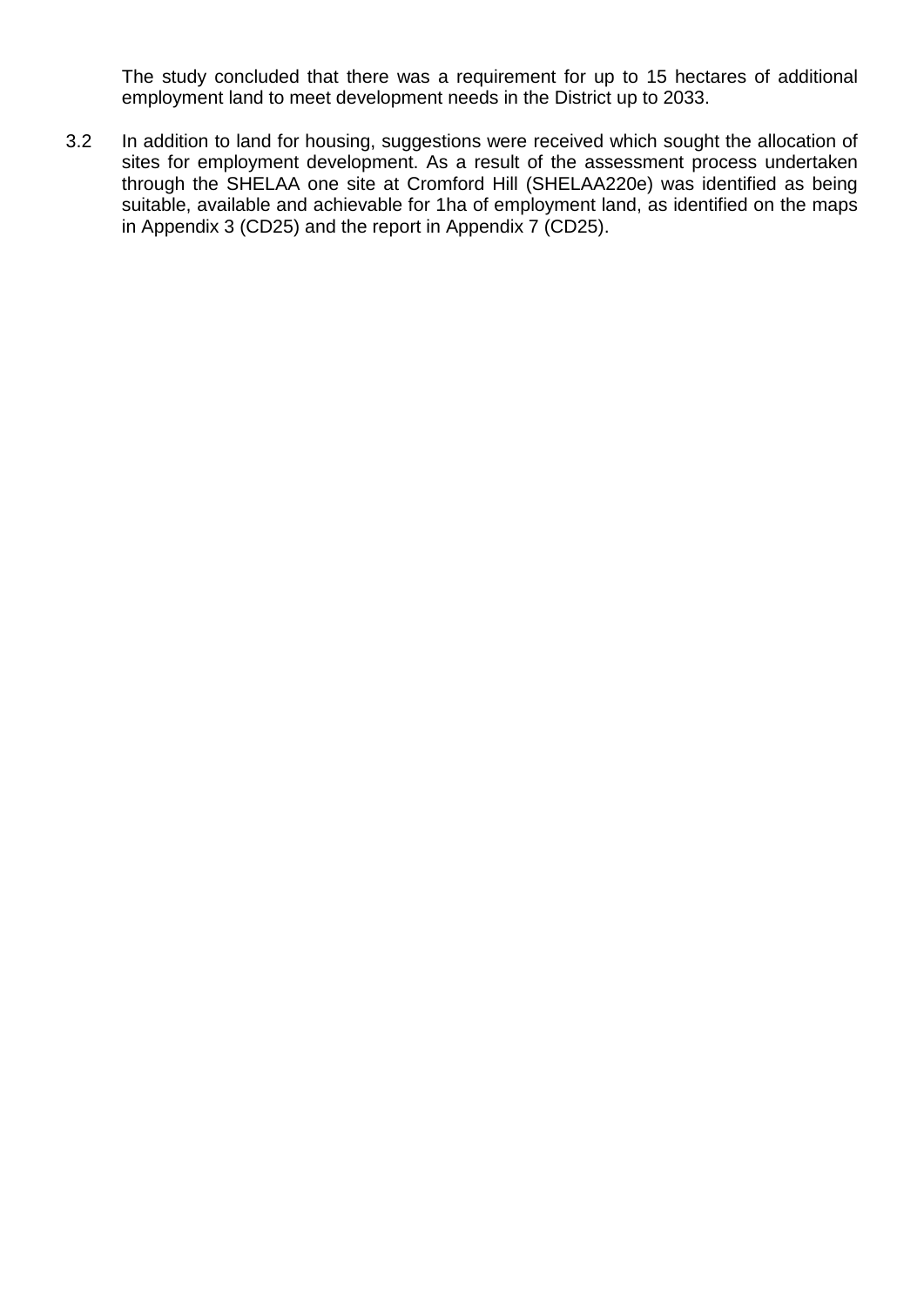The study concluded that there was a requirement for up to 15 hectares of additional employment land to meet development needs in the District up to 2033.

3.2 In addition to land for housing, suggestions were received which sought the allocation of sites for employment development. As a result of the assessment process undertaken through the SHELAA one site at Cromford Hill (SHELAA220e) was identified as being suitable, available and achievable for 1ha of employment land, as identified on the maps in Appendix 3 (CD25) and the report in Appendix 7 (CD25).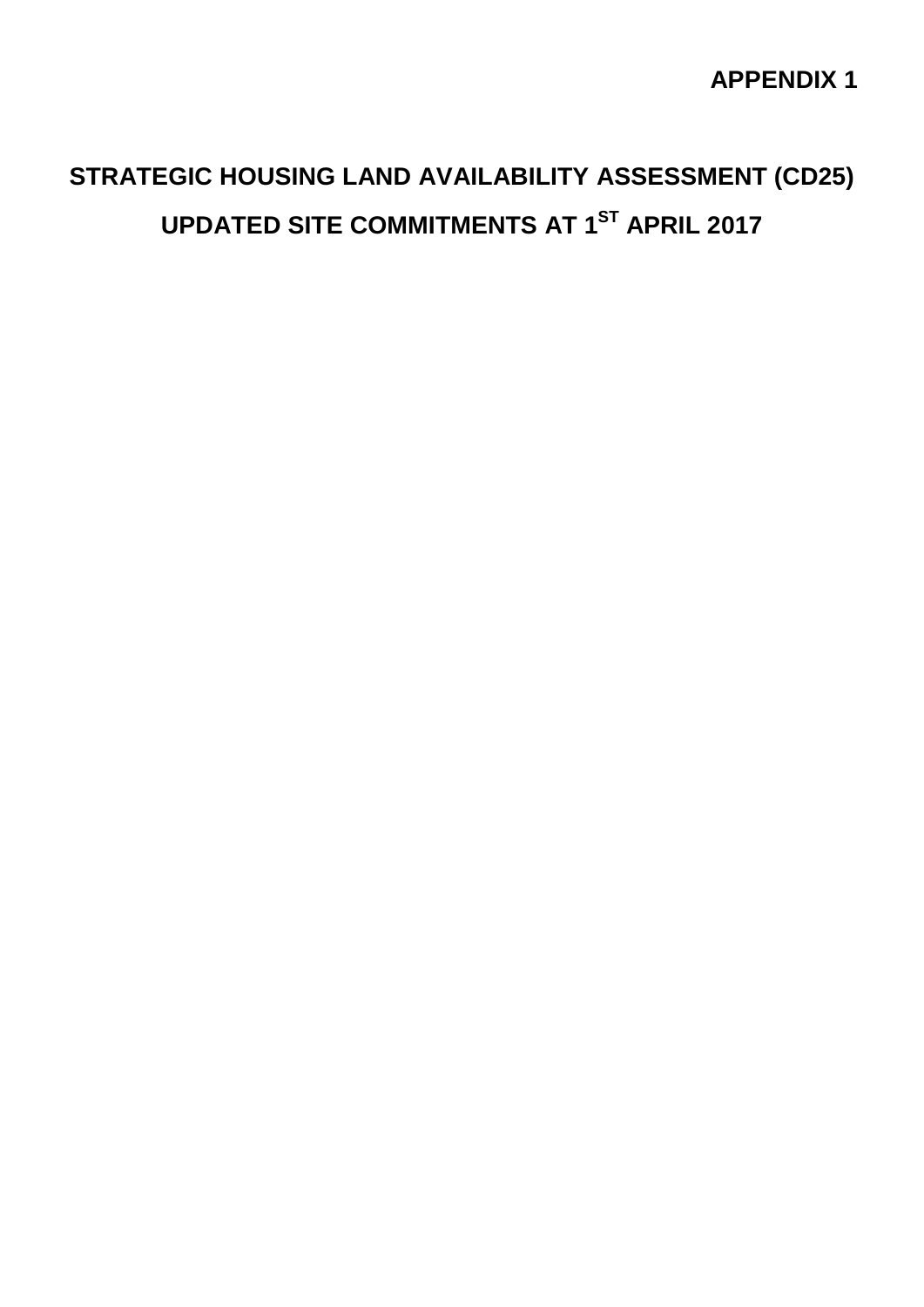## **APPENDIX 1**

## **STRATEGIC HOUSING LAND AVAILABILITY ASSESSMENT (CD25) UPDATED SITE COMMITMENTS AT 1ST APRIL 2017**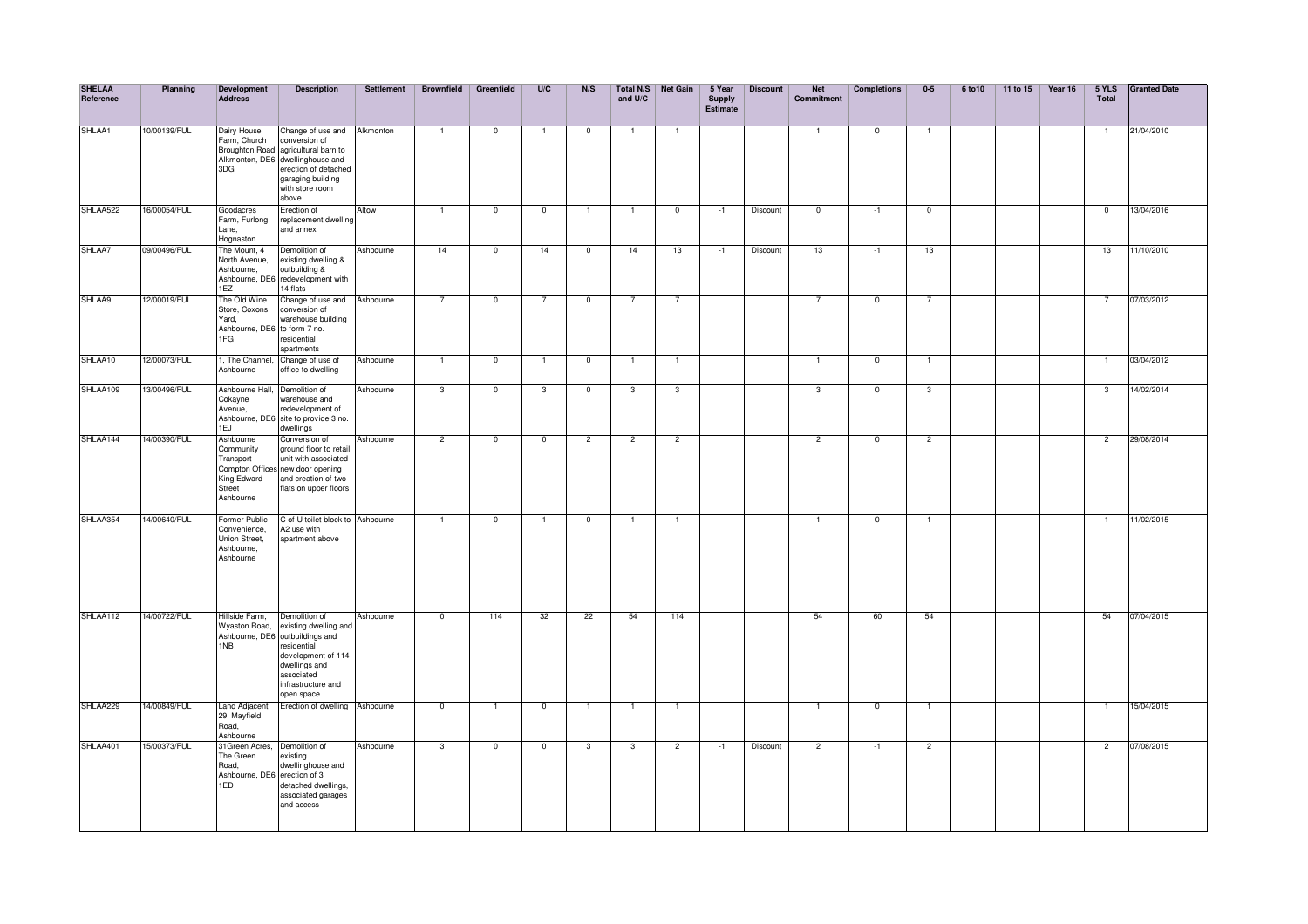| <b>SHELAA</b><br>Reference | Planning     | Development<br><b>Address</b>                                                 | <b>Description</b>                                                                                                                                                                                | Settlement | <b>Brownfield</b> | Greenfield     | U/C                      | N/S            | and U/C        | Total N/S Net Gain | 5 Year<br><b>Supply</b><br><b>Estimate</b> | <b>Discount</b> | <b>Net</b><br><b>Commitment</b> | <b>Completions</b> | $0-5$          | 6 to 10 | 11 to 15 | Year 16 | 5 YLS<br>Total | <b>Granted Date</b> |
|----------------------------|--------------|-------------------------------------------------------------------------------|---------------------------------------------------------------------------------------------------------------------------------------------------------------------------------------------------|------------|-------------------|----------------|--------------------------|----------------|----------------|--------------------|--------------------------------------------|-----------------|---------------------------------|--------------------|----------------|---------|----------|---------|----------------|---------------------|
| SHLAA1                     | 10/00139/FUL | Dairy House<br>Farm, Church<br>3DG                                            | Change of use and Alkmonton<br>conversion of<br>Broughton Road, agricultural barn to<br>Alkmonton, DE6 dwellinghouse and<br>erection of detached<br>garaging building<br>with store room<br>above |            | $\overline{1}$    | $\overline{0}$ | $\overline{1}$           | $\overline{0}$ |                | $\overline{1}$     |                                            |                 |                                 | $\Omega$           | $\overline{1}$ |         |          |         |                | 21/04/2010          |
| SHLAA522                   | 16/00054/FUL | Goodacres<br>Farm, Furlong<br>Lane,<br>Hognaston                              | Erection of<br>replacement dwelling<br>and annex                                                                                                                                                  | Altow      | $\overline{1}$    | $\overline{0}$ | $\overline{\phantom{0}}$ | $\mathbf{1}$   | $\overline{1}$ | $\overline{0}$     | $-1$                                       | Discount        | $\overline{0}$                  | $-1$               | $\overline{0}$ |         |          |         | $\overline{0}$ | 13/04/2016          |
| SHLAA7                     | 09/00496/FUL | The Mount, 4<br>North Avenue,<br>Ashbourne,<br>1EZ                            | Demolition of<br>existing dwelling &<br>outbuilding &<br>Ashbourne, DE6 redevelopment with<br>14 flats                                                                                            | Ashbourne  | 14                | $\overline{0}$ | 14                       | $\mathbf{0}$   | 14             | 13                 | $-1$                                       | Discount        | 13                              | $-1$               | 13             |         |          |         | 13             | 11/10/2010          |
| SHLAA9                     | 12/00019/FUL | The Old Wine<br>Store, Coxons<br>Yard,<br>Ashbourne, DE6 to form 7 no.<br>1FG | Change of use and<br>conversion of<br>warehouse building<br>residential<br>apartments                                                                                                             | Ashbourne  | $\overline{7}$    | $\overline{0}$ | $\overline{7}$           | $\overline{0}$ | $\overline{7}$ | $\overline{7}$     |                                            |                 | $\overline{7}$                  | $\overline{0}$     | $\overline{7}$ |         |          |         | $\overline{7}$ | 07/03/2012          |
| SHLAA10                    | 12/00073/FUL | 1, The Channel,<br>Ashbourne                                                  | Change of use of<br>office to dwelling                                                                                                                                                            | Ashbourne  | $\overline{1}$    | $\overline{0}$ | $\mathbf{1}$             | $\mathbf 0$    | $\overline{1}$ | $\overline{1}$     |                                            |                 | $\mathbf{1}$                    | $\overline{0}$     | $\mathbf{1}$   |         |          |         | $\overline{1}$ | 03/04/2012          |
| SHLAA109                   | 13/00496/FUL | Ashbourne Hall,<br>Cokayne<br>Avenue,<br>1EJ                                  | Demolition of<br>warehouse and<br>redevelopment of<br>Ashbourne, DE6 site to provide 3 no.<br>dwellings                                                                                           | Ashbourne  | $\overline{3}$    | $\overline{0}$ | $\overline{3}$           | $\overline{0}$ | $\overline{3}$ | 3                  |                                            |                 | $\mathbf{3}$                    | $\overline{0}$     | $\overline{3}$ |         |          |         | 3              | 14/02/2014          |
| SHLAA144                   | 14/00390/FUL | Ashbourne<br>Community<br>Transport<br>King Edward<br>Street<br>Ashbourne     | Conversion of<br>ground floor to retail<br>unit with associated<br>Compton Offices new door opening<br>and creation of two<br>flats on upper floors                                               | Ashbourne  | $\overline{2}$    | $^{\circ}$     | $\mathbf{0}$             | $\overline{2}$ | $\overline{2}$ | $\overline{2}$     |                                            |                 | $\overline{2}$                  | $\mathbf{0}$       | $\overline{2}$ |         |          |         | 2              | 29/08/2014          |
| SHLAA354                   | 14/00640/FUL | Former Public<br>Convenience,<br>Union Street,<br>Ashbourne,<br>Ashbourne     | C of U toilet block to Ashbourne<br>A2 use with<br>apartment above                                                                                                                                |            | $\overline{1}$    | $\mathbf 0$    | $\mathbf{1}$             | $\mathbf 0$    | $\overline{1}$ | $\overline{1}$     |                                            |                 | $\mathbf{1}$                    | $\mathbf 0$        | $\overline{1}$ |         |          |         | $\overline{1}$ | 11/02/2015          |
| SHLAA112                   | 14/00722/FUL | Hillside Farm,<br>Wyaston Road,<br>1NB                                        | Demolition of<br>existing dwelling and<br>Ashbourne, DE6 outbuildings and<br>residential<br>development of 114<br>dwellings and<br>associated<br>infrastructure and<br>open space                 | Ashbourne  | $\overline{0}$    | 114            | 32                       | 22             | 54             | 114                |                                            |                 | 54                              | 60                 | 54             |         |          |         | 54             | 07/04/2015          |
| SHLAA229                   | 14/00849/FUL | Land Adjacent<br>29. Mayfield<br>Road.<br>Ashbourne                           | Erection of dwelling Ashbourne                                                                                                                                                                    |            | $\overline{0}$    | $\overline{1}$ | $\overline{0}$           | $\overline{1}$ | T              | $\overline{1}$     |                                            |                 | $\overline{1}$                  | $\overline{0}$     | $\overline{1}$ |         |          |         | $\overline{1}$ | 15/04/2015          |
| SHLAA401                   | 5/00373/FUL  | 31 Green Acres,<br>The Green<br>Road,<br>Ashbourne, DE6 erection of 3<br>1ED  | Demolition of<br>existing<br>dwellinghouse and<br>detached dwellings.<br>associated garages<br>and access                                                                                         | Ashbourne  | 3                 | $\overline{0}$ | $\overline{0}$           | 3              | $\overline{3}$ | $\overline{c}$     | $-1$                                       | Discount        | $\overline{2}$                  | $-1$               | $\overline{2}$ |         |          |         | $\overline{2}$ | 07/08/2015          |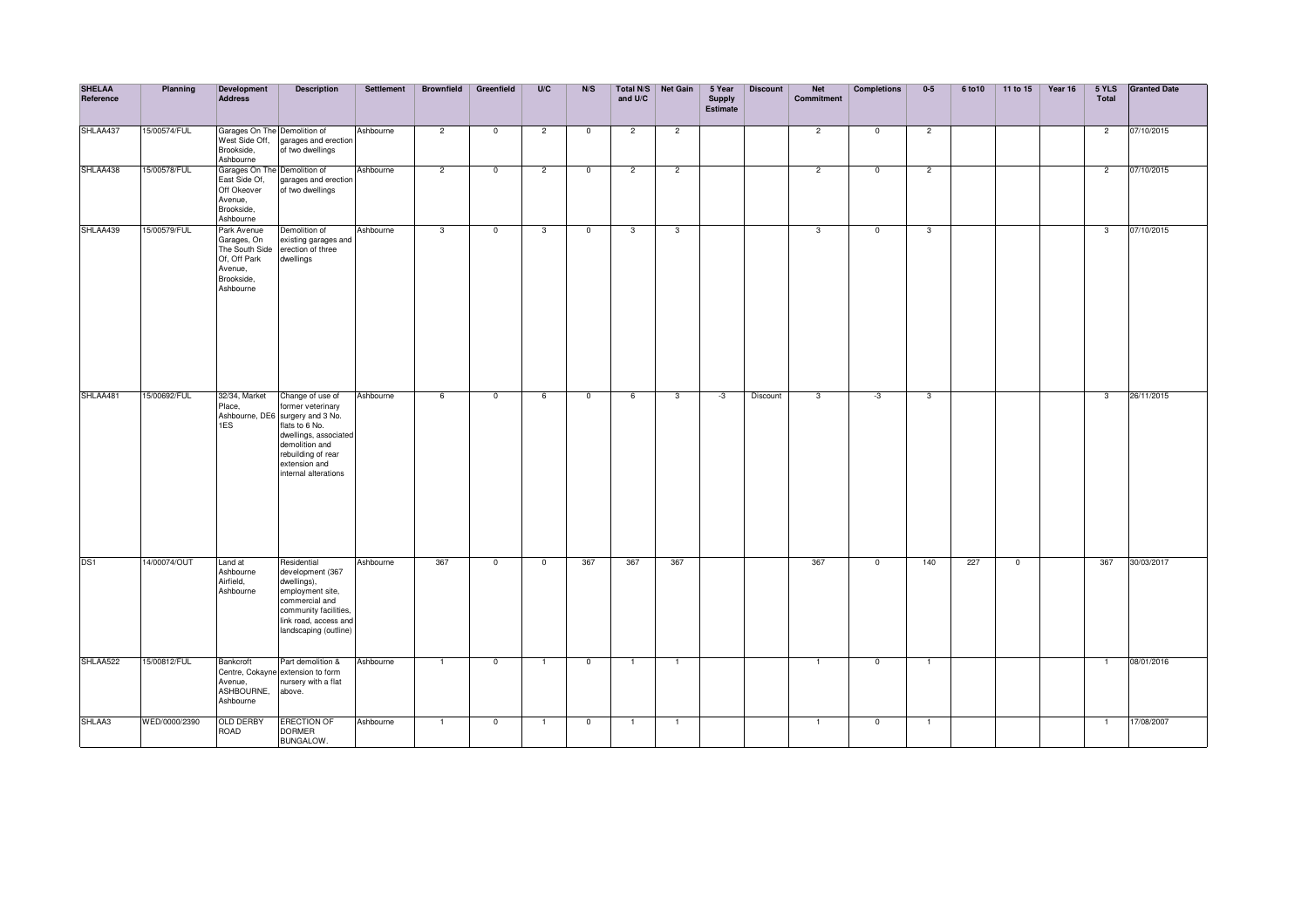| <b>SHELAA</b><br>Reference | Planning      | <b>Development</b><br><b>Address</b>                                                               | <b>Description</b>                                                                                                                                                                                    | <b>Settlement</b> | <b>Brownfield</b> | Greenfield              | U/C            | N/S            | and U/C        | Total N/S Net Gain | 5 Year<br><b>Supply</b><br>Estimate | <b>Discount</b> | <b>Net</b><br>Commitment | <b>Completions</b> | $0-5$                   | 6 to 10 | 11 to 15       | Year 16 | 5 YLS<br>Total | <b>Granted Date</b> |
|----------------------------|---------------|----------------------------------------------------------------------------------------------------|-------------------------------------------------------------------------------------------------------------------------------------------------------------------------------------------------------|-------------------|-------------------|-------------------------|----------------|----------------|----------------|--------------------|-------------------------------------|-----------------|--------------------------|--------------------|-------------------------|---------|----------------|---------|----------------|---------------------|
| SHLAA437                   | 15/00574/FUL  | Garages On The Demolition of<br>West Side Off,<br>Brookside,<br>Ashbourne                          | garages and erection<br>of two dwellings                                                                                                                                                              | Ashbourne         | $\overline{2}$    | $\mathbf 0$             | $\overline{2}$ | $\mathbf 0$    | $\overline{2}$ | $\overline{2}$     |                                     |                 | $\overline{2}$           | $\mathbf 0$        | $\overline{2}$          |         |                |         | $\overline{2}$ | 07/10/2015          |
| SHLAA438                   | 15/00578/FUL  | Garages On The Demolition of<br>East Side Of,<br>Off Okeover<br>Avenue,<br>Brookside,<br>Ashbourne | garages and erection<br>of two dwellings                                                                                                                                                              | Ashbourne         | $\overline{c}$    | $\mathbf 0$             | $\overline{c}$ | $\mathbf 0$    | $\overline{c}$ | $\overline{2}$     |                                     |                 | $\overline{c}$           | $\mathbf 0$        | $\overline{2}$          |         |                |         | $\overline{c}$ | 07/10/2015          |
| SHLAA439                   | 15/00579/FUL  | Park Avenue<br>Garages, On<br>The South Side<br>Of, Off Park<br>Avenue,<br>Brookside,<br>Ashbourne | Demolition of<br>existing garages and<br>erection of three<br>dwellings                                                                                                                               | Ashbourne         | $\overline{3}$    | $\mathbf 0$             | $\mathbf{3}$   | $\overline{0}$ | $\mathbf{3}$   | 3                  |                                     |                 | $\mathbf{3}$             | $\mathbf{0}$       | $\mathbf{3}$            |         |                |         | $\mathbf{3}$   | 07/10/2015          |
| SHLAA481                   | 15/00692/FUL  | 32/34, Market<br>Place,<br>1ES                                                                     | Change of use of<br>former veterinary<br>Ashbourne, DE6 surgery and 3 No.<br>flats to 6 No.<br>dwellings, associated<br>demolition and<br>rebuilding of rear<br>extension and<br>internal alterations | Ashbourne         | 6                 | $\overline{0}$          | 6              | $\overline{0}$ | 6              | $\overline{3}$     | $-3$                                | Discount        | $\overline{3}$           | -3                 | $\overline{\mathbf{3}}$ |         |                |         | $\mathbf{3}$   | 26/11/2015          |
| DS <sub>1</sub>            | 14/00074/OUT  | Land at<br>Ashbourne<br>Airfield.<br>Ashbourne                                                     | Residential<br>development (367<br>dwellings),<br>employment site,<br>commercial and<br>community facilities,<br>link road, access and<br>landscaping (outline)                                       | Ashbourne         | 367               | $\overline{\mathbf{0}}$ | $\overline{0}$ | 367            | 367            | 367                |                                     |                 | 367                      | $\overline{0}$     | 140                     | 227     | $\overline{0}$ |         | 367            | 30/03/2017          |
| SHLAA522                   | 15/00812/FUL  | Bankcroft<br>Avenue,<br>ASHBOURNE,<br>Ashbourne                                                    | Part demolition &<br>Centre, Cokayne extension to form<br>nursery with a flat<br>above.                                                                                                               | Ashbourne         | $\mathbf{1}$      | $\overline{\mathbf{0}}$ | $\overline{1}$ | $\mathbf 0$    | $\overline{1}$ |                    |                                     |                 | $\overline{1}$           | $\mathbf 0$        | $\overline{1}$          |         |                |         | $\mathbf{1}$   | 08/01/2016          |
| SHLAA3                     | WED/0000/2390 | <b>OLD DERBY</b><br>ROAD                                                                           | <b>ERECTION OF</b><br><b>DORMER</b><br><b>BUNGALOW.</b>                                                                                                                                               | Ashbourne         | $\overline{1}$    | $\mathbf 0$             | $\overline{1}$ | $\mathbf 0$    | $\mathbf{1}$   | -1                 |                                     |                 | $\overline{1}$           | $\mathbf 0$        | $\overline{1}$          |         |                |         | $\overline{1}$ | 17/08/2007          |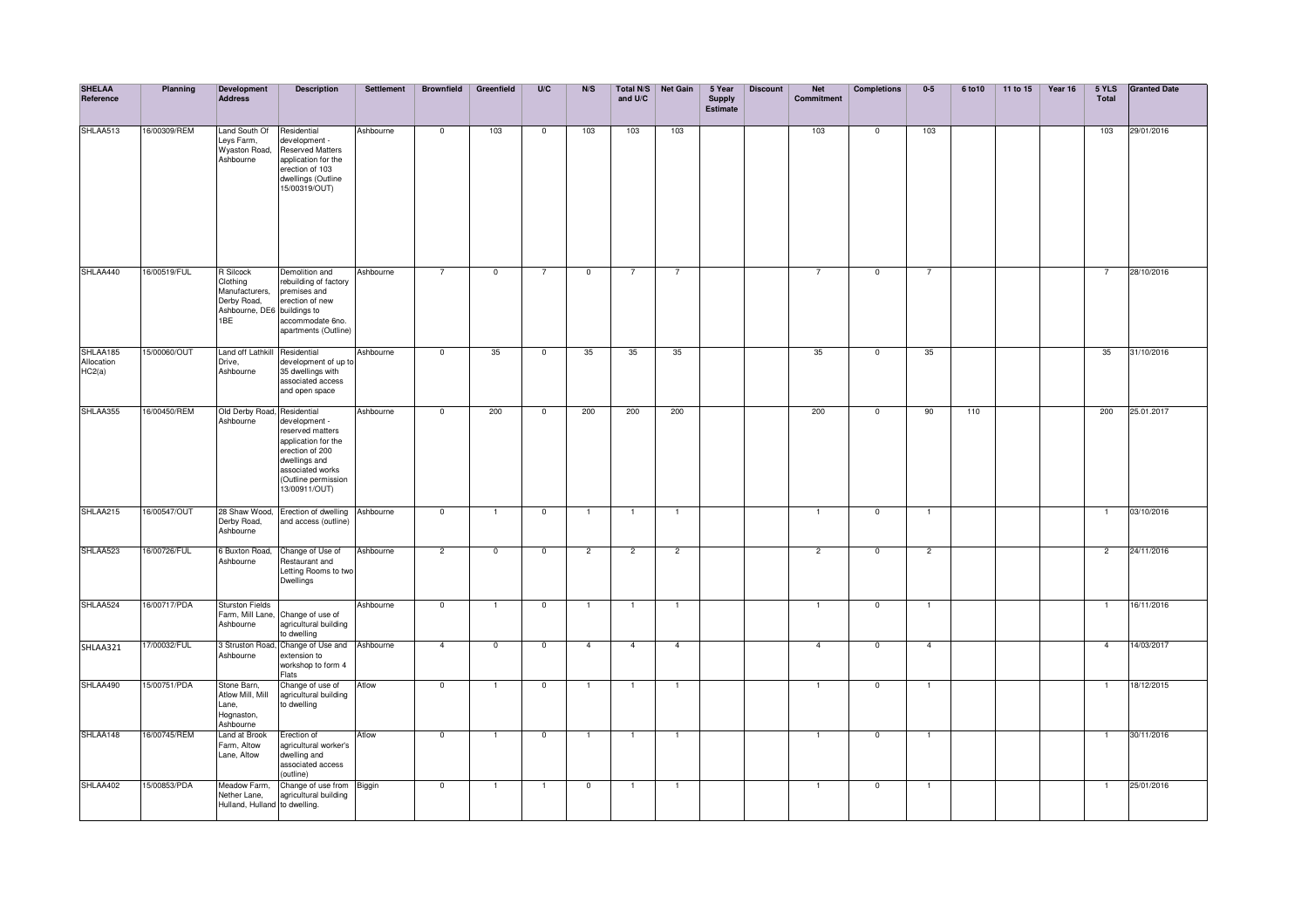| <b>SHELAA</b><br>Reference       | Planning     | Development<br><b>Address</b>                                                                       | <b>Description</b>                                                                                                                                       | <b>Settlement</b> | <b>Brownfield</b>       | Greenfield     | U/C                      | N/S            | and U/C        | Total N/S Net Gain | 5 Year<br><b>Supply</b><br><b>Estimate</b> | <b>Discount</b> | <b>Net</b><br>Commitment | <b>Completions</b> | $0-5$          | 6 to 10 | 11 to 15 | Year 16 | 5 YLS<br>Total | <b>Granted Date</b> |
|----------------------------------|--------------|-----------------------------------------------------------------------------------------------------|----------------------------------------------------------------------------------------------------------------------------------------------------------|-------------------|-------------------------|----------------|--------------------------|----------------|----------------|--------------------|--------------------------------------------|-----------------|--------------------------|--------------------|----------------|---------|----------|---------|----------------|---------------------|
| SHLAA513                         | 16/00309/REM | Land South Of<br>Leys Farm,<br>Wyaston Road,<br>Ashbourne                                           | Residential<br>development -<br><b>Reserved Matters</b><br>application for the<br>erection of 103<br>dwellings (Outline<br>15/00319/OUT)                 | Ashbourne         | $\overline{0}$          | 103            | $\overline{\phantom{0}}$ | 103            | 103            | 103                |                                            |                 | 103                      | $\mathbf 0$        | 103            |         |          |         | 103            | 29/01/2016          |
| SHLAA440                         | 16/00519/FUL | <b>R</b> Silcock<br>Clothing<br>Manufacturers,<br>Derby Road,<br>Ashbourne, DE6 buildings to<br>1BE | Demolition and<br>rebuilding of factory<br>premises and<br>erection of new<br>accommodate 6no.<br>apartments (Outline)                                   | Ashbourne         | $\overline{7}$          | $\mathbf 0$    | $\overline{7}$           | $\mathbf{0}$   |                | $\overline{7}$     |                                            |                 | $\overline{7}$           | $\mathbf 0$        | $\overline{7}$ |         |          |         | 7              | 28/10/2016          |
| SHLAA185<br>Allocation<br>HC2(a) | 5/00060/OUT  | Land off Lathkill Residential<br>Drive,<br>Ashbourne                                                | development of up to<br>35 dwellings with<br>associated access<br>and open space                                                                         | Ashbourne         | $\overline{\mathbf{0}}$ | 35             | $\overline{\phantom{0}}$ | 35             | 35             | 35                 |                                            |                 | 35                       | $\overline{0}$     | 35             |         |          |         | 35             | 31/10/2016          |
| SHLAA355                         | 16/00450/REM | Old Derby Road, Residential<br>Ashbourne                                                            | development -<br>reserved matters<br>application for the<br>erection of 200<br>dwellings and<br>associated works<br>(Outline permission<br>13/00911/OUT) | Ashbourne         | $\overline{0}$          | 200            | $\mathbf 0$              | 200            | 200            | 200                |                                            |                 | 200                      | $\mathbf 0$        | 90             | 110     |          |         | 200            | 25.01.2017          |
| SHLAA215                         | 16/00547/OUT | 28 Shaw Wood,<br>Derby Road,<br>Ashbourne                                                           | Erection of dwelling<br>and access (outline)                                                                                                             | Ashbourne         | $\overline{0}$          | -1             | $\overline{\phantom{0}}$ | $\mathbf{1}$   | -1             | $\overline{1}$     |                                            |                 | $\mathbf{1}$             | $\overline{0}$     | $\mathbf{1}$   |         |          |         | $\mathbf{1}$   | 03/10/2016          |
| SHLAA523                         | 16/00726/FUL | 6 Buxton Road,<br>Ashbourne                                                                         | Change of Use of<br>Restaurant and<br>Letting Rooms to two<br>Dwellings                                                                                  | Ashbourne         | $\overline{2}$          | $\overline{0}$ | $\overline{\phantom{0}}$ | $\overline{2}$ | $\overline{2}$ | $\overline{2}$     |                                            |                 | $\overline{2}$           | $\overline{0}$     | $\overline{2}$ |         |          |         | $\overline{2}$ | 24/11/2016          |
| SHLAA524                         | 16/00717/PDA | <b>Sturston Fields</b><br>Farm, Mill Lane,<br>Ashbourne                                             | Change of use of<br>agricultural building<br>to dwelling                                                                                                 | Ashbourne         | $\overline{0}$          | $\mathbf{1}$   | $\overline{0}$           | $\mathbf{1}$   | $\mathbf{1}$   | $\overline{1}$     |                                            |                 | $\mathbf{1}$             | $\overline{0}$     | $\overline{1}$ |         |          |         | $\mathbf{1}$   | 16/11/2016          |
| SHLAA321                         | 17/00032/FUL | 3 Struston Road,<br>Ashbourne                                                                       | Change of Use and<br>extension to<br>workshop to form 4<br>Flats                                                                                         | Ashbourne         | $\overline{4}$          | $\mathbf 0$    | $\mathbf{0}$             | $\overline{4}$ | $\overline{4}$ | $\overline{4}$     |                                            |                 | $\overline{4}$           | $\mathbf 0$        | $\overline{4}$ |         |          |         | $\overline{4}$ | 14/03/2017          |
| SHLAA490                         | 15/00751/PDA | Stone Barn,<br>Atlow Mill, Mill<br>Lane,<br>Hognaston,<br>Ashbourne                                 | Change of use of<br>agricultural building<br>to dwelling                                                                                                 | Atlow             | $\mathbf 0$             | $\mathbf{1}$   | $\mathbf 0$              | $\mathbf{1}$   |                | $\overline{1}$     |                                            |                 | $\mathbf{1}$             | $^{\circ}$         | $\overline{1}$ |         |          |         | $\mathbf{1}$   | 18/12/2015          |
| SHLAA148                         | 16/00745/REM | Land at Brook<br>Farm, Altow<br>Lane, Altow                                                         | Erection of<br>agricultural worker's<br>dwelling and<br>associated access<br>(outline)                                                                   | Atlow             | $\overline{\mathbf{0}}$ |                | $\overline{\mathbf{0}}$  | -1             | $\overline{1}$ | $\overline{1}$     |                                            |                 | $\mathbf{1}$             | $\overline{0}$     | $\overline{1}$ |         |          |         | $\mathbf{1}$   | 30/11/2016          |
| SHLAA402                         | 15/00853/PDA | Meadow Farm,<br>Nether Lane,<br>Hulland, Hulland to dwelling.                                       | Change of use from Biggin<br>agricultural building                                                                                                       |                   | $\overline{0}$          | $\mathbf{1}$   | $\overline{1}$           | $\overline{0}$ | $\overline{1}$ | $\overline{1}$     |                                            |                 | $\overline{1}$           | $\overline{0}$     | $\mathbf{1}$   |         |          |         | $\overline{1}$ | 25/01/2016          |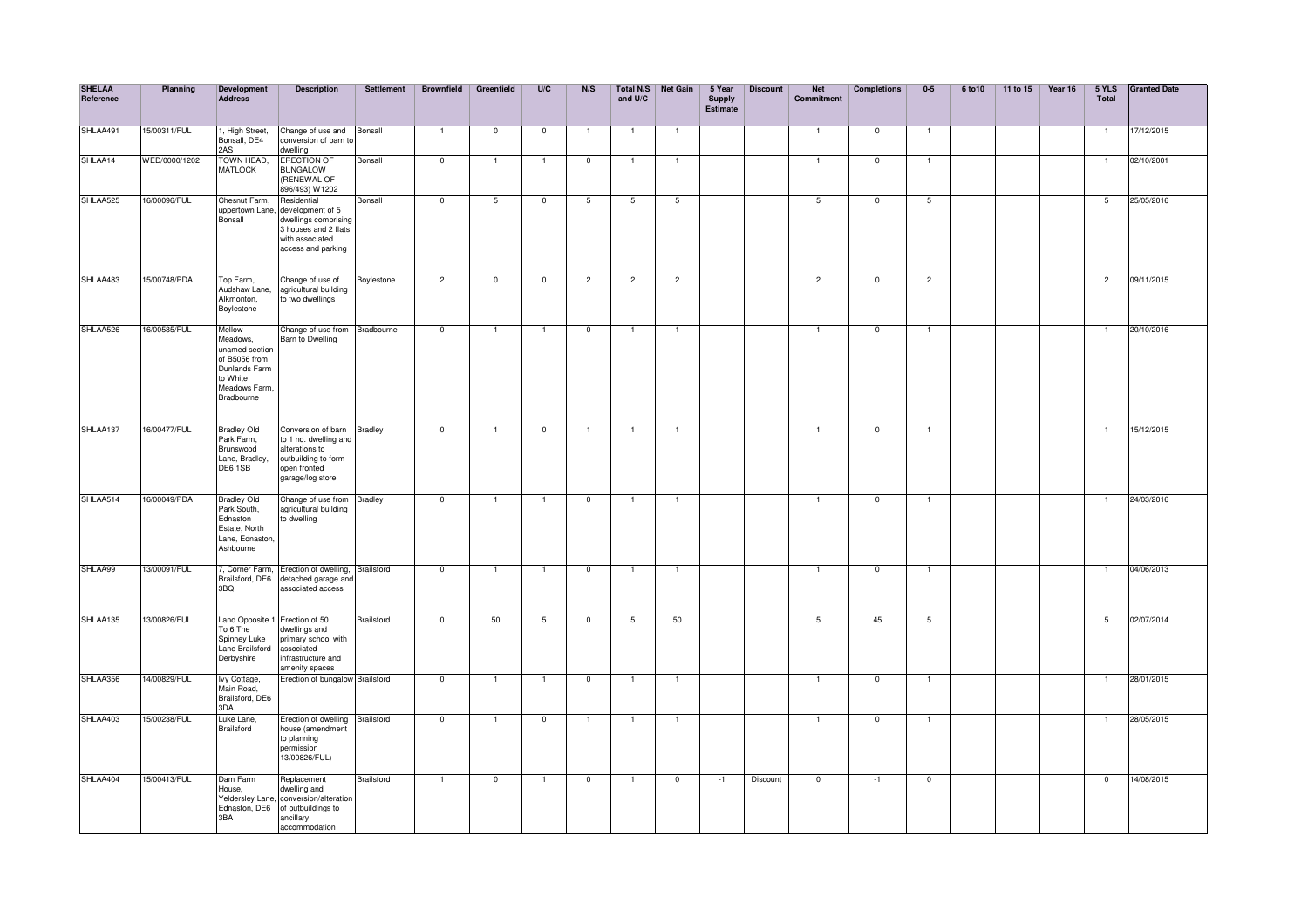| <b>SHELAA</b><br>Reference | Planning      | <b>Development</b><br><b>Address</b>                                                                                     | <b>Description</b>                                                                                                                       | Settlement        | <b>Brownfield</b>       | Greenfield               | U/C            | N/S            | and U/C        | Total N/S Net Gain | 5 Year<br><b>Supply</b><br><b>Estimate</b> | <b>Discount</b> | <b>Net</b><br>Commitment | <b>Completions</b> | $0-5$           | 6 to 10 | 11 to 15 | Year 16 | 5 YLS<br>Total  | <b>Granted Date</b> |
|----------------------------|---------------|--------------------------------------------------------------------------------------------------------------------------|------------------------------------------------------------------------------------------------------------------------------------------|-------------------|-------------------------|--------------------------|----------------|----------------|----------------|--------------------|--------------------------------------------|-----------------|--------------------------|--------------------|-----------------|---------|----------|---------|-----------------|---------------------|
| SHLAA491                   | 15/00311/FUL  | 1, High Street,<br>Bonsall, DE4<br>2AS                                                                                   | Change of use and<br>conversion of barn to<br>dwelling                                                                                   | Bonsall           | $\overline{1}$          | $\mathbf 0$              | $\mathbf{0}$   |                | $\overline{1}$ | $\overline{1}$     |                                            |                 | 1                        | $\mathbf 0$        | $\mathbf{1}$    |         |          |         |                 | 17/12/2015          |
| SHLAA14                    | WED/0000/1202 | TOWN HEAD,<br><b>MATLOCK</b>                                                                                             | <b>ERECTION OF</b><br><b>BUNGALOW</b><br>(RENEWAL OF<br>896/493) W1202                                                                   | Bonsall           | $\overline{0}$          | $\overline{1}$           | $\mathbf{1}$   | $\mathbf 0$    | $\overline{1}$ | $\overline{1}$     |                                            |                 | $\overline{1}$           | $\mathbf 0$        | $\overline{1}$  |         |          |         | $\overline{1}$  | 02/10/2001          |
| SHLAA525                   | 16/00096/FUL  | Chesnut Farm,<br>Bonsall                                                                                                 | Residential<br>uppertown Lane, development of 5<br>dwellings comprising<br>3 houses and 2 flats<br>with associated<br>access and parking | Bonsall           | $\overline{0}$          | 5                        | $\mathbf{0}$   | 5              | 5              | 5                  |                                            |                 | 5                        | $\mathbf 0$        | $5\overline{)}$ |         |          |         | 5               | 25/05/2016          |
| SHLAA483                   | 15/00748/PDA  | Top Farm,<br>Audshaw Lane,<br>Alkmonton,<br>Boylestone                                                                   | Change of use of<br>agricultural building<br>to two dwellings                                                                            | Boylestone        | $\overline{2}$          | $\overline{\phantom{0}}$ | $\overline{0}$ | $\overline{2}$ | $\overline{2}$ | $\overline{c}$     |                                            |                 | $\overline{2}$           | $\mathbf 0$        | $\overline{2}$  |         |          |         | $\overline{2}$  | 09/11/2015          |
| SHLAA526                   | 16/00585/FUL  | Mellow<br>Meadows,<br>unamed section<br>of B5056 from<br><b>Dunlands Farm</b><br>to White<br>Meadows Farm,<br>Bradbourne | Change of use from Bradbourne<br>Barn to Dwelling                                                                                        |                   | $\overline{0}$          | $\overline{1}$           | $\overline{1}$ | $\overline{0}$ | $\overline{1}$ | $\overline{1}$     |                                            |                 | $\mathbf{1}$             | $\mathbf 0$        | $\mathbf{1}$    |         |          |         | $\mathbf{1}$    | 20/10/2016          |
| SHLAA137                   | 16/00477/FUL  | <b>Bradley Old</b><br>Park Farm,<br>Brunswood<br>Lane, Bradley,<br>DE61SB                                                | Conversion of barn Bradley<br>to 1 no. dwelling and<br>alterations to<br>outbuilding to form<br>open fronted<br>garage/log store         |                   | $\overline{0}$          | $\mathbf{1}$             | $\overline{0}$ | $\mathbf{1}$   | $\mathbf{1}$   | $\overline{1}$     |                                            |                 | 1                        | $\overline{0}$     | T               |         |          |         | $\mathbf{1}$    | 15/12/2015          |
| SHLAA514                   | 16/00049/PDA  | <b>Bradley Old</b><br>Park South,<br>Ednaston<br>Estate, North<br>Lane, Ednaston,<br>Ashbourne                           | Change of use from Bradley<br>agricultural building<br>to dwelling                                                                       |                   | $\overline{0}$          | 1                        | $\mathbf{1}$   | $\overline{0}$ | $\overline{1}$ | $\mathbf{1}$       |                                            |                 | 1                        | $\overline{0}$     | Ŧ               |         |          |         | $\mathbf{1}$    | 24/03/2016          |
| SHLAA99                    | 13/00091/FUL  | 7, Corner Farm,<br>Brailsford, DE6<br>3BQ                                                                                | Erection of dwelling, Brailsford<br>detached garage and<br>associated access                                                             |                   | $\overline{0}$          | $\mathbf{1}$             | $\mathbf{1}$   | $\overline{0}$ | $\mathbf{1}$   | $\overline{1}$     |                                            |                 | $\mathbf{1}$             | $\overline{0}$     | $\mathbf{1}$    |         |          |         | $\mathbf{1}$    | 04/06/2013          |
| SHLAA135                   | 13/00826/FUL  | To 6 The<br>Spinney Luke<br>Lane Brailsford<br>Derbyshire                                                                | Land Opposite 1 Erection of 50<br>dwellings and<br>primary school with<br>associated<br>infrastructure and<br>amenity spaces             | <b>Brailsford</b> | $\overline{\mathbf{0}}$ | 50                       | 5              | $\overline{0}$ | 5              | 50                 |                                            |                 | 5                        | 45                 | 5               |         |          |         | $5\overline{)}$ | 02/07/2014          |
| SHLAA356                   | 14/00829/FUL  | lvy Cottage,<br>Main Road,<br>Brailsford, DE6<br>3DA                                                                     | Erection of bungalow Brailsford                                                                                                          |                   | $\overline{\mathbf{0}}$ | $\mathbf{1}$             | $\mathbf{1}$   | $\overline{0}$ | $\overline{1}$ | $\mathbf{1}$       |                                            |                 | $\mathbf{1}$             | $\overline{0}$     | $\mathbf{1}$    |         |          |         | $\mathbf{1}$    | 28/01/2015          |
| SHLAA403                   | 15/00238/FUL  | Luke Lane,<br>Brailsford                                                                                                 | Erection of dwelling Brailsford<br>house (amendment<br>to planning<br>permission<br>13/00826/FUL)                                        |                   | $\overline{\mathbf{0}}$ | 1                        | $\mathbf 0$    | $\mathbf{1}$   | 1              | $\overline{1}$     |                                            |                 | 1                        | $\mathbf 0$        | $\mathbf{1}$    |         |          |         | $\mathbf{1}$    | 28/05/2015          |
| SHLAA404                   | 15/00413/FUL  | Dam Farm<br>House,<br>Ednaston, DE6<br>3BA                                                                               | Replacement<br>dwelling and<br>Yeldersley Lane, conversion/alteration<br>of outbuildings to<br>ancillary<br>accommodation                | Brailsford        | $\mathbf{1}$            | $\mathbf 0$              | $\mathbf{1}$   | $\mathbf 0$    | $\mathbf{1}$   | $\mathbf 0$        | $-1$                                       | Discount        | $\mathbf 0$              | $-1$               | $\mathbf{0}$    |         |          |         | $\mathbf 0$     | 14/08/2015          |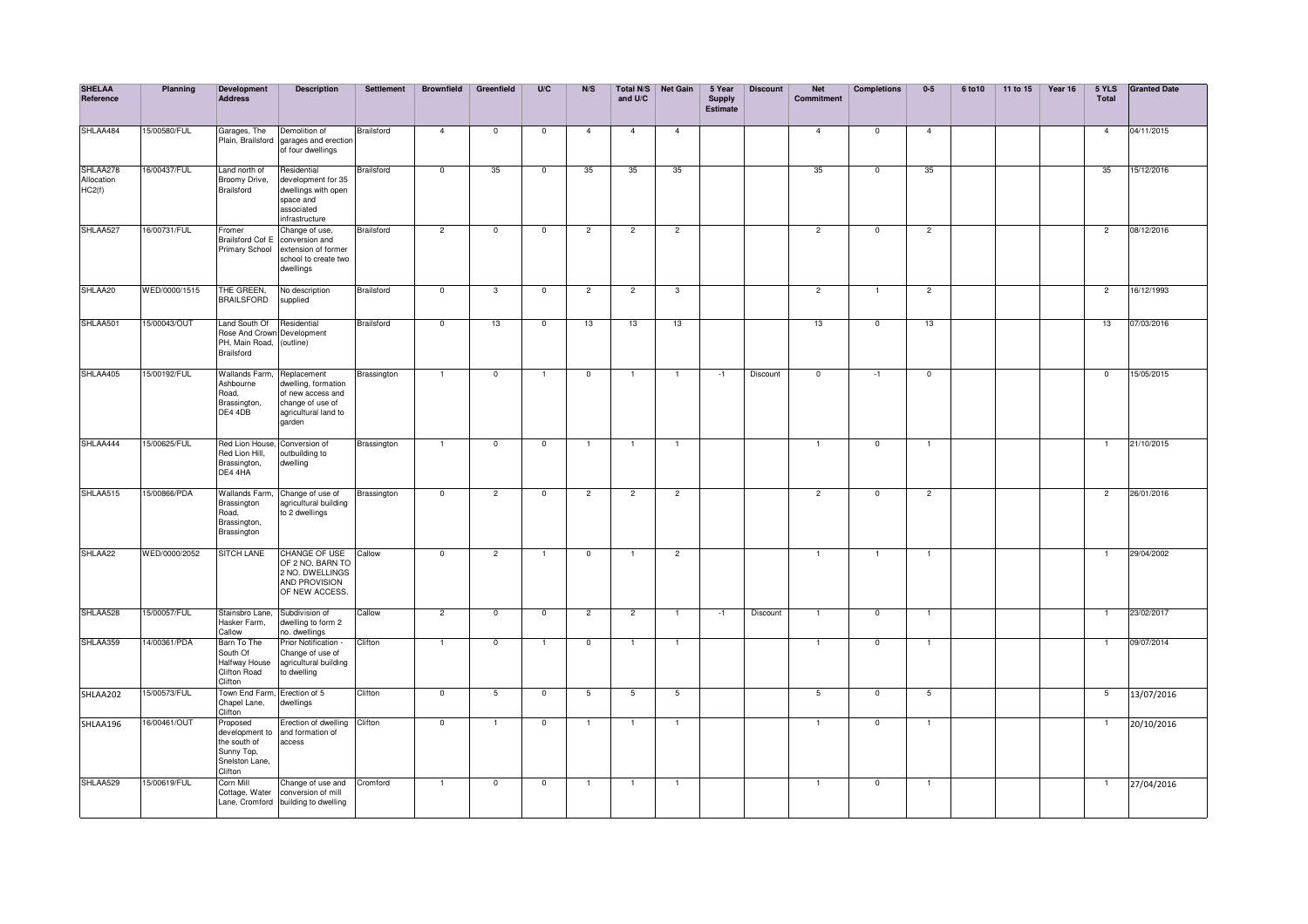| <b>SHELAA</b><br>Reference       | Planning      | Development<br><b>Address</b>                                                         | <b>Description</b>                                                                                            | <b>Settlement</b> | <b>Brownfield</b>        | Greenfield     | U/C                     | N/S            | and U/C        | Total N/S Net Gain | 5 Year<br><b>Supply</b><br><b>Estimate</b> | <b>Discount</b> | <b>Net</b><br>Commitment | <b>Completions</b>      | $0-5$          | 6 to 10 | 11 to 15 | Year 16 | 5 YLS<br>Total | <b>Granted Date</b> |
|----------------------------------|---------------|---------------------------------------------------------------------------------------|---------------------------------------------------------------------------------------------------------------|-------------------|--------------------------|----------------|-------------------------|----------------|----------------|--------------------|--------------------------------------------|-----------------|--------------------------|-------------------------|----------------|---------|----------|---------|----------------|---------------------|
| SHLAA484                         | 15/00580/FUL  | Garages, The<br>Plain, Brailsford                                                     | Demolition of<br>garages and erection<br>of four dwellinas                                                    | <b>Brailsford</b> | $\overline{4}$           | $\overline{0}$ | $\overline{\mathbf{0}}$ | $\overline{4}$ | $\overline{4}$ | $\overline{4}$     |                                            |                 | $\overline{4}$           | $\overline{\mathbf{0}}$ | $\overline{4}$ |         |          |         | $\overline{4}$ | 04/11/2015          |
| SHLAA278<br>Allocation<br>HC2(f) | 16/00437/FUL  | Land north of<br>Broomy Drive,<br>Brailsford                                          | Residential<br>development for 35<br>dwellings with open<br>space and<br>associated<br>infrastructure         | Brailsford        | $\mathbf 0$              | 35             | $\overline{0}$          | 35             | 35             | 35                 |                                            |                 | 35                       | $\mathbf 0$             | 35             |         |          |         | 35             | 15/12/2016          |
| SHLAA527                         | 16/00731/FUL  | Fromer<br>Brailsford Cof E<br><b>Primary School</b>                                   | Change of use,<br>conversion and<br>extension of former<br>school to create two<br>dwellings                  | <b>Brailsford</b> | $\overline{2}$           | $\mathbf 0$    | $\mathbf 0$             | $\overline{2}$ | $\overline{2}$ | $\overline{2}$     |                                            |                 | $\overline{2}$           | $\mathbf{0}$            | $\overline{2}$ |         |          |         | $\overline{2}$ | 08/12/2016          |
| SHLAA20                          | WED/0000/1515 | THE GREEN,<br><b>BRAILSFORD</b>                                                       | No description<br>supplied                                                                                    | Brailsford        | $\overline{0}$           | 3              | $\overline{0}$          | $\overline{2}$ | $\overline{c}$ | 3                  |                                            |                 | $\overline{2}$           | -1                      | $\overline{2}$ |         |          |         | $\overline{2}$ | 16/12/1993          |
| SHLAA501                         | 15/00043/OUT  | Land South Of<br>Rose And Crown Development<br>PH, Main Road,<br>Brailsford           | Residential<br>(outline)                                                                                      | Brailsford        | $\overline{0}$           | 13             | $\mathbf{0}$            | 13             | 13             | 13                 |                                            |                 | 13                       | $\mathbf{0}$            | 13             |         |          |         | 13             | 07/03/2016          |
| SHLAA405                         | 15/00192/FUL  | <b>Wallands Farm</b><br>Ashbourne<br>Road.<br>Brassington,<br>DE4 4DB                 | Replacement<br>dwelling, formation<br>of new access and<br>change of use of<br>agricultural land to<br>garden | Brassington       | $\overline{1}$           | $\overline{0}$ |                         | $\mathbf 0$    | -1             | $\overline{1}$     | $-1$                                       | Discount        | $\overline{0}$           | $-1$                    | $\overline{0}$ |         |          |         | $\overline{0}$ | 15/05/2015          |
| SHLAA444                         | 15/00625/FUL  | Red Lion House,<br>Red Lion Hill,<br>Brassington,<br>DE4 4HA                          | Conversion of<br>outbuilding to<br>dwelling                                                                   | Brassington       | $\overline{1}$           | $\overline{0}$ | $\overline{\mathbf{0}}$ | $\mathbf{1}$   | $\overline{1}$ | $\overline{1}$     |                                            |                 | $\mathbf{1}$             | $\overline{0}$          | $\mathbf{1}$   |         |          |         | $\overline{1}$ | 21/10/2015          |
| SHLAA515                         | 15/00866/PDA  | Wallands Farm,<br>Brassington<br>Road,<br>Brassington,<br>Brassington                 | Change of use of<br>agricultural building<br>to 2 dwellings                                                   | Brassington       | $\overline{\mathbf{0}}$  | $\overline{c}$ | $\mathbf 0$             | $\overline{c}$ | $\overline{2}$ | $\overline{2}$     |                                            |                 | $\overline{2}$           | $\mathbf 0$             | $\overline{2}$ |         |          |         | $\overline{2}$ | 26/01/2016          |
| SHLAA22                          | WED/0000/2052 | SITCH LANE                                                                            | CHANGE OF USE Callow<br>OF 2 NO. BARN TO<br>2 NO. DWELLINGS<br>AND PROVISION<br>OF NEW ACCESS.                |                   | $\mathbf 0$              | $\overline{2}$ | $\mathbf{1}$            | $\mathbf 0$    | $\overline{1}$ | $\overline{2}$     |                                            |                 | -1                       | -1                      | $\overline{1}$ |         |          |         | -1             | 29/04/2002          |
| SHLAA528                         | 15/00057/FUL  | Stainsbro Lane,<br>Hasker Farm,<br>Callow                                             | Subdivision of<br>dwelling to form 2<br>o. dwellings                                                          | Callow            | $\overline{2}$           | $\mathbf 0$    | $\mathbf 0$             | $\overline{2}$ | $\overline{2}$ | $\overline{1}$     | $-1$                                       | Discount        | $\mathbf{1}$             | $\mathbf 0$             | $\mathbf{1}$   |         |          |         | $\mathbf{1}$   | 23/02/2017          |
| SHLAA359                         | 14/00361/PDA  | Barn To The<br>South Of<br>Halfway House<br><b>Clifton Road</b><br>Clifton            | Prior Notification -<br>Change of use of<br>agricultural building<br>to dwelling                              | Clifton           | $\mathbf{1}$             | $\overline{0}$ |                         | $\overline{0}$ |                | $\overline{1}$     |                                            |                 | 1                        | $\overline{0}$          | $\mathbf{1}$   |         |          |         | 1              | 09/07/2014          |
| SHLAA202                         | 15/00573/FUL  | Town End Farm, Erection of 5<br>Chapel Lane,<br>Clifton                               | dwellings                                                                                                     | Clifton           | $\overline{\phantom{0}}$ | 5              | $\mathbf 0$             | 5              | 5              | 5                  |                                            |                 | 5                        | $\mathbf 0$             | 5              |         |          |         | 5              | 13/07/2016          |
| SHLAA196                         | 6/00461/OUT   | Proposed<br>development to<br>the south of<br>Sunny Top,<br>Snelston Lane,<br>Clifton | Erection of dwelling Clifton<br>and formation of<br>access                                                    |                   | $\mathbf 0$              | $\overline{1}$ | $\mathbf 0$             | $\overline{1}$ |                | $\overline{1}$     |                                            |                 | $\mathbf{1}$             | $\mathbf 0$             | $\overline{1}$ |         |          |         |                | 20/10/2016          |
| SHLAA529                         | 15/00619/FUL  | Corn Mill<br>Cottage, Water<br>Lane, Cromford                                         | Change of use and<br>conversion of mill<br>building to dwelling                                               | Cromford          | $\overline{1}$           | $\overline{0}$ | $\mathbf 0$             | $\overline{1}$ | $\overline{1}$ | $\overline{1}$     |                                            |                 | $\overline{1}$           | $\overline{0}$          | $\overline{1}$ |         |          |         | $\overline{1}$ | 27/04/2016          |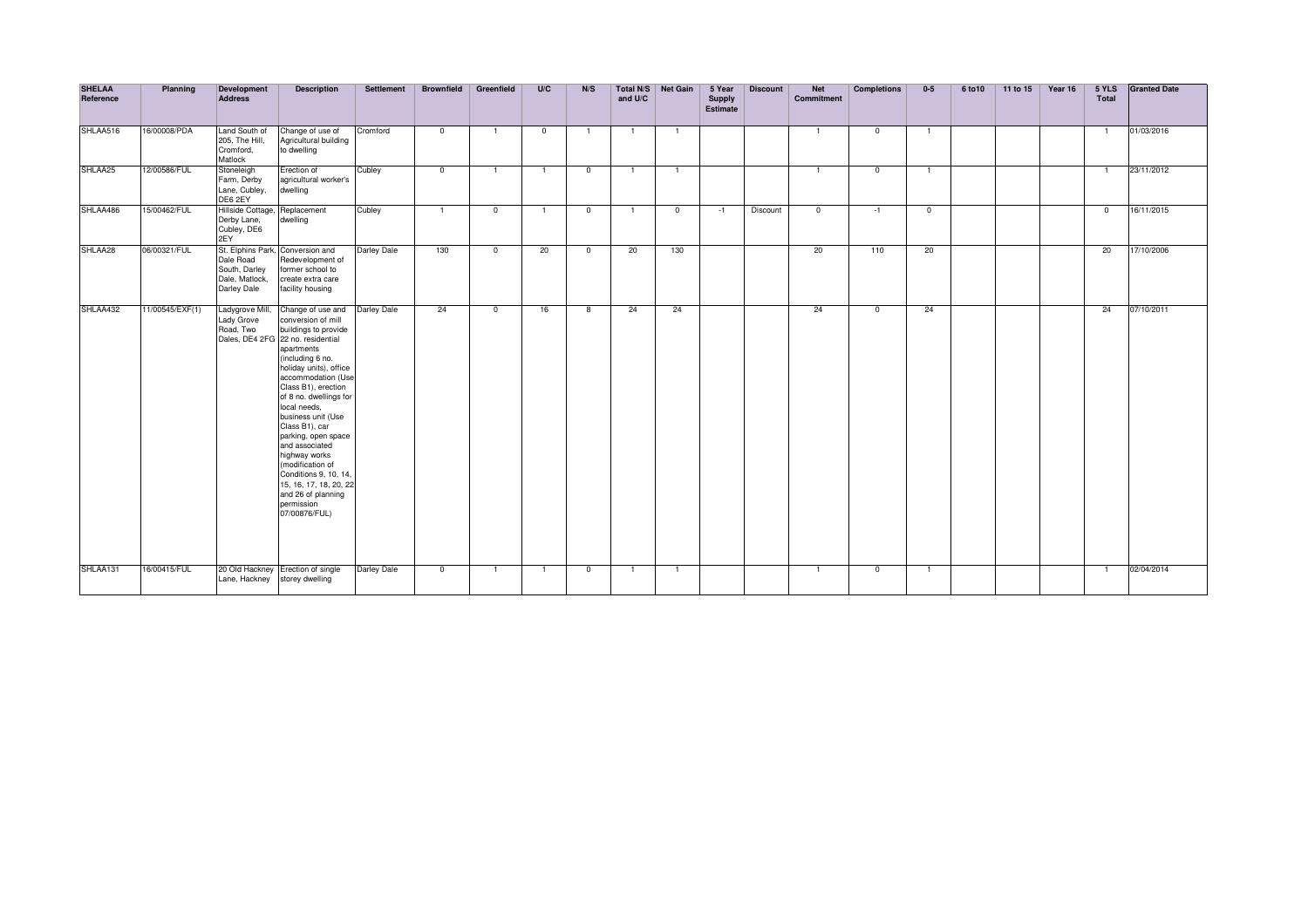| <b>SHELAA</b><br>Reference | Planning        | Development<br><b>Address</b>                                                    | <b>Description</b>                                                                                                                                                                                                                                                                                                                                                                                                                                                                    | <b>Settlement</b>  | <b>Brownfield</b> | Greenfield     | U/C            | N/S            | and U/C        | Total N/S Net Gain | 5 Year<br>Supply<br><b>Estimate</b> | <b>Discount</b> | <b>Net</b><br><b>Commitment</b> | <b>Completions</b> | $0-5$          | 6 to 10 | 11 to 15 | Year 16 | 5 YLS<br>Total | <b>Granted Date</b> |
|----------------------------|-----------------|----------------------------------------------------------------------------------|---------------------------------------------------------------------------------------------------------------------------------------------------------------------------------------------------------------------------------------------------------------------------------------------------------------------------------------------------------------------------------------------------------------------------------------------------------------------------------------|--------------------|-------------------|----------------|----------------|----------------|----------------|--------------------|-------------------------------------|-----------------|---------------------------------|--------------------|----------------|---------|----------|---------|----------------|---------------------|
| SHLAA516                   | 16/00008/PDA    | Land South of<br>205, The Hill,<br>Cromford,<br>Matlock                          | Change of use of<br>Agricultural building<br>to dwelling                                                                                                                                                                                                                                                                                                                                                                                                                              | Cromford           | $^{\circ}$        | $\overline{1}$ | $^{\circ}$     | $\overline{1}$ | $\overline{1}$ | $\overline{1}$     |                                     |                 | $\overline{1}$                  | $\mathbf{0}$       | $\overline{1}$ |         |          |         | $\overline{1}$ | 01/03/2016          |
| SHLAA25                    | 12/00586/FUL    | Stoneleigh<br>Farm, Derby<br>Lane, Cubley,<br>DE6 2EY                            | Erection of<br>agricultural worker's<br>dwelling                                                                                                                                                                                                                                                                                                                                                                                                                                      | Cubley             | $^{\circ}$        |                | -1             | $\overline{0}$ |                | - 1                |                                     |                 | $\overline{1}$                  | $\mathbf{0}$       | $\overline{1}$ |         |          |         | $\overline{1}$ | 23/11/2012          |
| SHLAA486                   | 15/00462/FUL    | Hillside Cottage,<br>Derby Lane,<br>Cubley, DE6<br>2EY                           | Replacement<br>dwelling                                                                                                                                                                                                                                                                                                                                                                                                                                                               | Cubley             | $\mathbf{1}$      | $\mathbf{0}$   | $\overline{1}$ | $\overline{0}$ | $\overline{1}$ | $\mathbf{0}$       | $-1$                                | Discount        | $\mathbf{0}$                    | $-1$               | $^{\circ}$     |         |          |         | $^{\circ}$     | 16/11/2015          |
| SHLAA28                    | 06/00321/FUL    | St. Elphins Park,<br>Dale Road<br>South, Darley<br>Dale, Matlock,<br>Darley Dale | Conversion and<br>Redevelopment of<br>former school to<br>create extra care<br>facility housing                                                                                                                                                                                                                                                                                                                                                                                       | <b>Darley Dale</b> | 130               | $^{\circ}$     | 20             | $\mathbf{0}$   | 20             | 130                |                                     |                 | 20                              | 110                | 20             |         |          |         | 20             | 17/10/2006          |
| SHLAA432                   | 11/00545/EXF(1) | Ladygrove Mill,<br>Lady Grove<br>Road, Two                                       | Change of use and<br>conversion of mill<br>buildings to provide<br>Dales, DE4 2FG 22 no. residential<br>apartments<br>(including 6 no.<br>holiday units), office<br>accommodation (Use<br>Class B1), erection<br>of 8 no. dwellings for<br>local needs,<br>business unit (Use<br>Class B1), car<br>parking, open space<br>and associated<br>highway works<br>(modification of<br>Conditions 9, 10, 14,<br>15, 16, 17, 18, 20, 22<br>and 26 of planning<br>permission<br>07/00876/FUL) | <b>Darley Dale</b> | 24                | $^{\circ}$     | 16             | 8              | 24             | 24                 |                                     |                 | 24                              | $\mathbf 0$        | 24             |         |          |         | 24             | 07/10/2011          |
| SHLAA131                   | 16/00415/FUL    | Lane, Hackney                                                                    | 20 Old Hackney Erection of single<br>storey dwelling                                                                                                                                                                                                                                                                                                                                                                                                                                  | Darley Dale        | $^{\circ}$        | $\mathbf{1}$   | $\overline{1}$ | $\mathbf 0$    | -1             | $\overline{1}$     |                                     |                 | $\overline{1}$                  | $\mathbf{0}$       | $\overline{1}$ |         |          |         | $\overline{1}$ | 02/04/2014          |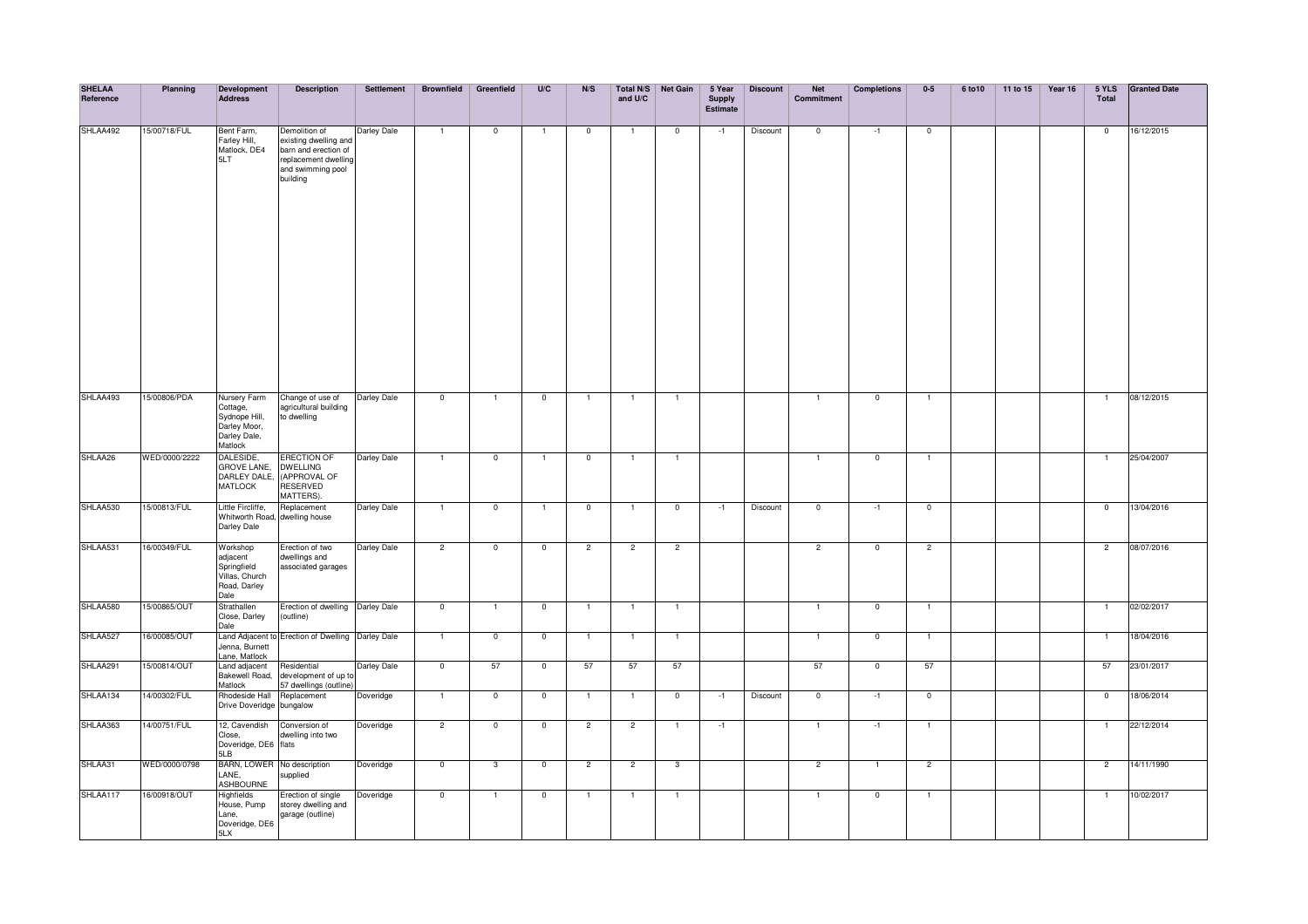| <b>SHELAA</b><br>Reference | Planning      | <b>Development</b><br><b>Address</b>                                                 | <b>Description</b>                                                                                                      | Settlement  | <b>Brownfield</b>        | Greenfield              | U/C                     | N/S            | and U/C        | Total N/S Net Gain       | 5 Year<br><b>Supply</b><br>Estimate | <b>Discount</b> | <b>Net</b><br><b>Commitment</b> | <b>Completions</b> | $0-5$          | 6 to 10 | 11 to 15 | Year 16 | 5 YLS<br>Total | <b>Granted Date</b> |
|----------------------------|---------------|--------------------------------------------------------------------------------------|-------------------------------------------------------------------------------------------------------------------------|-------------|--------------------------|-------------------------|-------------------------|----------------|----------------|--------------------------|-------------------------------------|-----------------|---------------------------------|--------------------|----------------|---------|----------|---------|----------------|---------------------|
| SHLAA492                   | 15/00718/FUL  | Bent Farm,<br>Farley Hill,<br>Matlock, DE4<br>5LT                                    | Demolition of<br>existing dwelling and<br>barn and erection of<br>replacement dwelling<br>and swimming pool<br>building | Darley Dale | $\overline{1}$           | $\mathbf 0$             | $\overline{1}$          | $\mathbf 0$    | $\overline{1}$ | $\overline{\mathbf{0}}$  | $-1$                                | Discount        | $\mathbf{0}$                    | $-1$               | $\overline{0}$ |         |          |         | $\mathbf 0$    | 16/12/2015          |
| SHLAA493                   | 15/00806/PDA  | Nursery Farm<br>Cottage,<br>Sydnope Hill,<br>Darley Moor,<br>Darley Dale,<br>Matlock | Change of use of<br>agricultural building<br>to dwelling                                                                | Darley Dale | $\overline{\phantom{0}}$ | $\overline{1}$          | $\mathbf 0$             | $\overline{1}$ | 1              | $\overline{1}$           |                                     |                 | $\mathbf{1}$                    | $\mathbf 0$        | $\mathbf{1}$   |         |          |         | $\mathbf{1}$   | 08/12/2015          |
| SHLAA26                    | WED/0000/2222 | DALESIDE,<br><b>GROVE LANE,</b><br>DARLEY DALE.<br><b>MATLOCK</b>                    | <b>ERECTION OF</b><br><b>DWELLING</b><br>(APPROVAL OF<br>RESERVED<br>MATTERS).                                          | Darley Dale | $\mathbf{1}$             | $\mathbf 0$             | $\overline{1}$          | $\mathbf 0$    | $\overline{1}$ | $\overline{1}$           |                                     |                 | $\mathbf{1}$                    | $\mathbf 0$        | $\mathbf{1}$   |         |          |         | $\mathbf{1}$   | 25/04/2007          |
| SHLAA530                   | 15/00813/FUL  | Little Fircliffe,<br>Whitworth Road, dwelling house<br>Darley Dale                   | Replacement                                                                                                             | Darley Dale | $\overline{1}$           | $\mathbf 0$             | $\mathbf{1}$            | $\mathbf 0$    | 1              | $\overline{\mathbf{0}}$  | $-1$                                | Discount        | $\mathbf{0}$                    | $-1$               | $\overline{0}$ |         |          |         | $\mathbf{0}$   | 13/04/2016          |
| SHLAA531                   | 16/00349/FUL  | Workshop<br>adjacent<br>Springfield<br>Villas, Church<br>Road, Darley<br>Dale        | Erection of two<br>dwellings and<br>associated garages                                                                  | Darley Dale | $\overline{2}$           | $\overline{0}$          | $\overline{\mathbf{0}}$ | $\overline{2}$ | $\overline{2}$ | $\overline{2}$           |                                     |                 | $\overline{2}$                  | $\overline{0}$     | $\overline{2}$ |         |          |         | $\overline{2}$ | 08/07/2016          |
| SHLAA580                   | 15/00865/OUT  | Strathallen<br>Close, Darley<br>Dale                                                 | Erection of dwelling Darley Dale<br>(outline)                                                                           |             | $\mathbf 0$              | $\overline{1}$          | $\mathbf{0}$            | $\overline{1}$ | $\overline{1}$ | $\overline{1}$           |                                     |                 | $\overline{1}$                  | $\mathbf 0$        | $\overline{1}$ |         |          |         | $\overline{1}$ | 02/02/2017          |
| SHLAA527                   | 16/00085/OUT  | Jenna, Burnett<br>Lane, Matlock                                                      | Land Adjacent to Erection of Dwelling   Darley Dale                                                                     |             | $\overline{1}$           | $\overline{\mathbf{0}}$ | $\overline{0}$          | $\overline{1}$ | - 1            | $\overline{1}$           |                                     |                 | $\overline{1}$                  | $\overline{0}$     | $\overline{1}$ |         |          |         | $\overline{1}$ | 18/04/2016          |
| SHLAA291                   | 15/00814/OUT  | Land adjacent<br>Bakewell Road,<br>Matlock                                           | Residential<br>development of up to<br>57 dwellings (outline)                                                           | Darley Dale | $\overline{\phantom{0}}$ | 57                      | $\overline{\mathbf{0}}$ | 57             | 57             | 57                       |                                     |                 | 57                              | $\overline{0}$     | 57             |         |          |         | 57             | 23/01/2017          |
| SHLAA134                   | 4/00302/FUL   | Rhodeside Hall<br>Drive Doveridge bungalow                                           | Replacement                                                                                                             | Doveridge   | $\overline{1}$           | $\overline{0}$          | $\overline{0}$          | $\overline{1}$ | $\mathbf{1}$   | $\overline{\phantom{0}}$ | $-1$                                | Discount        | $\overline{0}$                  | $-1$               | $\overline{0}$ |         |          |         | $\overline{0}$ | 18/06/2014          |
| SHLAA363                   | 14/00751/FUL  | 12, Cavendish<br>Close,<br>Doveridge, DE6<br>5LB                                     | Conversion of<br>dwelling into two<br>flats                                                                             | Doveridge   | $\overline{2}$           | $\overline{0}$          | $\overline{0}$          | $\overline{2}$ | $\overline{2}$ | $\overline{1}$           | $-1$                                |                 | $\mathbf{1}$                    | $-1$               | $\mathbf{1}$   |         |          |         | $\mathbf{1}$   | 22/12/2014          |
| SHLAA31                    | WED/0000/0798 | BARN, LOWER No description<br>LANE,<br><b>ASHBOURNE</b>                              | supplied                                                                                                                | Doveridge   | $\overline{0}$           | 3                       | $\overline{0}$          | $\overline{c}$ | $\overline{2}$ | $\mathbf{3}$             |                                     |                 | $\overline{2}$                  | $\mathbf{1}$       | $\overline{2}$ |         |          |         | $\overline{2}$ | 14/11/1990          |
| SHLAA117                   | 16/00918/OUT  | Highfields<br>House, Pump<br>Lane,<br>Doveridge, DE6<br>5LX                          | Frection of single<br>storey dwelling and<br>garage (outline)                                                           | Doveridge   | $\mathbf 0$              |                         | $\overline{0}$          | $\overline{1}$ | 1              | $\overline{1}$           |                                     |                 | $\mathbf{1}$                    | $\pmb{0}$          | $\mathbf{1}$   |         |          |         | $\overline{1}$ | 10/02/2017          |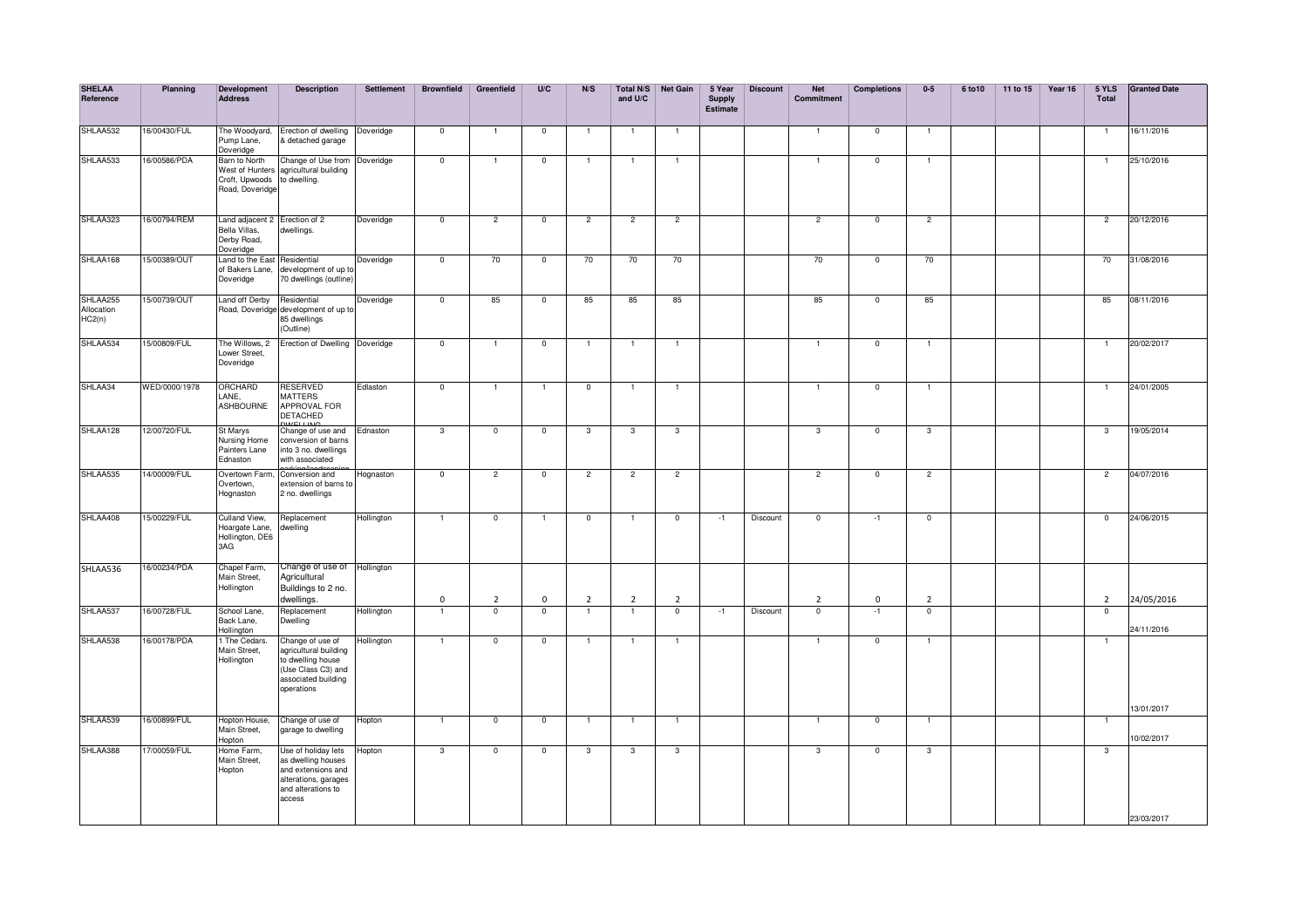| <b>SHELAA</b><br>Reference       | Planning      | Development<br>Address                                                     | <b>Description</b>                                                                                                        | Settlement | <b>Brownfield</b>        | Greenfield     | U/C            | N/S            | Total N/S<br>and U/C | <b>Net Gain</b>         | 5 Year<br><b>Supply</b><br><b>Estimate</b> | <b>Discount</b> | <b>Net</b><br>Commitment | <b>Completions</b>       | $0-5$          | 6 to 10 | 11 to 15 | Year 16 | 5 YLS<br><b>Total</b> | <b>Granted Date</b> |
|----------------------------------|---------------|----------------------------------------------------------------------------|---------------------------------------------------------------------------------------------------------------------------|------------|--------------------------|----------------|----------------|----------------|----------------------|-------------------------|--------------------------------------------|-----------------|--------------------------|--------------------------|----------------|---------|----------|---------|-----------------------|---------------------|
| SHLAA532                         | 16/00430/FUL  | The Woodyard,<br>Pump Lane,<br>Doveridge                                   | Erection of dwelling<br>& detached garage                                                                                 | Doveridge  | $\overline{\phantom{0}}$ | $\overline{1}$ | $\overline{0}$ | -1             | $\overline{1}$       | $\overline{1}$          |                                            |                 |                          | $\overline{0}$           | -1             |         |          |         | $\mathbf{1}$          | 16/11/2016          |
| SHLAA533                         | 16/00586/PDA  | Barn to North<br>Croft, Upwoods to dwelling.<br>Road, Doveridge            | Change of Use from<br>West of Hunters agricultural building                                                               | Doveridge  | $\overline{\phantom{a}}$ | $\overline{1}$ | $\overline{0}$ | $\mathbf{1}$   | $\overline{1}$       | $\overline{1}$          |                                            |                 |                          | $\overline{0}$           | $\overline{1}$ |         |          |         | $\overline{1}$        | 25/10/2016          |
| SHLAA323                         | 16/00794/REM  | Land adjacent 2 Erection of 2<br>Bella Villas,<br>Derby Road,<br>Doveridge | dwellings.                                                                                                                | Doveridge  | $\overline{0}$           | $\overline{2}$ | $\overline{0}$ | $\overline{2}$ | $\overline{2}$       | $\overline{2}$          |                                            |                 | $\overline{2}$           | $\overline{\phantom{0}}$ | $\overline{2}$ |         |          |         | $\overline{2}$        | 20/12/2016          |
| SHLAA168                         | 15/00389/OUT  | Land to the East Residential<br>of Bakers Lane,<br>Doveridge               | development of up to<br>70 dwellings (outline)                                                                            | Doveridge  | $\overline{0}$           | 70             | $\overline{0}$ | 70             | 70                   | 70                      |                                            |                 | 70                       | $\mathsf 0$              | 70             |         |          |         | 70                    | 31/08/2016          |
| SHLAA255<br>Allocation<br>HC2(n) | 15/00739/OUT  | Land off Derby Residential                                                 | Road, Doveridge development of up to<br>85 dwellings<br>(Outline)                                                         | Doveridge  | $\overline{\phantom{0}}$ | 85             | $\mathbf 0$    | 85             | 85                   | 85                      |                                            |                 | 85                       | $\mathbf 0$              | 85             |         |          |         | 85                    | 08/11/2016          |
| SHLAA534                         | 15/00809/FUL  | The Willows, 2<br>Lower Street,<br>Doveridge                               | Erection of Dwelling Doveridge                                                                                            |            | $\overline{\mathbf{0}}$  |                | $\overline{0}$ | $\mathbf{1}$   | $\overline{1}$       | $\overline{1}$          |                                            |                 |                          | $\overline{0}$           | $\overline{1}$ |         |          |         | $\overline{1}$        | 20/02/2017          |
| SHLAA34                          | WED/0000/1978 | ORCHARD<br>LANE,<br>ASHBOURNE                                              | <b>RESERVED</b><br><b>MATTERS</b><br>APPROVAL FOR<br><b>DETACHED</b>                                                      | Edlaston   | $\overline{0}$           | $\mathbf{1}$   | $\mathbf{1}$   | $\overline{0}$ | $\overline{1}$       | $\overline{1}$          |                                            |                 | $\mathbf{1}$             | $\overline{0}$           | $\overline{1}$ |         |          |         | $\mathbf{1}$          | 24/01/2005          |
| SHLAA128                         | 12/00720/FUL  | St Marys<br>Nursing Home<br>Painters Lane<br>Ednaston                      | Change of use and<br>conversion of barns<br>into 3 no. dwellings<br>with associated                                       | Ednaston   | 3                        | $\mathbf{0}$   | $\overline{0}$ | 3              | $\mathbf{3}$         | 3                       |                                            |                 | 3                        | $\overline{0}$           | 3              |         |          |         | 3                     | 19/05/2014          |
| SHLAA535                         | 14/00009/FUL  | Overtown Farm,<br>Overtown,<br>Hognaston                                   | norking/longboom<br>Conversion and<br>extension of barns to<br>2 no. dwellings                                            | Hognaston  | $\overline{0}$           | $\overline{2}$ | $\overline{0}$ | $\overline{2}$ | $\overline{2}$       | $\overline{2}$          |                                            |                 | $\overline{2}$           | $\overline{0}$           | $\overline{2}$ |         |          |         | $\overline{2}$        | 04/07/2016          |
| SHLAA408                         | 15/00229/FUL  | Culland View,<br>Hoargate Lane,<br>Hollington, DE6<br>3AG                  | Replacement<br>dwelling                                                                                                   | Hollington | $\overline{1}$           | $\mathbf 0$    | $\mathbf{1}$   | $^{\circ}$     | $\overline{1}$       | $\overline{0}$          | $-1$                                       | Discount        | $\mathbf 0$              | $-1$                     | $\mathbf 0$    |         |          |         | $\mathbf 0$           | 24/06/2015          |
| SHLAA536                         | 16/00234/PDA  | Chapel Farm,<br>Main Street,<br>Hollington                                 | Change of use of Hollington<br>Agricultural<br>Buildings to 2 no.<br>dwellings.                                           |            | $\mathbf 0$              | $\overline{2}$ | $\mathbf 0$    | $\overline{2}$ | $\overline{2}$       | $\overline{2}$          |                                            |                 | $\overline{2}$           | $\mathbf 0$              | $\overline{2}$ |         |          |         | $\overline{2}$        | 24/05/2016          |
| SHLAA537                         | 16/00728/FUL  | School Lane,<br>Back Lane,<br>Hollington                                   | Replacement<br>Dwelling                                                                                                   | Hollington | $\overline{\mathbf{1}}$  | $\overline{0}$ | $\overline{0}$ |                | 7                    | $\overline{\mathbf{0}}$ | $-1$                                       | Discount        | $\overline{0}$           | $-1$                     | $\overline{0}$ |         |          |         | $\overline{0}$        | 24/11/2016          |
| SHLAA538                         | 16/00178/PDA  | 1 The Cedars.<br>Main Street,<br>Hollington                                | Change of use of<br>agricultural building<br>to dwelling house<br>(Use Class C3) and<br>associated building<br>operations | Hollington | $\overline{1}$           | $\mathbf{0}$   | $\overline{0}$ | $\overline{1}$ | $\overline{1}$       | $\overline{1}$          |                                            |                 | 1                        | $\mathsf 0$              | $\overline{1}$ |         |          |         | $\overline{1}$        | 13/01/2017          |
| SHLAA539                         | 16/00899/FUL  | Hopton House,<br>Main Street.<br>Hopton                                    | Change of use of<br>garage to dwelling                                                                                    | Hopton     | $\overline{1}$           | $\mathbf 0$    | $\overline{0}$ | $\mathbf{1}$   | $\mathbf{1}$         | $\overline{1}$          |                                            |                 | $\overline{1}$           | $\mathbf 0$              | $\overline{1}$ |         |          |         | $\overline{1}$        | 10/02/2017          |
| SHLAA388                         | 17/00059/FUL  | Home Farm,<br>Main Street,<br>Hopton                                       | Use of holiday lets<br>as dwelling houses<br>and extensions and<br>alterations, garages<br>and alterations to<br>access   | Hopton     | 3                        | $\mathbf 0$    | $\mathbf 0$    | 3              | 3                    | 3                       |                                            |                 | $\overline{3}$           | $\mathbf 0$              | $\overline{3}$ |         |          |         | $\mathbf{3}$          | 23/03/2017          |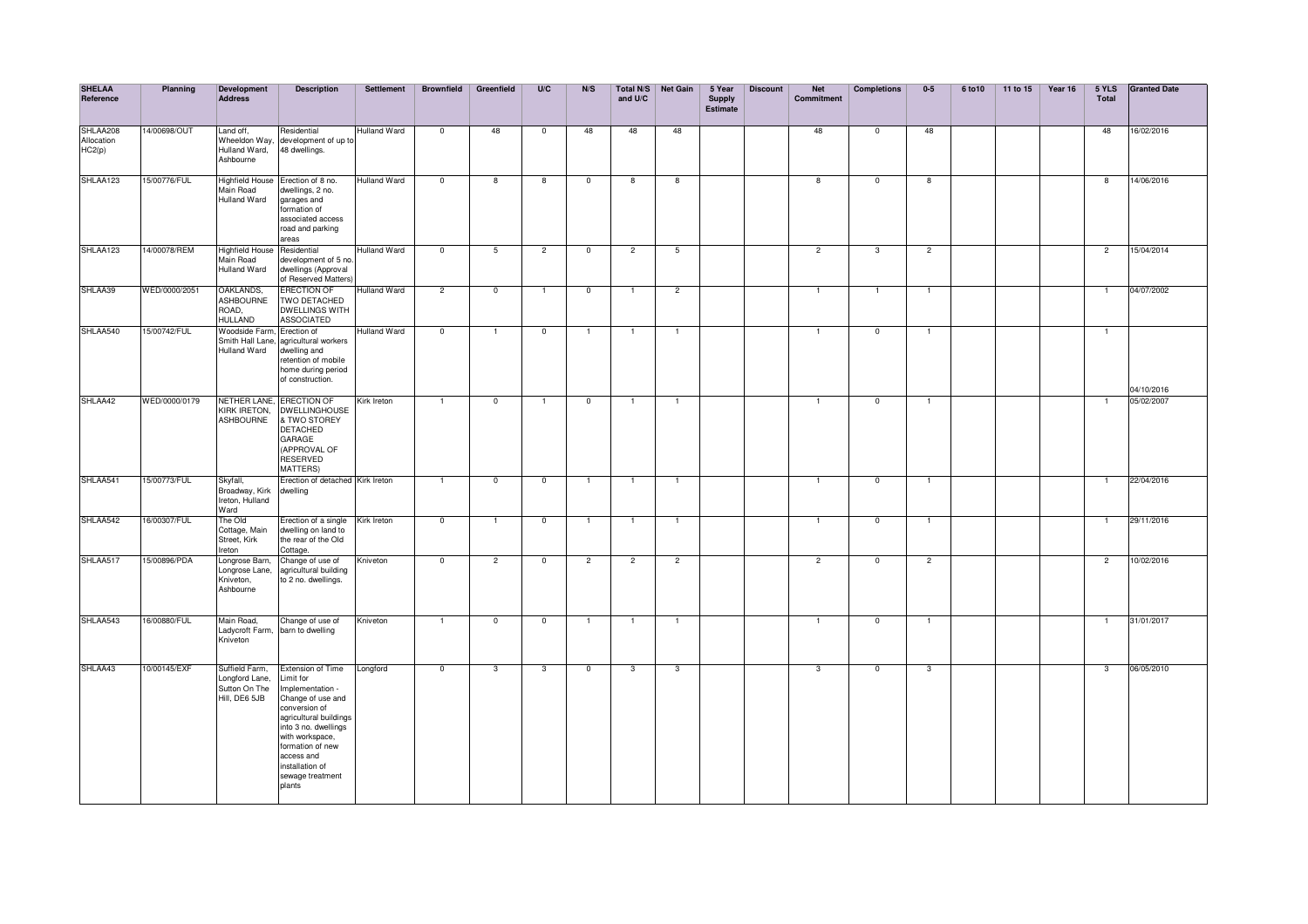| <b>SHELAA</b><br>Reference       | Planning      | Development<br><b>Address</b>                                      | <b>Description</b>                                                                                                                                                                                                                                     | <b>Settlement</b>   | <b>Brownfield</b>       | Greenfield     | U/C                     | N/S            | and U/C        | Total N/S Net Gain      | 5 Year<br><b>Supply</b><br><b>Estimate</b> | <b>Discount</b> | <b>Net</b><br><b>Commitment</b> | <b>Completions</b> | $0-5$                   | 6 to 10 | 11 to 15 | Year 16 | 5 YLS<br>Total | <b>Granted Date</b> |
|----------------------------------|---------------|--------------------------------------------------------------------|--------------------------------------------------------------------------------------------------------------------------------------------------------------------------------------------------------------------------------------------------------|---------------------|-------------------------|----------------|-------------------------|----------------|----------------|-------------------------|--------------------------------------------|-----------------|---------------------------------|--------------------|-------------------------|---------|----------|---------|----------------|---------------------|
| SHLAA208<br>Allocation<br>HC2(p) | 14/00698/OUT  | Land off,<br>Hulland Ward,<br>Ashbourne                            | Residential<br>Wheeldon Way, development of up to<br>48 dwellings.                                                                                                                                                                                     | <b>Hulland Ward</b> | $\mathbf 0$             | 48             | $\mathbf 0$             | 48             | 48             | 48                      |                                            |                 | 48                              | $^{\circ}$         | 48                      |         |          |         | 48             | 16/02/2016          |
| SHLAA123                         | 15/00776/FUL  | <b>Highfield House</b><br>Main Road<br>Hulland Ward                | Erection of 8 no.<br>dwellings, 2 no.<br>garages and<br>ormation of<br>associated access<br>road and parking<br>areas                                                                                                                                  | <b>Hulland Ward</b> | $\overline{0}$          | 8              | 8                       | $\mathbf 0$    | 8              | 8                       |                                            |                 | $\overline{\mathbf{8}}$         | $\mathbf 0$        | $\overline{\mathbf{8}}$ |         |          |         | 8              | 14/06/2016          |
| SHLAA123                         | 14/00078/REM  | <b>Highfield House</b><br>Main Road<br>Hulland Ward                | Residential<br>development of 5 no.<br>dwellings (Approval<br>of Reserved Matters)                                                                                                                                                                     | <b>Hulland Ward</b> | $\overline{0}$          | 5              | $\overline{2}$          | $\mathbf 0$    | $\overline{2}$ | 5                       |                                            |                 | $\overline{2}$                  | 3                  | $\overline{2}$          |         |          |         | $\overline{2}$ | 15/04/2014          |
| SHLAA39                          | WED/0000/2051 | OAKLANDS,<br><b>ASHBOURNE</b><br>ROAD.<br><b>HULLAND</b>           | <b>ERECTION OF</b><br>TWO DETACHED<br><b>DWELLINGS WITH</b><br><b>ASSOCIATED</b>                                                                                                                                                                       | <b>Hulland Ward</b> | $\overline{2}$          | $\overline{0}$ |                         | $\mathbf 0$    | $\overline{1}$ | $\overline{2}$          |                                            |                 | $\mathbf{1}$                    | $\mathbf{1}$       | $\overline{1}$          |         |          |         | $\mathbf{1}$   | 04/07/2002          |
| SHLAA540                         | 15/00742/FUL  | Woodside Farm, Erection of<br>Smith Hall Lane,<br>Hulland Ward     | agricultural workers<br>dwelling and<br>retention of mobile<br>home during period<br>of construction.                                                                                                                                                  | <b>Hulland Ward</b> | $\mathbf 0$             | $\mathbf{1}$   | $\mathbf 0$             | $\mathbf{1}$   | 1              | $\overline{1}$          |                                            |                 | $\mathbf{1}$                    | $\mathbf 0$        | $\mathbf{1}$            |         |          |         | $\mathbf{1}$   | 04/10/2016          |
| SHLAA42                          | WED/0000/0179 | NETHER LANE,<br>KIRK IRETON,<br><b>ASHBOURNE</b>                   | <b>ERECTION OF</b><br><b>DWELLINGHOUSE</b><br>& TWO STOREY<br>DETACHED<br>GARAGE<br>(APPROVAL OF<br>RESERVED<br><b>MATTERS)</b>                                                                                                                        | Kirk Ireton         | $\overline{1}$          | $\overline{0}$ |                         | $\mathbf{0}$   | -1             | $\mathbf{1}$            |                                            |                 | 1                               | $\overline{0}$     | $\mathbf{1}$            |         |          |         | -1             | 05/02/2007          |
| SHLAA541                         | 15/00773/FUL  | Skyfall,<br>Broadway, Kirk<br>Ireton, Hulland<br>Ward              | Erection of detached Kirk Ireton<br>dwelling                                                                                                                                                                                                           |                     | $\overline{1}$          | $\overline{0}$ | $\overline{\mathbf{0}}$ | $\overline{1}$ | $\overline{1}$ | $\overline{1}$          |                                            |                 | $\overline{1}$                  | $\overline{0}$     | $\overline{1}$          |         |          |         | $\mathbf{1}$   | 22/04/2016          |
| SHLAA542                         | 16/00307/FUL  | The Old<br>Cottage, Main<br>Street, Kirk<br>Ireton                 | Erection of a single<br>dwelling on land to<br>the rear of the Old<br>Cottage.                                                                                                                                                                         | Kirk Ireton         | $\overline{0}$          | $\overline{1}$ | $\overline{\mathbf{0}}$ | $\overline{1}$ | $\overline{1}$ | $\overline{1}$          |                                            |                 | $\mathbf{1}$                    | $\overline{0}$     | $\overline{1}$          |         |          |         | -1             | 29/11/2016          |
| SHLAA517                         | 15/00896/PDA  | Longrose Barn,<br>ongrose Lane,<br>Kniveton,<br>Ashbourne          | Change of use of<br>agricultural building<br>to 2 no. dwellings.                                                                                                                                                                                       | Kniveton            | $\mathbf 0$             | $\overline{2}$ | $\overline{0}$          | $\overline{2}$ | $\overline{2}$ | $\overline{2}$          |                                            |                 | $\overline{2}$                  | $\mathbf 0$        | $\overline{2}$          |         |          |         | $\overline{2}$ | 10/02/2016          |
| SHLAA543                         | 16/00880/FUL  | Main Road,<br>Ladycroft Farm,<br>Kniveton                          | Change of use of<br>barn to dwelling                                                                                                                                                                                                                   | Kniveton            | $\overline{1}$          | $\mathbf 0$    | $\mathbf 0$             | -1             | -1             | $\overline{1}$          |                                            |                 | 1                               | $\mathbf 0$        | $\mathbf{1}$            |         |          |         | 1              | 31/01/2017          |
| SHLAA43                          | 10/00145/EXF  | Suffield Farm,<br>Longford Lane,<br>Sutton On The<br>Hill, DE6 5JB | <b>Extension of Time</b><br>imit for<br>Implementation -<br>Change of use and<br>conversion of<br>agricultural buildings<br>into 3 no. dwellings<br>with workspace,<br>formation of new<br>access and<br>installation of<br>sewage treatment<br>plants | Longford            | $\overline{\mathbf{0}}$ | 3              | 3                       | $\overline{0}$ | 3              | $\overline{\mathbf{3}}$ |                                            |                 | 3                               | $\overline{0}$     | $\mathbf{3}$            |         |          |         | $\mathbf{3}$   | 06/05/2010          |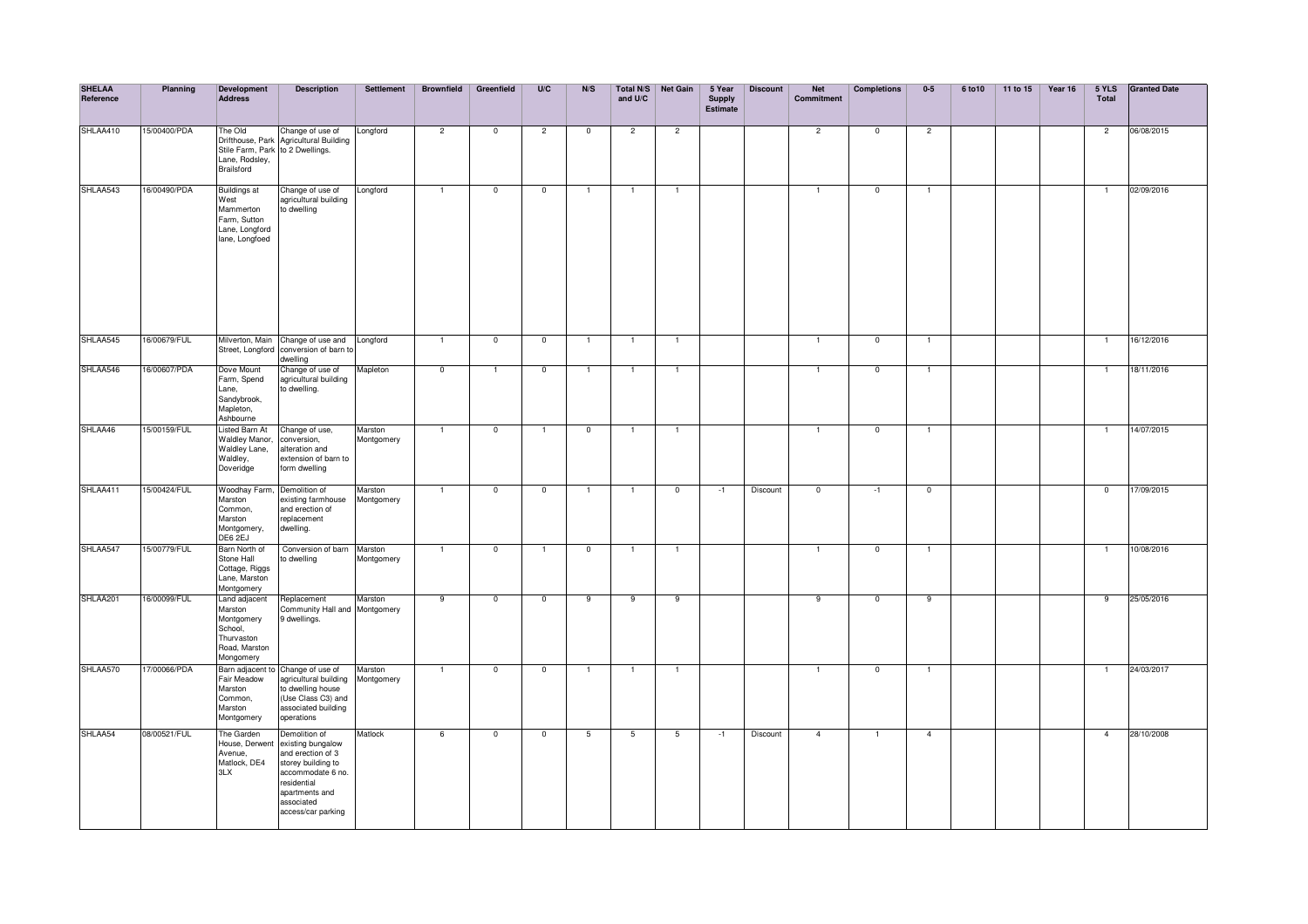| <b>SHELAA</b><br>Reference | Planning     | Development<br><b>Address</b>                                                                 | <b>Description</b>                                                                                                                                                      | Settlement            | <b>Brownfield</b>       | Greenfield               | U/C                      | N/S            | and U/C         | Total N/S Net Gain | 5 Year<br><b>Supply</b><br>Estimate | <b>Discount</b> | <b>Net</b><br>Commitment | <b>Completions</b> | $0-5$                    | 6 to 10 | 11 to 15 | Year 16 | 5 YLS<br><b>Total</b> | <b>Granted Date</b> |
|----------------------------|--------------|-----------------------------------------------------------------------------------------------|-------------------------------------------------------------------------------------------------------------------------------------------------------------------------|-----------------------|-------------------------|--------------------------|--------------------------|----------------|-----------------|--------------------|-------------------------------------|-----------------|--------------------------|--------------------|--------------------------|---------|----------|---------|-----------------------|---------------------|
| SHLAA410                   | 15/00400/PDA | The Old<br>Stile Farm, Park to 2 Dwellings.<br>Lane, Rodsley,<br><b>Brailsford</b>            | Change of use of<br>Drifthouse, Park Agricultural Building                                                                                                              | Longford              | $\overline{2}$          | $\overline{0}$           | $\overline{2}$           | $\overline{0}$ | $\overline{2}$  | $\overline{2}$     |                                     |                 | $\overline{2}$           | $\overline{0}$     | $\overline{2}$           |         |          |         | $\overline{2}$        | 06/08/2015          |
| SHLAA543                   | 16/00490/PDA | <b>Buildings at</b><br>West<br>Mammerton<br>Farm, Sutton<br>Lane, Longford<br>lane, Longfoed  | Change of use of<br>agricultural building<br>to dwelling                                                                                                                | Longford              | $\overline{1}$          | $\overline{0}$           | $\overline{0}$           | $\overline{1}$ | $\blacksquare$  | $\overline{1}$     |                                     |                 | $\mathbf{1}$             | $\overline{0}$     | $\overline{1}$           |         |          |         | $\overline{1}$        | 02/09/2016          |
| SHLAA545                   | 16/00679/FUL |                                                                                               | Milverton, Main Change of use and Longford<br>Street, Longford conversion of barn to<br>dwelling                                                                        |                       | $\overline{1}$          | $\overline{\phantom{0}}$ | $\overline{0}$           | $\overline{1}$ | $\overline{1}$  | $\overline{1}$     |                                     |                 | $\overline{1}$           | $\overline{0}$     | $\overline{1}$           |         |          |         | $\overline{1}$        | 16/12/2016          |
| SHLAA546                   | 16/00607/PDA | Dove Mount<br>Farm, Spend<br>Lane,<br>Sandybrook,<br>Mapleton,<br>Ashbourne                   | Change of use of<br>agricultural building<br>to dwelling.                                                                                                               | Mapleton              | $\overline{\mathbf{0}}$ | $\overline{1}$           | $\overline{\phantom{0}}$ | $\mathbf{1}$   | $\overline{1}$  | $\overline{1}$     |                                     |                 | $\mathbf{1}$             | $\overline{0}$     | $\overline{1}$           |         |          |         | $\overline{1}$        | 18/11/2016          |
| SHLAA46                    | 15/00159/FUL | Listed Barn At<br>Waldley Manor,<br>Waldley Lane,<br>Waldley,<br>Doveridge                    | Change of use,<br>conversion,<br>alteration and<br>extension of barn to<br>form dwelling                                                                                | Marston<br>Montgomery | $\overline{1}$          | $\mathbf 0$              | $\overline{1}$           | $\overline{0}$ | $\mathbf{1}$    | $\overline{1}$     |                                     |                 | $\overline{1}$           | $\overline{0}$     | $\overline{1}$           |         |          |         | $\overline{1}$        | 14/07/2015          |
| SHLAA411                   | 15/00424/FUL | Woodhay Farm, Demolition of<br>Marston<br>Common,<br>Marston<br>Montgomery,<br>DE6 2EJ        | existing farmhouse<br>and erection of<br>replacement<br>dwelling.                                                                                                       | Marston<br>Montgomery | $\overline{1}$          | $\overline{0}$           | $\overline{0}$           | $\mathbf{1}$   | $\overline{1}$  | $\mathbf 0$        | $-1$                                | Discount        | $\mathbf 0$              | $-1$               | $\overline{\phantom{0}}$ |         |          |         | $\mathbf 0$           | 17/09/2015          |
| SHLAA547                   | 15/00779/FUL | Barn North of<br>Stone Hall<br>Cottage, Riggs<br>Lane, Marston<br>Montgomery                  | Conversion of barn Marston<br>to dwelling                                                                                                                               | Montgomery            | $\overline{1}$          | $\mathbf 0$              | $\mathbf{1}$             | $\mathbf 0$    |                 | $\overline{1}$     |                                     |                 | $\mathbf{1}$             | $\mathbf 0$        | $\mathbf{1}$             |         |          |         | $\mathbf{1}$          | 10/08/2016          |
| SHLAA201                   | 16/00099/FUL | Land adjacent<br>Marston<br>Montgomery<br>School,<br>Thurvaston<br>Road, Marston<br>Mongomery | Replacement<br>Community Hall and Montgomery<br>9 dwellings.                                                                                                            | Marston               | 9                       | $\mathbf 0$              | $\overline{0}$           | 9              | 9               | 9                  |                                     |                 | 9                        | $\mathbf 0$        | 9                        |         |          |         | 9                     | 25/05/2016          |
| SHLAA570                   | 17/00066/PDA | Fair Meadow<br>Marston<br>Common,<br>Marston<br>Montgomery                                    | Barn adjacent to Change of use of<br>agricultural building Montgomery<br>to dwelling house<br>(Use Class C3) and<br>associated building<br>operations                   | Marston               | $\overline{1}$          | $\mathbf 0$              | $\mathbf{0}$             | $\mathbf{1}$   |                 | $\overline{1}$     |                                     |                 | $\mathbf{1}$             | $\mathbf 0$        | $\mathbf{1}$             |         |          |         | $\mathbf{1}$          | 24/03/2017          |
| SHLAA54                    | 08/00521/FUL | The Garden<br>House, Derwent<br>Avenue,<br>Matlock, DE4<br>3LX                                | Demolition of<br>existing bungalow<br>and erection of 3<br>storey building to<br>accommodate 6 no.<br>residential<br>apartments and<br>associated<br>access/car parking | Matlock               | 6                       | $\overline{0}$           | $\overline{0}$           | 5              | $5\overline{)}$ | 5                  | $-1$                                | Discount        | $\overline{4}$           |                    | $\overline{4}$           |         |          |         | $\overline{4}$        | 28/10/2008          |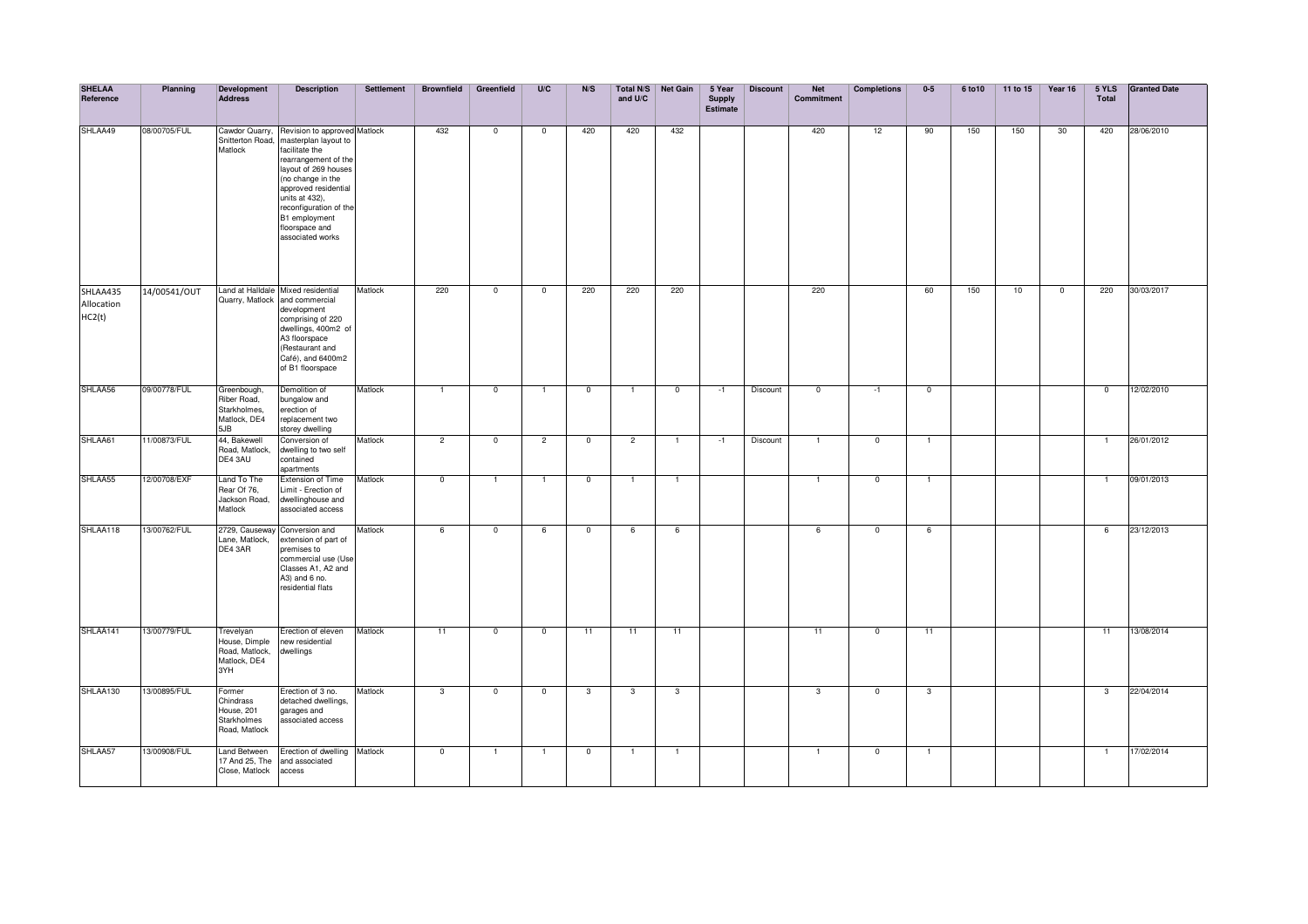| <b>SHELAA</b><br>Reference       | Planning     | <b>Development</b><br><b>Address</b>                                | <b>Description</b>                                                                                                                                                                                                                                                     | Settlement | <b>Brownfield</b> | Greenfield     | U/C            | N/S            | Total N/S<br>and U/C | <b>Net Gain</b> | 5 Year<br><b>Supply</b><br>Estimate | <b>Discount</b> | <b>Net</b><br>Commitment | <b>Completions</b> | $0-5$           | 6 to 10 | 11 to 15 | Year 16     | 5 YLS<br><b>Total</b> | <b>Granted Date</b> |
|----------------------------------|--------------|---------------------------------------------------------------------|------------------------------------------------------------------------------------------------------------------------------------------------------------------------------------------------------------------------------------------------------------------------|------------|-------------------|----------------|----------------|----------------|----------------------|-----------------|-------------------------------------|-----------------|--------------------------|--------------------|-----------------|---------|----------|-------------|-----------------------|---------------------|
| SHLAA49                          | 08/00705/FUL | Cawdor Quarry,<br>Snitterton Road,<br>Matlock                       | Revision to approved Matlock<br>masterplan layout to<br>facilitate the<br>rearrangement of the<br>layout of 269 houses<br>(no change in the<br>approved residential<br>units at 432).<br>reconfiguration of the<br>B1 employment<br>floorspace and<br>associated works |            | 432               | $\mathbf 0$    | $^{\circ}$     | 420            | 420                  | 432             |                                     |                 | 420                      | 12                 | 90              | 150     | 150      | 30          | 420                   | 28/06/2010          |
| SHLAA435<br>Allocation<br>HC2(t) | 14/00541/OUT |                                                                     | Land at Halldale Mixed residential<br>Quarry, Matlock and commercial<br>development<br>comprising of 220<br>dwellings, 400m2 of<br>A3 floorspace<br>(Restaurant and<br>Café), and 6400m2<br>of B1 floorspace                                                           | Matlock    | 220               | $\mathbf 0$    | $\mathbf 0$    | 220            | 220                  | 220             |                                     |                 | 220                      |                    | 60              | 150     | 10       | $\mathbf 0$ | 220                   | 30/03/2017          |
| SHLAA56                          | 09/00778/FUL | Greenbough,<br>Riber Road,<br>Starkholmes,<br>Matlock, DE4<br>5JB   | Demolition of<br>bungalow and<br>erection of<br>replacement two<br>storey dwelling                                                                                                                                                                                     | Matlock    |                   | $\mathbf{0}$   | $\overline{1}$ | $\overline{0}$ | $\overline{1}$       | $\mathbf{0}$    | $-1$                                | Discount        | $\mathbf 0$              | $-1$               | $\overline{0}$  |         |          |             | $\mathbf 0$           | 12/02/2010          |
| SHLAA61                          | 11/00873/FUL | 44, Bakewell<br>Road, Matlock,<br>DE4 3AU                           | Conversion of<br>dwelling to two self<br>contained<br>apartments                                                                                                                                                                                                       | Matlock    | $\overline{2}$    | $\overline{0}$ | $\overline{2}$ | $\overline{0}$ | $\overline{2}$       |                 | $-1$                                | Discount        | 1                        | $\overline{0}$     | $\overline{1}$  |         |          |             | $\mathbf{1}$          | 26/01/2012          |
| SHLAA55                          | 12/00708/EXF | Land To The<br>Rear Of 76,<br>Jackson Road,<br>Matlock              | <b>Extension of Time</b><br>Limit - Erection of<br>dwellinghouse and<br>associated access                                                                                                                                                                              | Matlock    | $\overline{0}$    |                |                | $\overline{0}$ |                      |                 |                                     |                 |                          | $\overline{0}$     | $\mathbf{1}$    |         |          |             |                       | 09/01/2013          |
| SHLAA118                         | 13/00762/FUL | Lane, Matlock,<br>DE4 3AR                                           | 2729, Causeway Conversion and<br>extension of part of<br>premises to<br>commercial use (Use<br>Classes A1, A2 and<br>A3) and 6 no.<br>residential flats                                                                                                                | Matlock    | 6                 | $\overline{0}$ | 6              | $\overline{0}$ | 6                    | 6               |                                     |                 | 6                        | $\overline{0}$     | $6\overline{6}$ |         |          |             | 6                     | 23/12/2013          |
| SHLAA141                         | 13/00779/FUL | Trevelyan<br>House, Dimple<br>Road, Matlock,<br>Matlock, DE4<br>3YH | Erection of eleven<br>new residential<br>dwellings                                                                                                                                                                                                                     | Matlock    | 11                | $\mathbf 0$    | $^{\circ}$     | 11             | 11                   | 11              |                                     |                 | 11                       | $^{\circ}$         | 11              |         |          |             | 11                    | 13/08/2014          |
| SHLAA130                         | 13/00895/FUL | Former<br>Chindrass<br>House, 201<br>Starkholmes<br>Road, Matlock   | Erection of 3 no.<br>detached dwellings,<br>garages and<br>associated access                                                                                                                                                                                           | Matlock    | $\mathbf{3}$      | $\mathbf 0$    | $\mathbf 0$    | $\mathbf{3}$   | $\mathbf{3}$         | 3               |                                     |                 | $\mathbf{3}$             | $\mathbf 0$        | $\mathbf{3}$    |         |          |             | $\mathbf{3}$          | 22/04/2014          |
| SHLAA57                          | 13/00908/FUL | <b>Land Between</b><br>17 And 25, The<br>Close, Matlock             | Erection of dwelling Matlock<br>and associated<br>access                                                                                                                                                                                                               |            | $\mathbf 0$       | $\mathbf{1}$   | $\overline{1}$ | $\mathbf 0$    | $\mathbf{1}$         | $\mathbf{1}$    |                                     |                 | $\mathbf{1}$             | $^{\circ}$         | $\mathbf{1}$    |         |          |             | $\mathbf{1}$          | 17/02/2014          |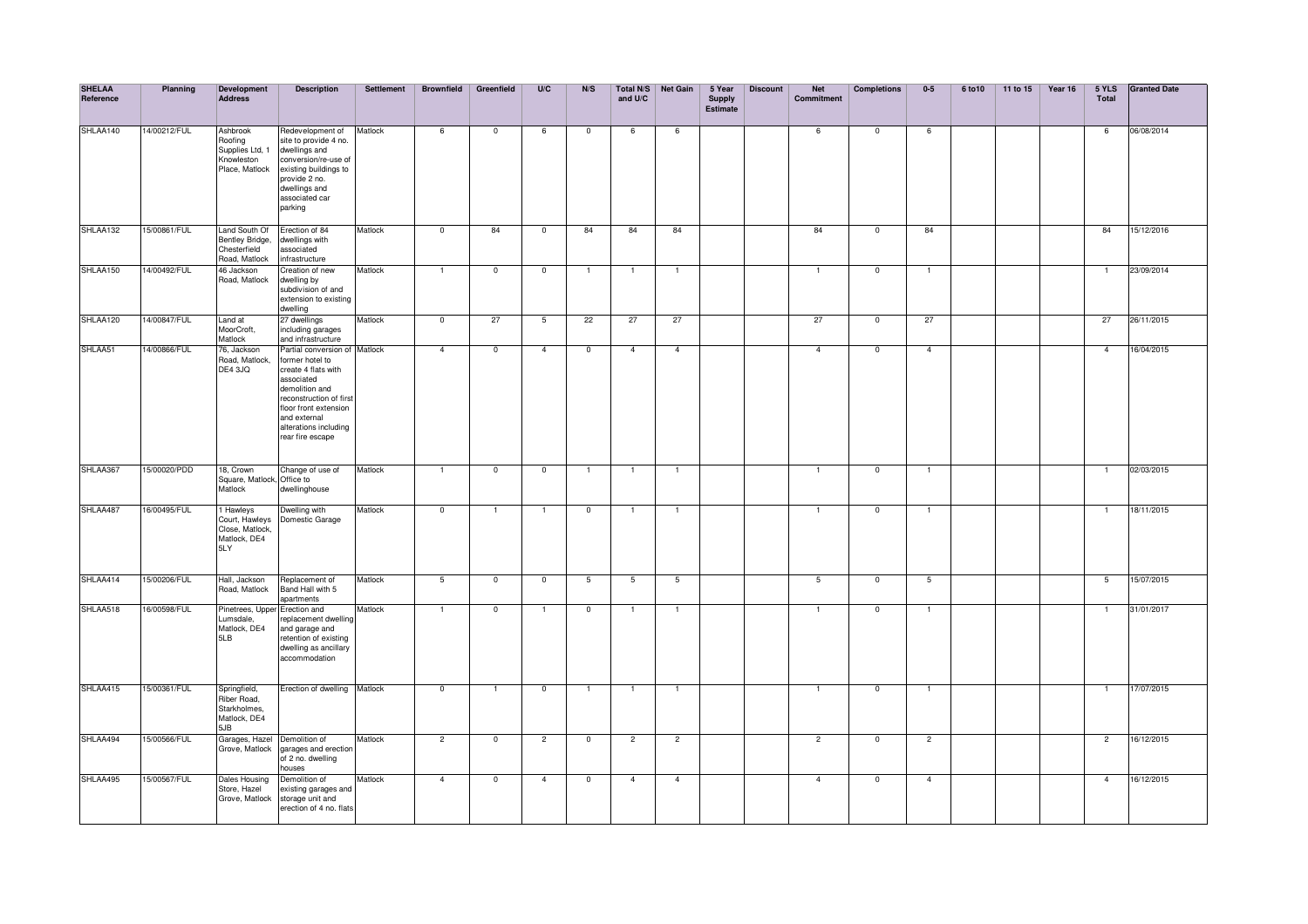| <b>SHELAA</b><br>Reference | Planning     | Development<br><b>Address</b>                                          | <b>Description</b>                                                                                                                                                                                                       | Settlement | <b>Brownfield</b> | Greenfield              | U/C                      | N/S            | and U/C        | Total N/S Net Gain | 5 Year<br><b>Supply</b><br><b>Estimate</b> | <b>Discount</b> | <b>Net</b><br>Commitment | <b>Completions</b> | $0-5$          | 6 to 10 | 11 to 15 | Year 16 | 5 YLS<br><b>Total</b> | <b>Granted Date</b> |
|----------------------------|--------------|------------------------------------------------------------------------|--------------------------------------------------------------------------------------------------------------------------------------------------------------------------------------------------------------------------|------------|-------------------|-------------------------|--------------------------|----------------|----------------|--------------------|--------------------------------------------|-----------------|--------------------------|--------------------|----------------|---------|----------|---------|-----------------------|---------------------|
| SHLAA140                   | 14/00212/FUL | Ashbrook<br>Roofing<br>Supplies Ltd, 1<br>Knowleston<br>Place, Matlock | Redevelopment of<br>site to provide 4 no.<br>dwellings and<br>conversion/re-use of<br>existing buildings to<br>provide 2 no.<br>dwellings and<br>associated car<br>parking                                               | Matlock    | 6                 | $\overline{0}$          | 6                        | $\overline{0}$ | 6              | 6                  |                                            |                 | 6                        | $\overline{0}$     | 6              |         |          |         | 6                     | 06/08/2014          |
| SHLAA132                   | 15/00861/FUL | Land South Of<br>Bentley Bridge,<br>Chesterfield<br>Road, Matlock      | Erection of 84<br>dwellings with<br>associated<br>infrastructure                                                                                                                                                         | Matlock    | $\overline{0}$    | 84                      | $\mathbf 0$              | 84             | 84             | 84                 |                                            |                 | 84                       | $\mathbf 0$        | 84             |         |          |         | 84                    | 15/12/2016          |
| SHLAA150                   | 14/00492/FUL | 46 Jackson<br>Road, Matlock                                            | Creation of new<br>dwelling by<br>subdivision of and<br>extension to existing<br>dwelling                                                                                                                                | Matlock    | 1                 | $\mathbf 0$             | $\mathbf 0$              |                |                | $\mathbf{1}$       |                                            |                 |                          | $\mathbf 0$        | $\overline{1}$ |         |          |         |                       | 23/09/2014          |
| SHLAA120                   | 14/00847/FUL | Land at<br>MoorCroft,<br>Matlock                                       | 27 dwellings<br>including garages<br>and infrastructure                                                                                                                                                                  | Matlock    | $\overline{0}$    | 27                      | 5                        | 22             | 27             | 27                 |                                            |                 | 27                       | $\overline{0}$     | 27             |         |          |         | 27                    | 26/11/2015          |
| SHLAA51                    | 14/00866/FUL | 76, Jackson<br>Road, Matlock,<br>DE4 3JQ                               | Partial conversion of Matlock<br>former hotel to<br>create 4 flats with<br>associated<br>demolition and<br>reconstruction of first<br>floor front extension<br>and external<br>alterations including<br>rear fire escape |            | $\overline{4}$    | $\overline{0}$          | $\overline{4}$           | $\overline{0}$ | $\overline{4}$ | $\overline{4}$     |                                            |                 | $\overline{4}$           | $\mathbf 0$        | $\overline{4}$ |         |          |         | $\overline{4}$        | 16/04/2015          |
| SHLAA367                   | 15/00020/PDD | 18, Crown<br>Square, Matlock, Office to<br>Matlock                     | Change of use of<br>dwellinghouse                                                                                                                                                                                        | Matlock    | $\overline{1}$    | $\overline{0}$          | $\overline{0}$           | -1             |                | $\overline{1}$     |                                            |                 | $\mathbf{1}$             | $\mathbf 0$        | $\overline{1}$ |         |          |         | -1                    | 02/03/2015          |
| SHLAA487                   | 16/00495/FUL | 1 Hawleys<br>Court, Hawleys<br>Close, Matlock,<br>Matlock, DE4<br>5LY  | Dwelling with<br>Domestic Garage                                                                                                                                                                                         | Matlock    | $\overline{0}$    | $\overline{1}$          | $\mathbf{1}$             | $\mathbf{0}$   | $\mathbf{1}$   | $\overline{1}$     |                                            |                 | $\mathbf{1}$             | $\mathbf 0$        | $\overline{1}$ |         |          |         | $\mathbf{1}$          | 18/11/2015          |
| SHLAA414                   | 15/00206/FUL | Hall, Jackson<br>Road, Matlock                                         | Replacement of<br>Band Hall with 5<br>apartments                                                                                                                                                                         | Matlock    | $5\overline{5}$   | $\mathbf 0$             | $\mathbf 0$              | 5              | 5              | 5                  |                                            |                 | $5\overline{5}$          | $\mathbf 0$        | $5^{\circ}$    |         |          |         | 5                     | 15/07/2015          |
| SHLAA518                   | 16/00598/FUL | Pinetrees, Upper<br>Lumsdale,<br>Matlock, DE4<br>5LB                   | Erection and<br>eplacement dwelling<br>and garage and<br>retention of existing<br>dwelling as ancillary<br>accommodation                                                                                                 | Matlock    | $\overline{1}$    | $\overline{0}$          |                          | $\overline{0}$ |                | $\mathbf{1}$       |                                            |                 |                          | $\overline{0}$     | $\overline{1}$ |         |          |         |                       | 31/01/2017          |
| SHLAA415                   | 15/00361/FUL | Springfield,<br>Riber Road,<br>Starkholmes,<br>Matlock, DE4<br>5JB     | Erection of dwelling Matlock                                                                                                                                                                                             |            | $\overline{0}$    | 1                       | $\overline{\phantom{0}}$ | $\mathbf{1}$   | $\overline{1}$ | $\overline{1}$     |                                            |                 | $\mathbf{1}$             | $\overline{0}$     | $\overline{1}$ |         |          |         | $\overline{1}$        | 17/07/2015          |
| SHLAA494                   | 5/00566/FUL  | Garages, Hazel<br>Grove, Matlock                                       | Demolition of<br>garages and erection<br>of 2 no. dwelling<br>houses                                                                                                                                                     | Matlock    | $\overline{2}$    | $\overline{0}$          | $\overline{2}$           | $\overline{0}$ | $\overline{2}$ | $\overline{2}$     |                                            |                 | $\overline{2}$           | $\overline{0}$     | $\overline{2}$ |         |          |         | $\overline{2}$        | 16/12/2015          |
| SHLAA495                   | 15/00567/FUL | Dales Housing<br>Store, Hazel<br>Grove, Matlock                        | Demolition of<br>existing garages and<br>storage unit and<br>erection of 4 no. flats                                                                                                                                     | Matlock    | $\overline{4}$    | $\overline{\mathbf{0}}$ | $\overline{4}$           | $\mathbf 0$    | $\overline{4}$ | $\overline{4}$     |                                            |                 | $\overline{4}$           | $\mathbf 0$        | $\overline{4}$ |         |          |         | $\overline{4}$        | 16/12/2015          |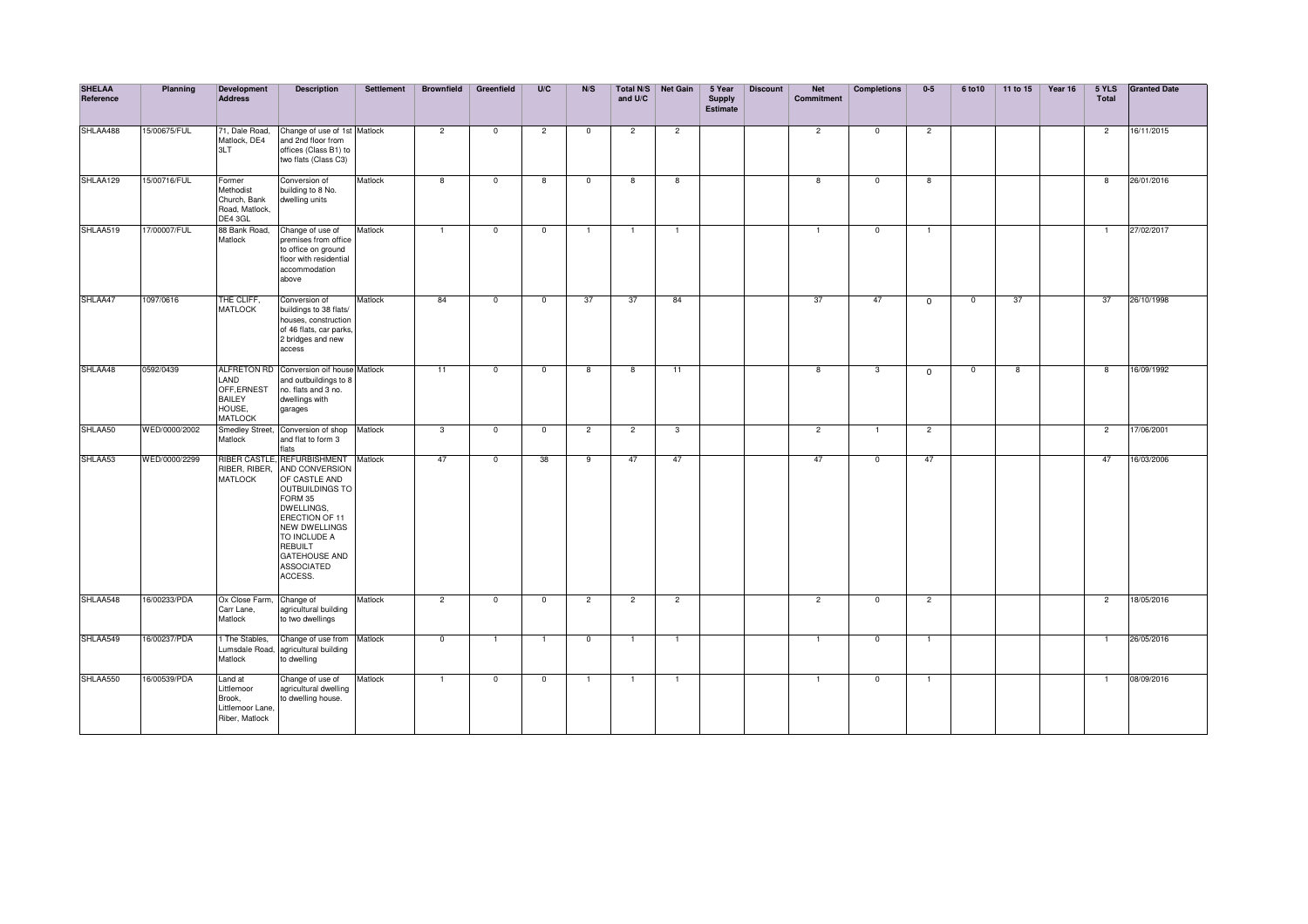| <b>SHELAA</b><br>Reference | Planning      | <b>Development</b><br><b>Address</b>                                  | <b>Description</b>                                                                                                                                                                                                                                    | <b>Settlement</b> | <b>Brownfield</b> | Greenfield              | U/C            | N/S            | Total N/S<br>and U/C | <b>Net Gain</b> | 5 Year<br><b>Supply</b><br><b>Estimate</b> | <b>Discount</b> | <b>Net</b><br>Commitment | <b>Completions</b> | $0-5$                   | 6 to 10                  | 11 to 15 | Year 16 | 5 YLS<br><b>Total</b> | <b>Granted Date</b> |
|----------------------------|---------------|-----------------------------------------------------------------------|-------------------------------------------------------------------------------------------------------------------------------------------------------------------------------------------------------------------------------------------------------|-------------------|-------------------|-------------------------|----------------|----------------|----------------------|-----------------|--------------------------------------------|-----------------|--------------------------|--------------------|-------------------------|--------------------------|----------|---------|-----------------------|---------------------|
| SHLAA488                   | 15/00675/FUL  | 71, Dale Road,<br>Matlock, DE4<br>3LT                                 | Change of use of 1st Matlock<br>and 2nd floor from<br>offices (Class B1) to<br>two flats (Class C3)                                                                                                                                                   |                   | $\overline{2}$    | $^{\circ}$              | $\overline{2}$ | $\mathbf 0$    | $\overline{2}$       | $\overline{2}$  |                                            |                 | $\overline{2}$           | $^{\circ}$         | $\overline{2}$          |                          |          |         | $\overline{2}$        | 16/11/2015          |
| SHLAA129                   | 15/00716/FUL  | Former<br>Methodist<br>Church, Bank<br>Road, Matlock,<br>DE4 3GL      | Conversion of<br>building to 8 No.<br>dwelling units                                                                                                                                                                                                  | Matlock           | $\overline{8}$    | $\overline{0}$          | 8              | $\overline{0}$ | 8                    | $\overline{8}$  |                                            |                 | $\overline{8}$           | $\overline{0}$     | $\overline{\mathbf{8}}$ |                          |          |         | $\overline{8}$        | 26/01/2016          |
| SHLAA519                   | 17/00007/FUL  | 88 Bank Road,<br>Matlock                                              | Change of use of<br>premises from office<br>to office on ground<br>floor with residential<br>accommodation<br>above                                                                                                                                   | Matlock           | $\mathbf{1}$      | $\mathbf 0$             | $\mathbf 0$    | $\mathbf{1}$   | 1                    |                 |                                            |                 | 1                        | $\mathbf 0$        | $\overline{1}$          |                          |          |         | 1                     | 27/02/2017          |
| SHLAA47                    | 1097/0616     | THE CLIFF,<br><b>MATLOCK</b>                                          | Conversion of<br>buildings to 38 flats/<br>houses, construction<br>of 46 flats, car parks<br>2 bridges and new<br>access                                                                                                                              | Matlock           | 84                | $\overline{\mathbf{0}}$ | $\mathbf 0$    | 37             | 37                   | 84              |                                            |                 | 37                       | 47                 | $\mathbf 0$             | $\overline{\phantom{0}}$ | 37       |         | 37                    | 26/10/1998          |
| SHLAA48                    | 0592/0439     | LAND<br>OFF,ERNEST<br><b>BAILEY</b><br>HOUSE,<br><b>MATLOCK</b>       | ALFRETON RD Conversion oif house Matlock<br>and outbuildings to 8<br>no. flats and 3 no.<br>dwellings with<br>garages                                                                                                                                 |                   | 11                | $\mathbf 0$             | $\mathbf 0$    | 8              | 8                    | 11              |                                            |                 | 8                        | 3                  | $\mathbf 0$             | $\mathbf 0$              | 8        |         | 8                     | 16/09/1992          |
| SHLAA50                    | WED/0000/2002 | Smedley Street,<br>Matlock                                            | Conversion of shop<br>and flat to form 3<br>ilats                                                                                                                                                                                                     | Matlock           | $\mathbf{3}$      | $\mathsf 0$             | $\mathbf 0$    | $\overline{2}$ | $\overline{2}$       | $\mathbf{3}$    |                                            |                 | $\overline{2}$           | $\mathbf{1}$       | $\overline{2}$          |                          |          |         | $\overline{2}$        | 17/06/2001          |
| SHLAA53                    | WED/0000/2299 | RIBER, RIBER,<br><b>MATLOCK</b>                                       | RIBER CASTLE, REFURBISHMENT<br>AND CONVERSION<br>OF CASTLE AND<br><b>OUTBUILDINGS TO</b><br>FORM 35<br>DWELLINGS.<br>ERECTION OF 11<br><b>NEW DWELLINGS</b><br>TO INCLUDE A<br><b>REBUILT</b><br><b>GATEHOUSE AND</b><br><b>ASSOCIATED</b><br>ACCESS. | Matlock           | 47                | $^{\circ}$              | 38             | 9              | 47                   | 47              |                                            |                 | 47                       | $\Omega$           | 47                      |                          |          |         | 47                    | 16/03/2006          |
| SHLAA548                   | 16/00233/PDA  | Ox Close Farm,<br>Carr Lane,<br>Matlock                               | Change of<br>agricultural building<br>to two dwellings                                                                                                                                                                                                | Matlock           | $\overline{2}$    | $^{\circ}$              | $\mathbf{0}$   | $\overline{2}$ | $\overline{2}$       | $\overline{2}$  |                                            |                 | $\overline{2}$           | $^{\circ}$         | $\overline{2}$          |                          |          |         | $\overline{2}$        | 18/05/2016          |
| SHLAA549                   | 16/00237/PDA  | 1 The Stables,<br>Lumsdale Road,<br>Matlock                           | Change of use from<br>agricultural building<br>to dwelling                                                                                                                                                                                            | Matlock           | $\mathbf{0}$      | $\overline{1}$          | $\overline{1}$ | $\mathbf 0$    | $\mathbf{1}$         | $\overline{1}$  |                                            |                 | $\overline{1}$           | $^{\circ}$         | $\overline{1}$          |                          |          |         | $\overline{1}$        | 26/05/2016          |
| SHLAA550                   | 16/00539/PDA  | Land at<br>Littlemoor<br>Brook,<br>Littlemoor Lane,<br>Riber, Matlock | Change of use of<br>agricultural dwelling<br>to dwelling house.                                                                                                                                                                                       | Matlock           | $\overline{1}$    | $\mathbf 0$             | $\mathbf 0$    | $\overline{1}$ | $\overline{1}$       | $\overline{1}$  |                                            |                 | $\overline{1}$           | $\mathbf 0$        | $\overline{1}$          |                          |          |         | $\mathbf{1}$          | 08/09/2016          |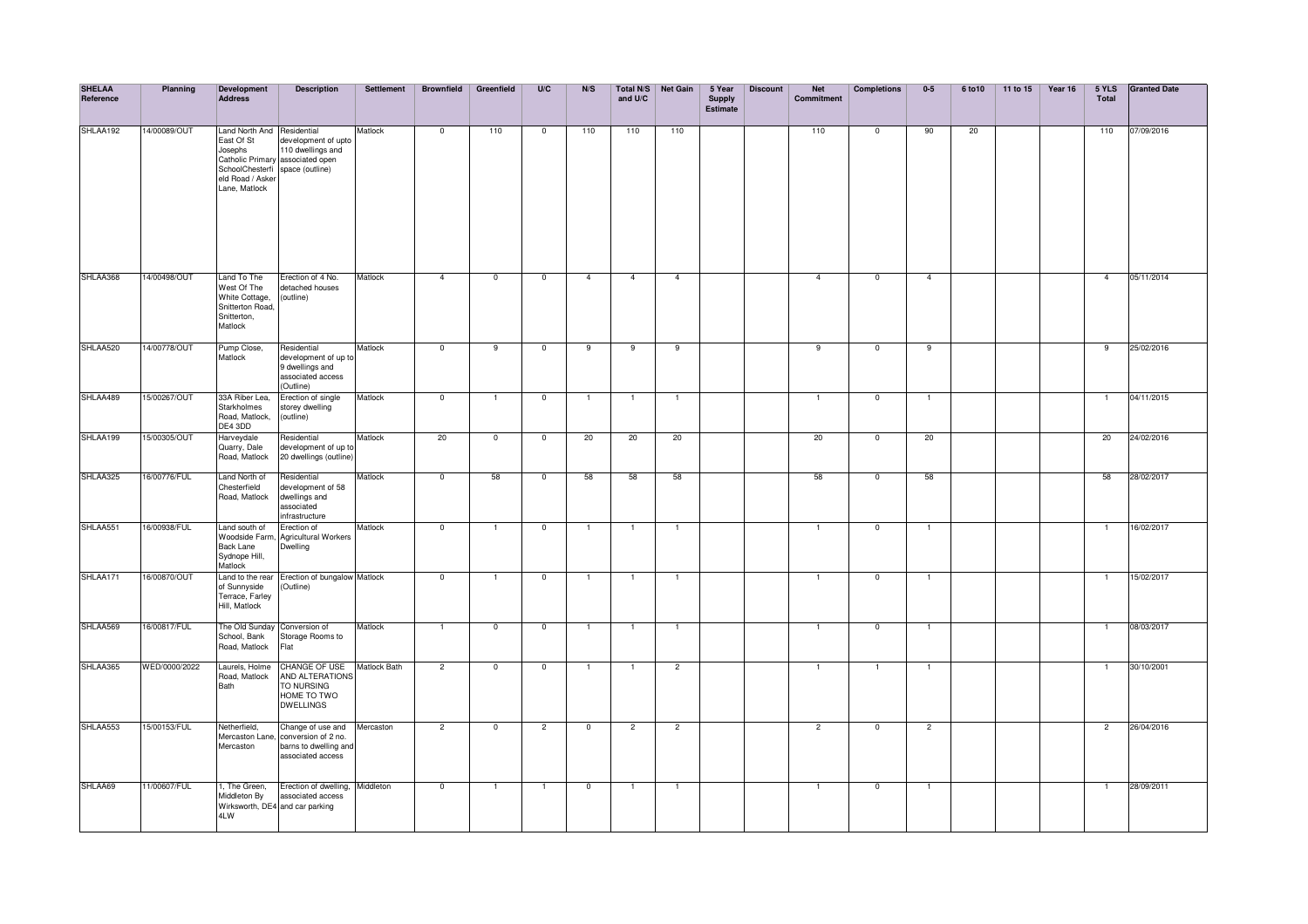| <b>SHELAA</b><br>Reference | Planning      | Development<br><b>Address</b>                                                                                               | <b>Description</b>                                                                       | Settlement          | <b>Brownfield</b> | Greenfield              | U/C                      | N/S            | and U/C        | Total N/S Net Gain | 5 Year<br><b>Supply</b><br><b>Estimate</b> | <b>Discount</b> | <b>Net</b><br>Commitment | <b>Completions</b> | $0-5$          | 6 to 10 | 11 to 15 | Year 16 | 5 YLS<br>Total | <b>Granted Date</b> |
|----------------------------|---------------|-----------------------------------------------------------------------------------------------------------------------------|------------------------------------------------------------------------------------------|---------------------|-------------------|-------------------------|--------------------------|----------------|----------------|--------------------|--------------------------------------------|-----------------|--------------------------|--------------------|----------------|---------|----------|---------|----------------|---------------------|
| SHLAA192                   | 14/00089/OUT  | Land North And Residential<br>East Of St<br>Josephs<br>SchoolChesterfi space (outline)<br>eld Road / Asker<br>Lane, Matlock | development of upto<br>110 dwellings and<br>Catholic Primary associated open             | Matlock             | $\overline{0}$    | 110                     | $\overline{0}$           | 110            | 110            | 110                |                                            |                 | 110                      | $\overline{0}$     | 90             | 20      |          |         | 110            | 07/09/2016          |
| SHLAA368                   | 14/00498/OUT  | Land To The<br>West Of The<br>White Cottage,<br>Snitterton Road,<br>Snitterton,<br>Matlock                                  | Erection of 4 No.<br>detached houses<br>(outline)                                        | Matlock             | $\overline{4}$    | $\overline{0}$          | $\overline{\phantom{0}}$ | $\mathbf{A}$   | $\overline{4}$ | $\overline{4}$     |                                            |                 | $\overline{4}$           | $\overline{0}$     | $\overline{4}$ |         |          |         | $\overline{4}$ | 05/11/2014          |
| SHLAA520                   | 14/00778/OUT  | Pump Close,<br>Matlock                                                                                                      | Residential<br>development of up to<br>9 dwellings and<br>associated access<br>(Outline) | Matlock             | $\overline{0}$    | $\overline{9}$          | $\overline{0}$           | 9              | $\overline{9}$ | 9                  |                                            |                 | $\overline{9}$           | $\overline{0}$     | 9              |         |          |         | 9              | 25/02/2016          |
| SHLAA489                   | 15/00267/OUT  | 33A Riber Lea,<br>Starkholmes<br>Road, Matlock,<br>DE4 3DD                                                                  | Erection of single<br>storey dwelling<br>(outline)                                       | Matlock             | $\overline{0}$    | $\overline{1}$          | $\overline{0}$           | $\overline{1}$ | $\overline{1}$ | $\overline{1}$     |                                            |                 | $\overline{1}$           | $\overline{0}$     | $\overline{1}$ |         |          |         | $\mathbf{1}$   | 04/11/2015          |
| SHLAA199                   | 15/00305/OUT  | Harveydale<br>Quarry, Dale<br>Road, Matlock                                                                                 | Residential<br>development of up to<br>20 dwellings (outline)                            | Matlock             | 20                | $\overline{\mathbf{0}}$ | $\mathbf 0$              | 20             | 20             | 20                 |                                            |                 | 20                       | $\mathbf 0$        | 20             |         |          |         | 20             | 24/02/2016          |
| SHLAA325                   | 16/00776/FUL  | Land North of<br>Chesterfield<br>Road, Matlock                                                                              | Residential<br>development of 58<br>dwellings and<br>associated<br>infrastructure        | Matlock             | $\overline{0}$    | 58                      | $\mathbf 0$              | 58             | 58             | 58                 |                                            |                 | 58                       | $\mathbf 0$        | 58             |         |          |         | 58             | 28/02/2017          |
| SHLAA551                   | 16/00938/FUL  | Land south of<br>Woodside Farm.<br><b>Back Lane</b><br>Sydnope Hill,<br>Matlock                                             | Erection of<br><b>Agricultural Workers</b><br>Dwelling                                   | Matlock             | $\overline{0}$    | $\overline{1}$          | $\overline{0}$           | $\mathbf{1}$   | $\mathbf{1}$   | $\overline{1}$     |                                            |                 | $\mathbf{1}$             | $^{\circ}$         | $\mathbf{1}$   |         |          |         | $\overline{1}$ | 16/02/2017          |
| SHLAA171                   | 16/00870/OUT  | of Sunnyside<br>Terrace, Farley<br>Hill, Matlock                                                                            | Land to the rear Erection of bungalow Matlock<br>(Outline)                               |                     | $\overline{0}$    | $\overline{1}$          | $\overline{0}$           | $\mathbf{1}$   | $\mathbf{1}$   | $\overline{1}$     |                                            |                 | $\overline{1}$           | $\mathbf 0$        | $\overline{1}$ |         |          |         | $\mathbf{1}$   | 15/02/2017          |
| SHLAA569                   | 16/00817/FUL  | The Old Sunday<br>School, Bank<br>Road, Matlock                                                                             | Conversion of<br>Storage Rooms to<br>Flat                                                | Matlock             | $\overline{1}$    | $\overline{0}$          | $\mathbf 0$              | $\overline{1}$ | $\overline{1}$ | $\overline{1}$     |                                            |                 | $\mathbf{1}$             | $\mathbf 0$        | $\overline{1}$ |         |          |         | $\mathbf{1}$   | 08/03/2017          |
| SHLAA365                   | WED/0000/2022 | Laurels, Holme<br>Road, Matlock<br>Bath                                                                                     | CHANGE OF USE<br>AND ALTERATIONS<br>TO NURSING<br>HOME TO TWO<br><b>DWELLINGS</b>        | <b>Matlock Bath</b> | $\overline{2}$    | $\overline{0}$          | $\mathbf 0$              | $\mathbf{1}$   | $\mathbf{1}$   | $\overline{c}$     |                                            |                 | $\mathbf{1}$             |                    | $\mathbf{1}$   |         |          |         | $\overline{1}$ | 30/10/2001          |
| SHLAA553                   | 15/00153/FUL  | Netherfield,<br>Mercaston Lane,<br>Mercaston                                                                                | Change of use and<br>conversion of 2 no.<br>barns to dwelling and<br>associated access   | Mercaston           | $\overline{2}$    | $\overline{0}$          | $\overline{2}$           | $\mathbf{0}$   | $\overline{2}$ | $\overline{c}$     |                                            |                 | 2                        | $\overline{0}$     | $\overline{2}$ |         |          |         | $\overline{2}$ | 26/04/2016          |
| SHLAA69                    | 11/00607/FUL  | 1, The Green,<br>Middleton By<br>4LW                                                                                        | Erection of dwelling, Middleton<br>associated access<br>Wirksworth, DE4 and car parking  |                     | $\overline{0}$    | $\overline{1}$          | $\overline{1}$           | $\mathbf{0}$   | $\mathbf{1}$   | $\overline{1}$     |                                            |                 | $\mathbf{1}$             | $\mathbf 0$        | $\overline{1}$ |         |          |         | $\overline{1}$ | 28/09/2011          |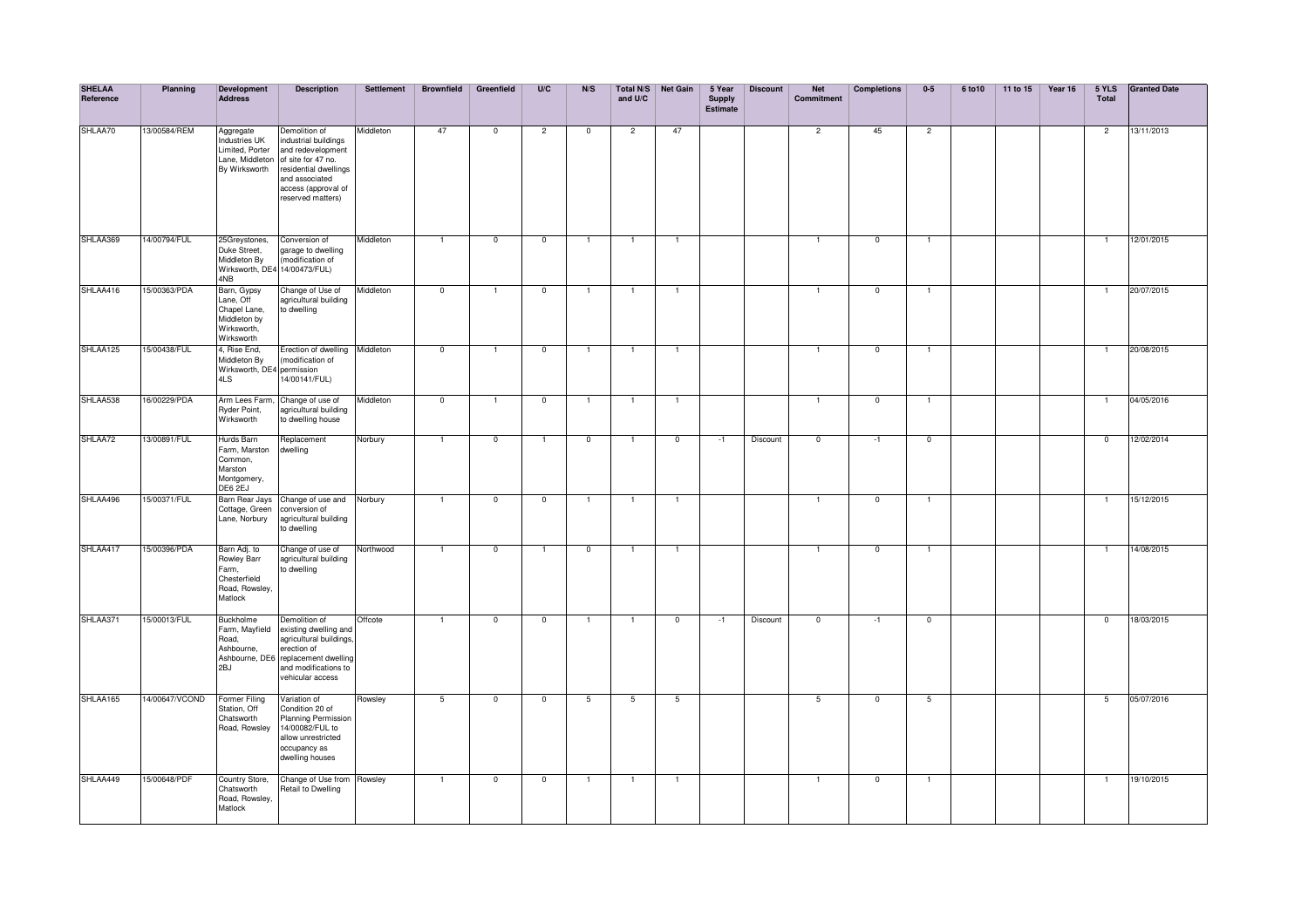| <b>SHELAA</b><br>Reference | Planning       | Development<br><b>Address</b>                                                         | <b>Description</b>                                                                                                                                                      | Settlement | <b>Brownfield</b>       | Greenfield     | U/C                      | N/S             | and U/C        | Total N/S Net Gain | 5 Year<br><b>Supply</b><br>Estimate | <b>Discount</b> | <b>Net</b><br>Commitment | <b>Completions</b> | $0-5$          | 6 to 10 | 11 to 15 | Year 16 | 5 YLS<br><b>Total</b> | <b>Granted Date</b> |
|----------------------------|----------------|---------------------------------------------------------------------------------------|-------------------------------------------------------------------------------------------------------------------------------------------------------------------------|------------|-------------------------|----------------|--------------------------|-----------------|----------------|--------------------|-------------------------------------|-----------------|--------------------------|--------------------|----------------|---------|----------|---------|-----------------------|---------------------|
| SHLAA70                    | 13/00584/REM   | Aggregate<br>Industries UK<br>Limited. Porter<br>Lane, Middleton<br>By Wirksworth     | Demolition of<br>industrial buildings<br>and redevelopment<br>of site for 47 no.<br>residential dwellings<br>and associated<br>access (approval of<br>reserved matters) | Middleton  | 47                      | $\overline{0}$ | $\overline{2}$           | $\overline{0}$  | $\overline{2}$ | 47                 |                                     |                 | $\overline{2}$           | 45                 | $\overline{2}$ |         |          |         | $\overline{2}$        | 13/11/2013          |
| SHLAA369                   | 14/00794/FUL   | 25Greystones,<br>Duke Street,<br>Middleton By<br>Wirksworth, DE4 14/00473/FUL)<br>4NB | Conversion of<br>garage to dwelling<br>(modification of                                                                                                                 | Middleton  | $\mathbf{1}$            | $\mathbf 0$    | $\mathbf 0$              | $\mathbf{1}$    |                | $\overline{1}$     |                                     |                 |                          | $\mathbf 0$        | $\overline{1}$ |         |          |         | $\mathbf{1}$          | 12/01/2015          |
| SHLAA416                   | 15/00363/PDA   | Barn, Gypsy<br>Lane, Off<br>Chapel Lane,<br>Middleton by<br>Wirksworth,<br>Wirksworth | Change of Use of<br>agricultural building<br>to dwelling                                                                                                                | Middleton  | $\mathbf 0$             |                | $\mathbf 0$              |                 |                |                    |                                     |                 |                          | $\mathbf 0$        | $\overline{1}$ |         |          |         |                       | 20/07/2015          |
| SHLAA125                   | 15/00438/FUL   | 4, Rise End,<br>Middleton By<br>Wirksworth, DE4 permission<br>4LS                     | Erection of dwelling Middleton<br>(modification of<br>.<br>14/00141/FUL)                                                                                                |            | $\overline{0}$          | 1              | $\overline{0}$           | $\overline{1}$  | $\overline{1}$ | $\overline{1}$     |                                     |                 | $\mathbf{1}$             | $\overline{0}$     | $\overline{1}$ |         |          |         | $\mathbf{1}$          | 20/08/2015          |
| SHLAA538                   | 6/00229/PDA    | Arm Lees Farm,<br>Ryder Point,<br>Wirksworth                                          | Change of use of<br>agricultural building<br>to dwelling house                                                                                                          | Middleton  | $\overline{\mathbf{0}}$ | 1              | $\overline{\mathbf{0}}$  | -1              |                | -1                 |                                     |                 | 1                        | $\mathbf 0$        | $\mathbf{1}$   |         |          |         | -1                    | 04/05/2016          |
| SHLAA72                    | 3/00891/FUL    | Hurds Barn<br>Farm, Marston<br>Common,<br>Marston<br>Montgomery,<br>DE6 2EJ           | Replacement<br>dwelling                                                                                                                                                 | Norbury    | $\overline{1}$          | $\overline{0}$ | -1                       | $\mathbf 0$     |                | $\overline{0}$     | $-1$                                | Discount        | $\overline{0}$           | $-1$               | $\overline{0}$ |         |          |         | $\overline{0}$        | 12/02/2014          |
| SHLAA496                   | 15/00371/FUL   | Barn Rear Jays<br>Cottage, Green<br>Lane, Norbury                                     | Change of use and Norbury<br>conversion of<br>agricultural building<br>to dwelling                                                                                      |            | $\overline{1}$          | $\mathbf 0$    | $\mathbf 0$              | $\mathbf{1}$    | $\overline{1}$ | $\overline{1}$     |                                     |                 | $\mathbf{1}$             | $\mathbf 0$        | $\overline{1}$ |         |          |         | $\mathbf{1}$          | 15/12/2015          |
| SHLAA417                   | 15/00396/PDA   | Barn Adj. to<br>Rowley Barr<br>Farm,<br>Chesterfield<br>Road, Rowsley,<br>Matlock     | Change of use of<br>agricultural building<br>to dwelling                                                                                                                | Northwood  | $\overline{1}$          | $\overline{0}$ | $\overline{1}$           | $\overline{0}$  |                | $\overline{1}$     |                                     |                 | $\mathbf{1}$             | $\overline{0}$     | Ŧ              |         |          |         | $\mathbf{1}$          | 14/08/2015          |
| SHLAA371                   | 5/00013/FUL    | <b>Buckholme</b><br>Farm, Mayfield<br>Road,<br>Ashbourne,<br>2BJ                      | Demolition of<br>existing dwelling and<br>agricultural buildings,<br>erection of<br>Ashbourne, DE6 replacement dwelling<br>and modifications to<br>vehicular access     | Offcote    | $\overline{1}$          | $\overline{0}$ | $\overline{\phantom{0}}$ | $\overline{1}$  | $\overline{1}$ | $\overline{0}$     | $-1$                                | Discount        | $\overline{0}$           | $-1$               | $\overline{0}$ |         |          |         | $\overline{0}$        | 18/03/2015          |
| SHLAA165                   | 14/00647/VCOND | Former Filing<br>Station, Off<br>Chatsworth<br>Road, Rowsley                          | Variation of<br>Condition 20 of<br>Planning Permission<br>14/00082/FUL to<br>allow unrestricted<br>occupancy as<br>dwelling houses                                      | Rowsley    | $\overline{5}$          | $\overline{0}$ | $\overline{0}$           | $5\overline{)}$ | 5              | 5                  |                                     |                 | 5                        | $\mathbf 0$        | $-5$           |         |          |         | $-5$                  | 05/07/2016          |
| SHLAA449                   | 15/00648/PDF   | Country Store,<br>Chatsworth<br>Road, Rowsley,<br>Matlock                             | Change of Use from Rowsley<br>Retail to Dwelling                                                                                                                        |            | $\mathbf{1}$            | $\mathbf 0$    | $\mathbf 0$              | $\overline{1}$  |                | $\mathbf{1}$       |                                     |                 | $\mathbf{1}$             | $^{\circ}$         | $\mathbf{1}$   |         |          |         | $\mathbf{1}$          | 19/10/2015          |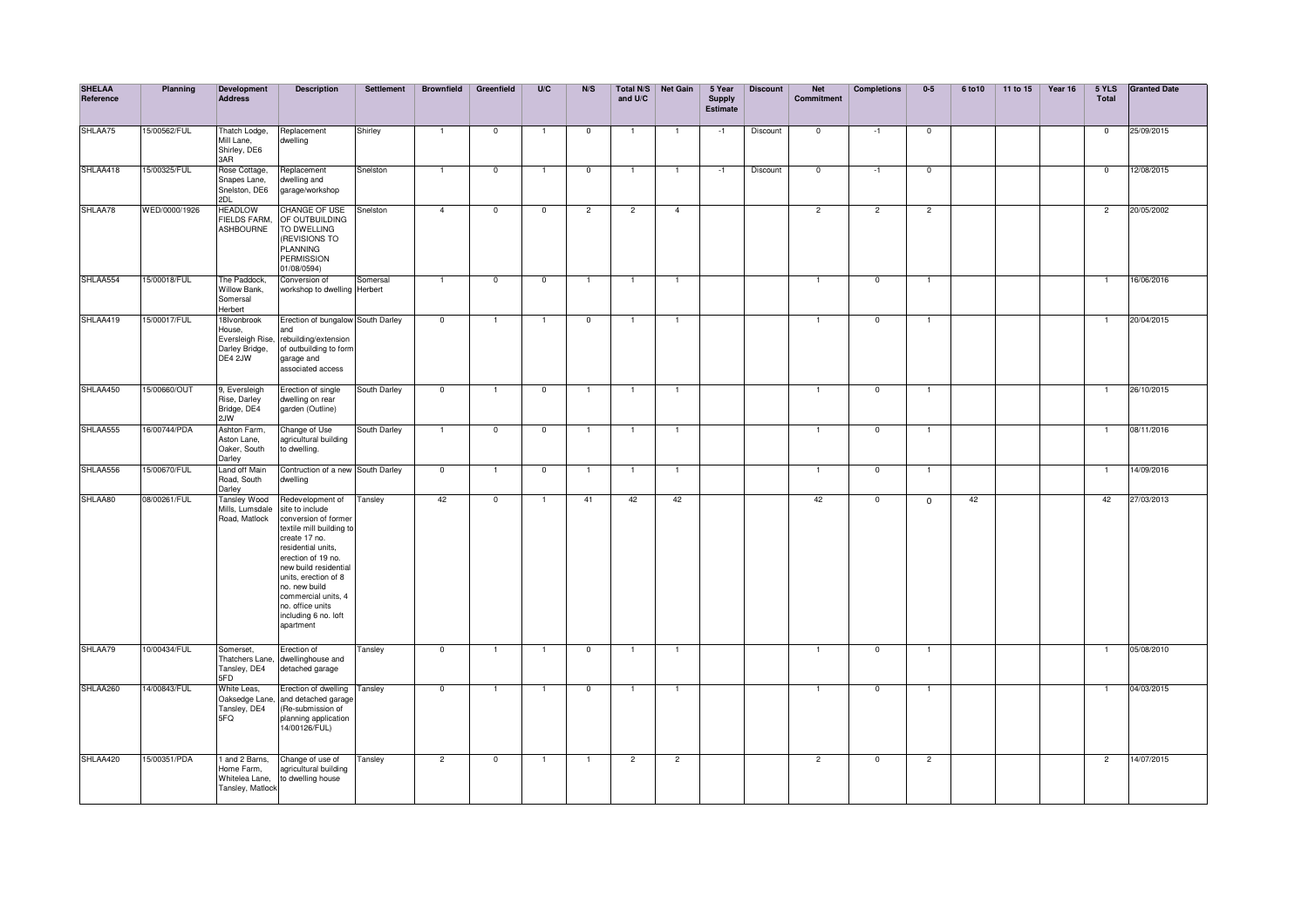| <b>SHELAA</b><br>Reference | Planning      | <b>Development</b><br><b>Address</b>                                   | <b>Description</b>                                                                                                                                                                                                                                                                                     | <b>Settlement</b> | <b>Brownfield</b>       | Greenfield     | U/C            | N/S            | and U/C        | Total N/S Net Gain | 5 Year<br><b>Supply</b><br><b>Estimate</b> | <b>Discount</b> | <b>Net</b><br><b>Commitment</b> | <b>Completions</b> | $0-5$          | 6 to 10 | 11 to 15 | Year 16 | 5 YLS<br><b>Total</b> | <b>Granted Date</b> |
|----------------------------|---------------|------------------------------------------------------------------------|--------------------------------------------------------------------------------------------------------------------------------------------------------------------------------------------------------------------------------------------------------------------------------------------------------|-------------------|-------------------------|----------------|----------------|----------------|----------------|--------------------|--------------------------------------------|-----------------|---------------------------------|--------------------|----------------|---------|----------|---------|-----------------------|---------------------|
| SHLAA75                    | 15/00562/FUL  | Thatch Lodge,<br>Mill Lane,<br>Shirley, DE6<br>3AR                     | Replacement<br>dwelling                                                                                                                                                                                                                                                                                | Shirley           | $\mathbf{1}$            | $\mathbf 0$    |                | $\mathbf 0$    | -1             | -1                 | $-1$                                       | Discount        | $\mathbf 0$                     | $-1$               | $\mathbf{0}$   |         |          |         | $^{\circ}$            | 25/09/2015          |
| SHLAA418                   | 15/00325/FUL  | Rose Cottage,<br>Snapes Lane,<br>Snelston, DE6<br>2DL                  | Replacement<br>dwelling and<br>garage/workshop                                                                                                                                                                                                                                                         | Snelston          | $\overline{1}$          | $\mathbf 0$    |                | $^{\circ}$     | $\mathbf{1}$   | $\overline{1}$     | $-1$                                       | Discount        | $\mathbf{0}$                    | $-1$               | $\overline{0}$ |         |          |         | $\mathbf{0}$          | 12/08/2015          |
| SHLAA78                    | WED/0000/1926 | <b>HEADLOW</b><br><b>FIELDS FARM,</b><br><b>ASHBOURNE</b>              | CHANGE OF USE<br>OF OUTBUILDING<br>TO DWELLING<br>(REVISIONS TO<br><b>PLANNING</b><br><b>PERMISSION</b><br>01/08/0594)                                                                                                                                                                                 | Snelston          | $\overline{4}$          | $\overline{0}$ | $\overline{0}$ | $\overline{2}$ | $\overline{2}$ | $\overline{4}$     |                                            |                 | $\overline{2}$                  | $\overline{2}$     | $\overline{2}$ |         |          |         | $\overline{2}$        | 20/05/2002          |
| SHLAA554                   | 5/00018/FUL   | The Paddock,<br>Willow Bank,<br>Somersal<br>Herbert                    | Conversion of<br>workshop to dwelling Herbert                                                                                                                                                                                                                                                          | Somersal          | $\overline{1}$          | $\overline{0}$ | $\mathbf 0$    | -1             | -1             | $\mathbf{1}$       |                                            |                 | 1                               | $\overline{0}$     | $\overline{1}$ |         |          |         | 1                     | 16/06/2016          |
| SHLAA419                   | 15/00017/FUL  | 18Ivonbrook<br>House,<br>Eversleigh Rise,<br>Darley Bridge,<br>DE4 2JW | Erection of bungalow South Darley<br>and<br>rebuilding/extension<br>of outbuilding to form<br>garage and<br>associated access                                                                                                                                                                          |                   | $\overline{0}$          | $\mathbf{1}$   |                | $\mathbf 0$    | $\overline{1}$ | $\overline{1}$     |                                            |                 | $\mathbf{1}$                    | $\mathbf{0}$       | $\overline{1}$ |         |          |         | $\mathbf{1}$          | 20/04/2015          |
| SHLAA450                   | 15/00660/OUT  | 9. Eversleigh<br>Rise, Darley<br>Bridge, DE4<br>2JW                    | Erection of single<br>dwelling on rear<br>garden (Outline)                                                                                                                                                                                                                                             | South Darley      | $\overline{0}$          | -1             | $\mathbf 0$    | -1             | -1             | $\overline{1}$     |                                            |                 | 1                               | $\mathbf 0$        | $\mathbf{1}$   |         |          |         | 1                     | 26/10/2015          |
| SHLAA555                   | 16/00744/PDA  | Ashton Farm,<br>Aston Lane,<br>Oaker, South<br>Darley                  | Change of Use<br>agricultural building<br>to dwelling.                                                                                                                                                                                                                                                 | South Darley      | $\overline{1}$          | $\mathbf 0$    | $\overline{0}$ | -1             | -1             | -1                 |                                            |                 | 1                               | $\mathbf 0$        | -1             |         |          |         | 1                     | 08/11/2016          |
| SHLAA556                   | 5/00670/FUL   | Land off Main<br>Road, South<br>Darley                                 | Contruction of a new South Darley<br>dwelling                                                                                                                                                                                                                                                          |                   | $\overline{\mathbf{0}}$ | -1             | $\overline{0}$ | $\mathbf{1}$   | -1             | $\overline{1}$     |                                            |                 |                                 | $\mathbf{0}$       | $\overline{1}$ |         |          |         | -1                    | 14/09/2016          |
| SHLAA80                    | 08/00261/FUL  | <b>Tansley Wood</b><br>Mills, Lumsdale<br>Road, Matlock                | Redevelopment of<br>site to include<br>conversion of former<br>textile mill building to<br>create 17 no.<br>residential units,<br>erection of 19 no.<br>new build residential<br>units, erection of 8<br>no, new build<br>commercial units, 4<br>no. office units<br>including 6 no. loft<br>apartment | Tansley           | 42                      | $\mathbf 0$    |                | 41             | 42             | 42                 |                                            |                 | 42                              | $\mathbf 0$        | $\mathbf{0}$   | 42      |          |         | 42                    | 27/03/2013          |
| SHLAA79                    | 10/00434/FUL  | Somerset,<br>Thatchers Lane,<br>Tansley, DE4<br>5FD                    | Erection of<br>dwellinghouse and<br>detached garage                                                                                                                                                                                                                                                    | Tansley           | $\overline{\mathbf{0}}$ |                |                | $\overline{0}$ |                | $\mathbf{1}$       |                                            |                 | $\mathbf{1}$                    | $\overline{0}$     |                |         |          |         |                       | 05/08/2010          |
| SHLAA260                   | 14/00843/FUL  | White Leas,<br>Oaksedge Lane,<br>Tansley, DE4<br>5FQ                   | Erection of dwelling Tansley<br>and detached garage<br>(Re-submission of<br>planning application<br>14/00126/FUL)                                                                                                                                                                                      |                   | $\overline{0}$          | $\mathbf{1}$   |                | $\mathbf 0$    | $\mathbf{1}$   | $\overline{1}$     |                                            |                 | $\mathbf{1}$                    | $\mathbf 0$        | $\mathbf{1}$   |         |          |         | $\mathbf{1}$          | 04/03/2015          |
| SHLAA420                   | 15/00351/PDA  | 1 and 2 Barns,<br>Home Farm,<br>Whitelea Lane,<br>Tansley, Matlock     | Change of use of<br>agricultural building<br>to dwelling house                                                                                                                                                                                                                                         | Tansley           | $\overline{2}$          | $\mathbf 0$    |                | $\overline{1}$ | $\overline{2}$ | $\overline{2}$     |                                            |                 | 2                               | $\mathbf{0}$       | $\overline{2}$ |         |          |         | $\overline{2}$        | 14/07/2015          |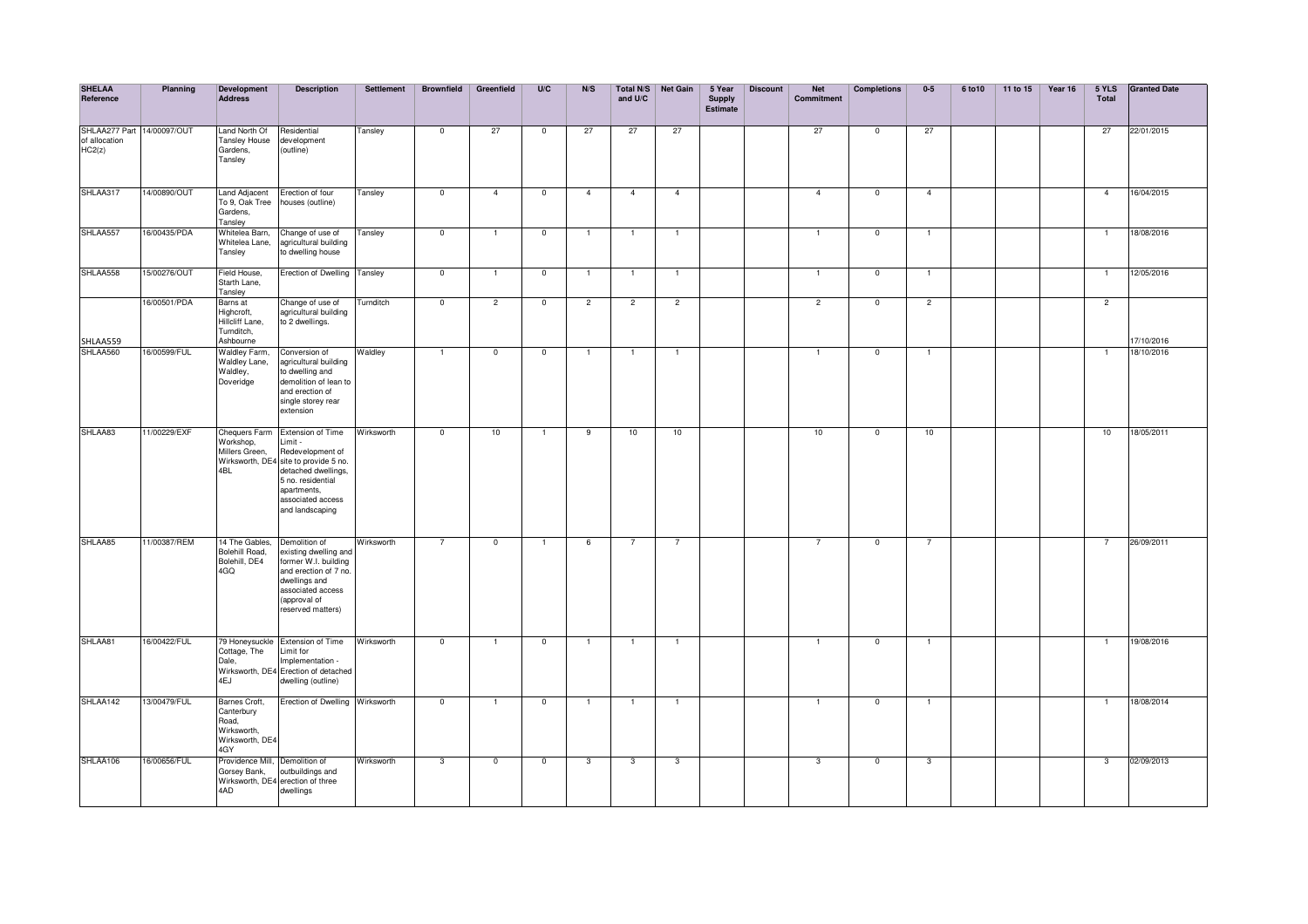| <b>SHELAA</b><br>Reference                            | Planning     | <b>Development</b><br><b>Address</b>                                          | <b>Description</b>                                                                                                                                                                          | Settlement | <b>Brownfield</b>        | Greenfield     | U/C            | N/S            | and U/C        | Total N/S Net Gain | 5 Year<br><b>Supply</b><br><b>Estimate</b> | <b>Discount</b> | <b>Net</b><br>Commitment | <b>Completions</b> | $0-5$          | 6 to 10 | 11 to 15 | Year 16 | 5 YLS<br><b>Total</b> | <b>Granted Date</b> |
|-------------------------------------------------------|--------------|-------------------------------------------------------------------------------|---------------------------------------------------------------------------------------------------------------------------------------------------------------------------------------------|------------|--------------------------|----------------|----------------|----------------|----------------|--------------------|--------------------------------------------|-----------------|--------------------------|--------------------|----------------|---------|----------|---------|-----------------------|---------------------|
| SHLAA277 Part 14/00097/OUT<br>of allocation<br>HC2(z) |              | Land North Of<br>Tansley House<br>Gardens,<br>Tansley                         | Residential<br>development<br>(outline)                                                                                                                                                     | Tansley    | $\mathsf 0$              | 27             | $\mathbf 0$    | 27             | 27             | 27                 |                                            |                 | 27                       | $\mathbf 0$        | 27             |         |          |         | 27                    | 22/01/2015          |
| SHLAA317                                              | 14/00890/OUT | Land Adjacent<br>To 9, Oak Tree<br>Gardens,<br>Tansley                        | Erection of four<br>houses (outline)                                                                                                                                                        | Tansley    | $\overline{\phantom{0}}$ | $\overline{4}$ | $\overline{0}$ | $\overline{4}$ | $\overline{4}$ | $\overline{4}$     |                                            |                 | $\overline{4}$           | $\mathbf 0$        | $\overline{4}$ |         |          |         | $\overline{4}$        | 16/04/2015          |
| SHLAA557                                              | 16/00435/PDA | Whitelea Barn,<br>Whitelea Lane,<br>Tansley                                   | Change of use of<br>agricultural building<br>to dwelling house                                                                                                                              | Tansley    | $\overline{0}$           | $\overline{1}$ | $\mathbf 0$    | -1             | 1              | $\overline{1}$     |                                            |                 | 1                        | $\mathbf 0$        | $\mathbf{1}$   |         |          |         | $\overline{1}$        | 18/08/2016          |
| SHLAA558                                              | 15/00276/OUT | Field House,<br>Starth Lane,<br>Tansley                                       | Erection of Dwelling Tansley                                                                                                                                                                |            | $\overline{0}$           | $\overline{1}$ | $\mathbf 0$    | $\overline{1}$ | $\overline{1}$ | $\overline{1}$     |                                            |                 | $\overline{1}$           | $\mathbf{0}$       | $\overline{1}$ |         |          |         | $\overline{1}$        | 12/05/2016          |
| SHLAA559                                              | 16/00501/PDA | Barns at<br>Highcroft,<br>Hillcliff Lane,<br>Turnditch,<br>Ashbourne          | Change of use of<br>agricultural building<br>to 2 dwellings.                                                                                                                                | Turnditch  | $\overline{0}$           | $\overline{2}$ | $\mathbf 0$    | $\overline{2}$ | $\overline{2}$ | $\overline{2}$     |                                            |                 | $\overline{2}$           | $\mathbf 0$        | $\overline{2}$ |         |          |         | $\overline{2}$        | 17/10/2016          |
| SHLAA560                                              | 16/00599/FUL | <b>Waldley Farm,</b><br>Waldley Lane,<br>Waldley,<br>Doveridge                | Conversion of<br>agricultural building<br>to dwelling and<br>demolition of lean to<br>and erection of<br>single storey rear<br>extension                                                    | Waldley    | $\mathbf{1}$             | $\overline{0}$ | $\overline{0}$ |                |                |                    |                                            |                 |                          | $\overline{0}$     | $\mathbf{1}$   |         |          |         |                       | 18/10/2016          |
| SHLAA83                                               | 11/00229/EXF | <b>Chequers Farm</b><br>Workshop,<br>Millers Green,<br>4BL                    | Extension of Time<br>imit -<br>Redevelopment of<br>Wirksworth, DE4 site to provide 5 no.<br>detached dwellings.<br>5 no. residential<br>apartments.<br>associated access<br>and landscaping | Wirksworth | $\overline{0}$           | 10             |                | 9              | 10             | 10                 |                                            |                 | 10                       | $^{\circ}$         | 10             |         |          |         | 10                    | 18/05/2011          |
| SHLAA85                                               | 11/00387/REM | 14 The Gables,<br>Bolehill Road,<br>Bolehill, DE4<br>4GQ                      | Demolition of<br>existing dwelling and<br>former W.I. building<br>and erection of 7 no.<br>dwellings and<br>associated access<br>approval of<br>reserved matters)                           | Wirksworth | $\overline{7}$           | $\mathbf 0$    |                | 6              | 7              | 7                  |                                            |                 | $\overline{7}$           | $^{\circ}$         | $\overline{7}$ |         |          |         | $\overline{7}$        | 26/09/2011          |
| SHLAA81                                               | 16/00422/FUL | Cottage, The<br>Dale,<br>4EJ                                                  | 79 Honeysuckle Extension of Time<br>Limit for<br>Implementation -<br>Wirksworth, DE4 Erection of detached<br>dwelling (outline)                                                             | Wirksworth | $\overline{0}$           | $\overline{1}$ | $\overline{0}$ | $\mathbf{1}$   | $\mathbf{1}$   | $\overline{1}$     |                                            |                 | $\mathbf{1}$             | $\overline{0}$     | $\overline{1}$ |         |          |         | $\overline{1}$        | 19/08/2016          |
| SHLAA142                                              | 13/00479/FUL | Barnes Croft,<br>Canterbury<br>Road,<br>Wirksworth,<br>Wirksworth, DE4<br>4GY | Erection of Dwelling Wirksworth                                                                                                                                                             |            | $\overline{0}$           | $\overline{1}$ | $\mathbf 0$    | $\overline{1}$ | $\mathbf{1}$   | $\overline{1}$     |                                            |                 | $\mathbf{1}$             | $^{\circ}$         | $\mathbf{1}$   |         |          |         | $\overline{1}$        | 18/08/2014          |
| SHLAA106                                              | 16/00656/FUL | Providence Mill, Demolition of<br>Gorsey Bank,<br>4AD                         | outbuildings and<br>Wirksworth, DE4 erection of three<br>dwellings                                                                                                                          | Wirksworth | 3                        | $\overline{0}$ | $\overline{0}$ | $\overline{3}$ | 3              | 3                  |                                            |                 | $\overline{3}$           | $\overline{0}$     | 3              |         |          |         | $\overline{3}$        | 02/09/2013          |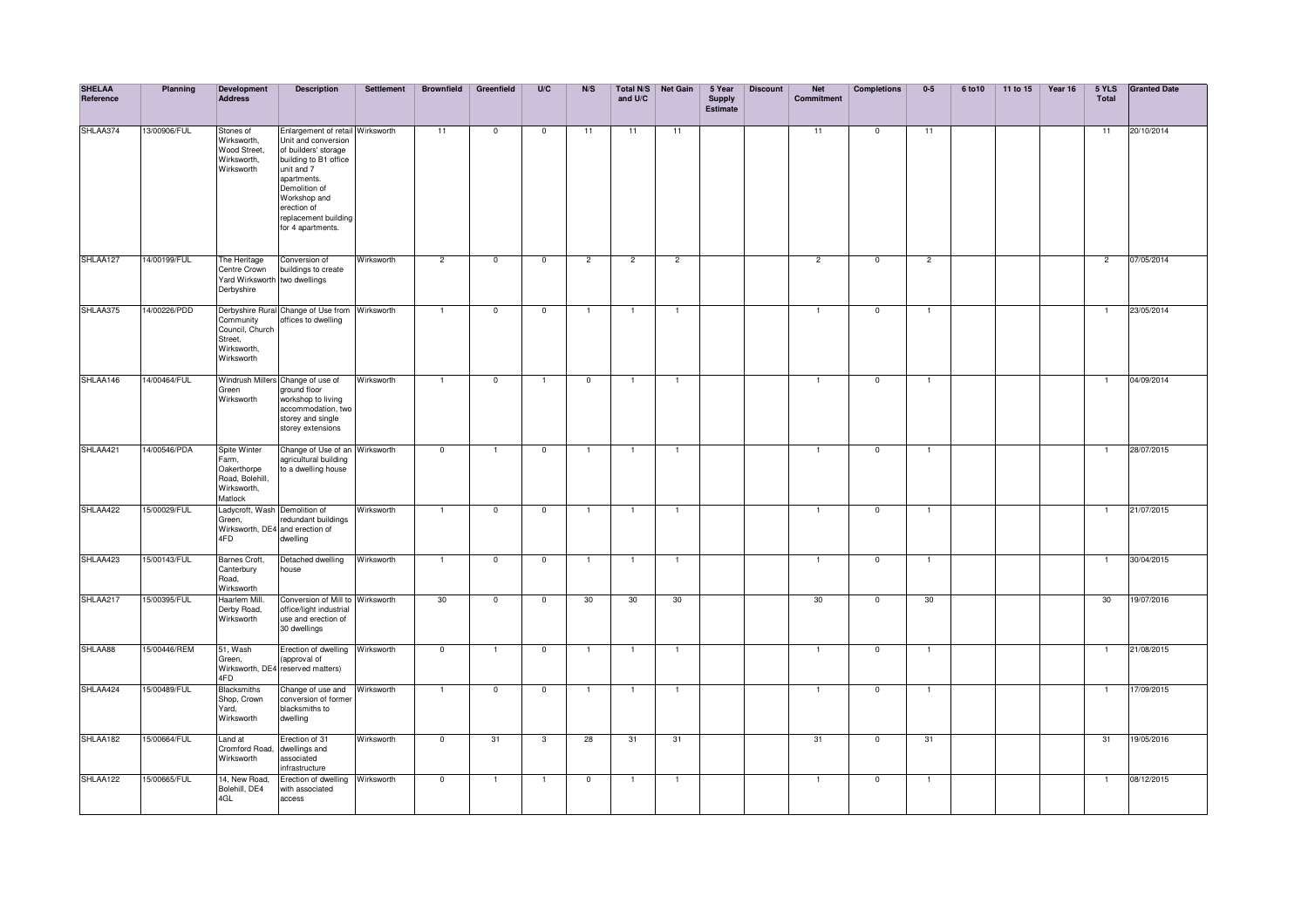| <b>SHELAA</b><br>Reference | Planning     | Development<br>Address                                                            | <b>Description</b>                                                                                                                                                                                                                 | <b>Settlement</b> | <b>Brownfield</b> | Greenfield     | U/C                     | N/S            | and U/C        | Total N/S Net Gain | 5 Year<br><b>Supply</b><br><b>Estimate</b> | <b>Discount</b> | <b>Net</b><br>Commitment | <b>Completions</b> | $0-5$          | 6 to 10 | 11 to 15 | Year 16 | 5 YLS<br>Total | <b>Granted Date</b> |
|----------------------------|--------------|-----------------------------------------------------------------------------------|------------------------------------------------------------------------------------------------------------------------------------------------------------------------------------------------------------------------------------|-------------------|-------------------|----------------|-------------------------|----------------|----------------|--------------------|--------------------------------------------|-----------------|--------------------------|--------------------|----------------|---------|----------|---------|----------------|---------------------|
| SHLAA374                   | 13/00906/FUL | Stones of<br>Wirksworth,<br>Wood Street,<br>Wirksworth,<br>Wirksworth             | Enlargement of retail Wirksworth<br>Unit and conversion<br>of builders' storage<br>building to B1 office<br>unit and 7<br>apartments.<br>Demolition of<br>Workshop and<br>erection of<br>replacement building<br>for 4 apartments. |                   | 11                | $\mathbf 0$    | $\overline{0}$          | 11             | 11             | $\overline{11}$    |                                            |                 | 11                       | $\mathbf 0$        | 11             |         |          |         | 11             | 20/10/2014          |
| SHLAA127                   | 14/00199/FUL | The Heritage<br>Centre Crown<br>Yard Wirksworth two dwellings<br>Derbyshire       | Conversion of<br>buildings to create                                                                                                                                                                                               | Wirksworth        | $\overline{2}$    | $\mathbf 0$    | $\mathbf 0$             | $\overline{2}$ | $\overline{2}$ | $\overline{2}$     |                                            |                 | $\overline{2}$           | $\mathbf 0$        | $\overline{2}$ |         |          |         | $\overline{2}$ | 07/05/2014          |
| SHLAA375                   | 14/00226/PDD | Community<br>Council, Church<br>Street.<br>Wirksworth,<br>Wirksworth              | Derbyshire Rural Change of Use from Wirksworth<br>offices to dwelling                                                                                                                                                              |                   | $\overline{1}$    | $\mathbf 0$    | $\overline{0}$          | -1             | $\overline{1}$ | $\overline{1}$     |                                            |                 | -1                       | $\overline{0}$     | $\overline{1}$ |         |          |         | -1             | 23/05/2014          |
| SHLAA146                   | 14/00464/FUL | Green<br>Wirksworth                                                               | Windrush Millers Change of use of<br>ground floor<br>workshop to living<br>accommodation, two<br>storey and single<br>storey extensions                                                                                            | Wirksworth        | $\overline{1}$    | $\overline{0}$ | $\mathbf{1}$            | $\overline{0}$ | $\mathbf{1}$   | 1                  |                                            |                 |                          | $\overline{0}$     | $\overline{1}$ |         |          |         | $\mathbf{1}$   | 04/09/2014          |
| SHLAA421                   | 14/00546/PDA | Spite Winter<br>Farm,<br>Oakerthorpe<br>Road, Bolehill,<br>Wirksworth,<br>Matlock | Change of Use of an Wirksworth<br>agricultural building<br>to a dwelling house                                                                                                                                                     |                   | $\overline{0}$    | $\overline{1}$ | $\mathbf 0$             | $\overline{1}$ | $\mathbf{1}$   | $\overline{1}$     |                                            |                 | $\mathbf{1}$             | $\mathbf 0$        | $\overline{1}$ |         |          |         | $\overline{1}$ | 28/07/2015          |
| SHLAA422                   | 15/00029/FUL | Ladycroft, Wash Demolition of<br>Green,<br>4FD                                    | redundant buildings<br>Wirksworth, DE4 and erection of<br>dwelling                                                                                                                                                                 | Wirksworth        | $\overline{1}$    | $\mathbf 0$    | $\mathbf{0}$            | $\overline{1}$ | $\mathbf{1}$   | $\overline{1}$     |                                            |                 | $\mathbf{1}$             | $\mathbf 0$        | $\overline{1}$ |         |          |         | $\mathbf{1}$   | 21/07/2015          |
| SHLAA423                   | 15/00143/FUL | Barnes Croft,<br>Canterbury<br>Road,<br>Wirksworth                                | Detached dwelling<br>house                                                                                                                                                                                                         | Wirksworth        | $\overline{1}$    | $\mathbf 0$    | $\mathbf 0$             | $\overline{1}$ | $\overline{1}$ | $\overline{1}$     |                                            |                 | 1                        | $\mathbf 0$        | $\overline{1}$ |         |          |         | -1             | 30/04/2015          |
| SHLAA217                   | 15/00395/FUL | Haarlem Mill.<br>Derby Road,<br>Wirksworth                                        | Conversion of Mill to Wirksworth<br>office/light industrial<br>use and erection of<br>30 dwellings                                                                                                                                 |                   | 30                | $\mathbf{0}$   | $\mathbf 0$             | 30             | 30             | 30                 |                                            |                 | 30                       | $\mathbf 0$        | 30             |         |          |         | 30             | 19/07/2016          |
| SHLAA88                    | 15/00446/REM | 51, Wash<br>Green,<br>4FD                                                         | Erection of dwelling Wirksworth<br>(approval of<br>Wirksworth, DE4 reserved matters)                                                                                                                                               |                   | $\mathbf 0$       | $\overline{1}$ | $\mathbf 0$             | $\overline{1}$ | $\overline{1}$ | $\overline{1}$     |                                            |                 | $\mathbf{1}$             | $\mathbf 0$        | $\overline{1}$ |         |          |         | $\overline{1}$ | 21/08/2015          |
| SHLAA424                   | 15/00489/FUL | <b>Blacksmiths</b><br>Shop, Crown<br>Yard,<br>Wirksworth                          | Change of use and<br>conversion of former<br>blacksmiths to<br>dwelling                                                                                                                                                            | Wirksworth        | $\mathbf{1}$      | $\mathbf 0$    | $\mathbf 0$             |                | $\overline{1}$ | $\overline{1}$     |                                            |                 |                          | $\mathbf 0$        | $\overline{1}$ |         |          |         |                | 17/09/2015          |
| SHLAA182                   | 15/00664/FUL | Land at<br>Cromford Road,<br>Wirksworth                                           | Erection of 31<br>dwellings and<br>associated<br>infrastructure                                                                                                                                                                    | Wirksworth        | $\overline{0}$    | 31             | $\overline{\mathbf{3}}$ | 28             | 31             | 31                 |                                            |                 | 31                       | $\mathbf 0$        | 31             |         |          |         | 31             | 19/05/2016          |
| SHLAA122                   | 15/00665/FUL | 14, New Road,<br>Bolehill, DE4<br>4GL                                             | Erection of dwelling Wirksworth<br>with associated<br>access                                                                                                                                                                       |                   | $\mathbf 0$       | 1              | $\mathbf{1}$            | $\mathbf 0$    | $\overline{1}$ | $\overline{1}$     |                                            |                 | -1                       | $\mathbf 0$        | $\overline{1}$ |         |          |         | -1             | 08/12/2015          |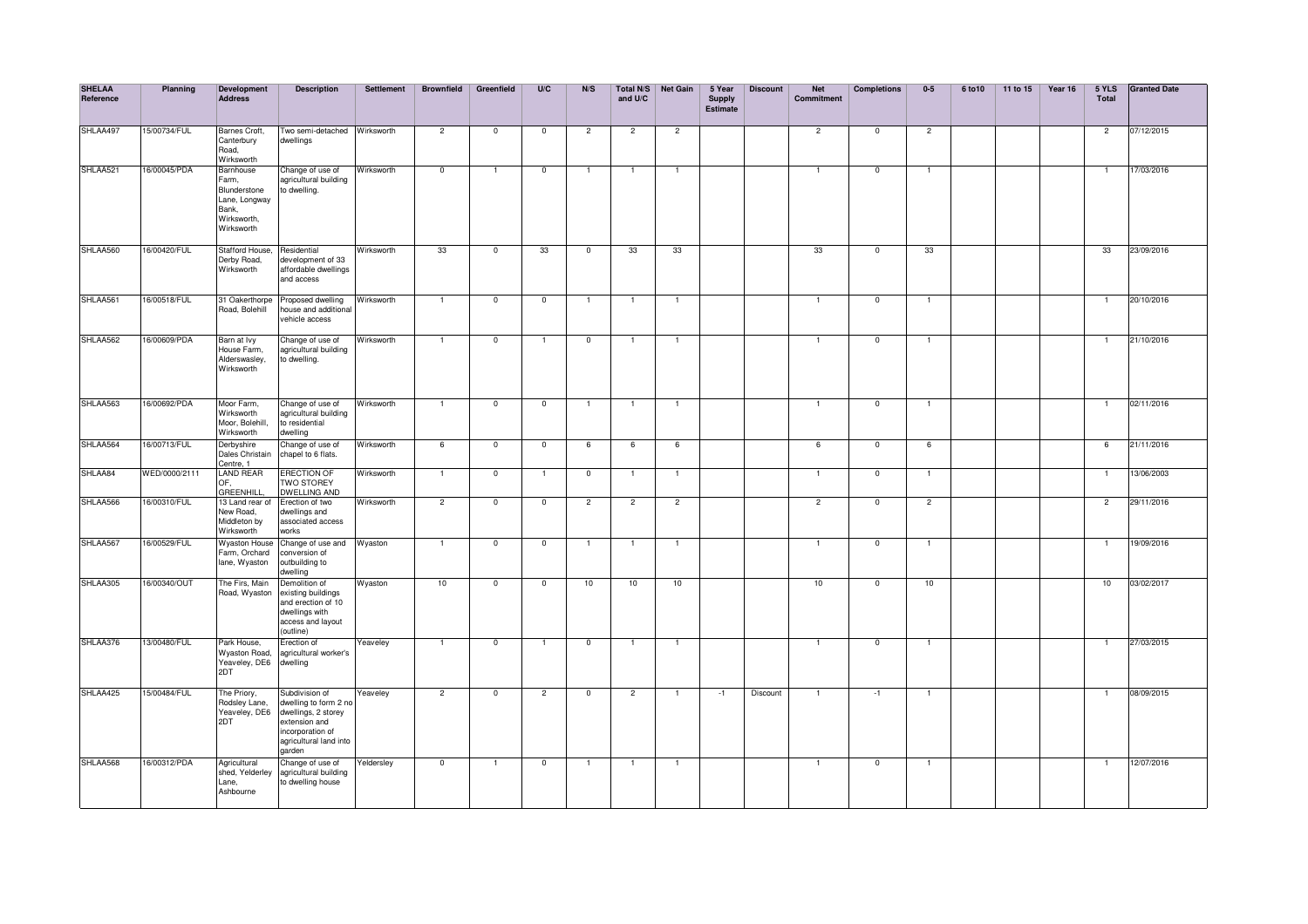| <b>SHELAA</b><br>Reference | Planning      | <b>Development</b><br><b>Address</b>                                                      | <b>Description</b>                                                                                                                      | <b>Settlement</b> | <b>Brownfield</b>       | Greenfield              | U/C            | N/S            | and U/C        | Total N/S Net Gain | 5 Year<br><b>Supply</b><br><b>Estimate</b> | <b>Discount</b> | <b>Net</b><br>Commitment | <b>Completions</b> | $0-5$          | 6 to 10 | 11 to 15 | Year 16 | 5 YLS<br>Total | <b>Granted Date</b> |
|----------------------------|---------------|-------------------------------------------------------------------------------------------|-----------------------------------------------------------------------------------------------------------------------------------------|-------------------|-------------------------|-------------------------|----------------|----------------|----------------|--------------------|--------------------------------------------|-----------------|--------------------------|--------------------|----------------|---------|----------|---------|----------------|---------------------|
| SHLAA497                   | 15/00734/FUL  | Barnes Croft,<br>Canterbury<br>Road,<br>Wirksworth                                        | Two semi-detached Wirksworth<br>dwellings                                                                                               |                   | $\overline{2}$          | $\mathbf 0$             | $\mathbf 0$    | $\overline{2}$ | $\overline{c}$ | $\overline{c}$     |                                            |                 | $\overline{c}$           | $\mathbf 0$        | $\overline{2}$ |         |          |         | $\overline{2}$ | 07/12/2015          |
| SHLAA521                   | 16/00045/PDA  | Barnhouse<br>Farm,<br>Blunderstone<br>Lane, Longway<br>Bank.<br>Wirksworth,<br>Wirksworth | Change of use of<br>agricultural building<br>to dwelling.                                                                               | Wirksworth        | $\overline{\mathbf{0}}$ | 1                       | $\mathbf 0$    |                |                | -1                 |                                            |                 |                          | $^{\circ}$         | -1             |         |          |         | 1              | 17/03/2016          |
| SHLAA560                   | 16/00420/FUL  | Stafford House,<br>Derby Road,<br>Wirksworth                                              | Residential<br>development of 33<br>affordable dwellings<br>and access                                                                  | Wirksworth        | 33                      | $\overline{\mathbf{0}}$ | 33             | $\overline{0}$ | 33             | 33                 |                                            |                 | 33                       | $\overline{0}$     | 33             |         |          |         | 33             | 23/09/2016          |
| SHLAA561                   | 16/00518/FUL  | 31 Oakerthorpe<br>Road, Bolehill                                                          | Proposed dwelling<br>house and additional<br>vehicle access                                                                             | Wirksworth        | $\mathbf{1}$            | $\overline{0}$          | $\overline{0}$ | $\overline{1}$ |                |                    |                                            |                 | 1                        | $\overline{0}$     | $\mathbf{1}$   |         |          |         | $\overline{1}$ | 20/10/2016          |
| SHLAA562                   | 16/00609/PDA  | Barn at Ivy<br>House Farm,<br>Alderswasley,<br>Wirksworth                                 | Change of use of<br>agricultural building<br>to dwelling.                                                                               | Wirksworth        | $\mathbf{1}$            | $\overline{0}$          | $\mathbf{1}$   | $\mathbf{0}$   | -1             | $\overline{1}$     |                                            |                 | 1                        | $\Omega$           | $\mathbf{1}$   |         |          |         | -1             | 21/10/2016          |
| SHLAA563                   | 16/00692/PDA  | Moor Farm,<br>Wirksworth<br>Moor, Bolehill,<br>Wirksworth                                 | Change of use of<br>agricultural building<br>to residential<br>dwelling                                                                 | Wirksworth        | $\overline{1}$          | $\mathbf{0}$            | $\mathbf 0$    | $\mathbf{1}$   | $\mathbf{1}$   | $\overline{1}$     |                                            |                 | $\overline{1}$           | $^{\circ}$         | $\mathbf{1}$   |         |          |         | $\overline{1}$ | 02/11/2016          |
| SHLAA564                   | 16/00713/FUL  | Derbyshire<br>Dales Christain<br>Centre, 1                                                | Change of use of<br>chapel to 6 flats.                                                                                                  | Wirksworth        | 6                       | $\overline{\mathbf{0}}$ | $\overline{0}$ | 6              | 6              | 6                  |                                            |                 | 6                        | $\overline{0}$     | 6              |         |          |         | 6              | 21/11/2016          |
| SHLAA84                    | WED/0000/2111 | <b>LAND REAR</b><br>OF.<br><b>GREENHILL</b>                                               | <b>ERECTION OF</b><br><b>TWO STOREY</b><br><b>DWELLING AND</b>                                                                          | Wirksworth        | $\mathbf{1}$            | $\mathbf{0}$            | $\mathbf{1}$   | $\mathbf{0}$   | $\mathbf{1}$   | $\overline{1}$     |                                            |                 | $\mathbf{1}$             | $^{\circ}$         | $\mathbf{1}$   |         |          |         | $\overline{1}$ | 13/06/2003          |
| SHLAA566                   | 16/00310/FUL  | 13 Land rear of<br>New Road,<br>Middleton by<br>Wirksworth                                | Erection of two<br>dwellings and<br>associated access<br>works                                                                          | Wirksworth        | $\overline{2}$          | $\mathbf{0}$            | $\mathbf{0}$   | $\overline{2}$ | $\overline{2}$ | $\overline{2}$     |                                            |                 | $\overline{2}$           | $\mathbf 0$        | $\overline{2}$ |         |          |         | $\overline{2}$ | 29/11/2016          |
| SHLAA567                   | 16/00529/FUL  | <b>Wyaston House</b><br>Farm, Orchard<br>lane, Wyaston                                    | Change of use and Wyaston<br>conversion of<br>outbuilding to<br>dwelling                                                                |                   | $\overline{1}$          | $\mathbf 0$             | $\mathbf{0}$   | $\overline{1}$ | $\mathbf{1}$   | $\overline{1}$     |                                            |                 | $\mathbf{1}$             | $\mathbf 0$        | $\mathbf{1}$   |         |          |         | $\overline{1}$ | 19/09/2016          |
| SHLAA305                   | 16/00340/OUT  | The Firs, Main<br>Road, Wyaston                                                           | Demolition of<br>existing buildings<br>and erection of 10<br>dwellings with<br>access and layout<br>outline)                            | Wyaston           | 10                      | $\mathbf 0$             | $\mathsf 0$    | 10             | 10             | 10                 |                                            |                 | 10                       | $\mathbf{0}$       | 10             |         |          |         | 10             | 03/02/2017          |
| SHLAA376                   | 13/00480/FUL  | Park House,<br><b>Wyaston Road,</b><br>Yeaveley, DE6<br>2DT                               | Erection of<br>agricultural worker's<br>dwelling                                                                                        | Yeaveley          |                         | $\overline{0}$          |                | $\overline{0}$ |                |                    |                                            |                 |                          | $\mathbf 0$        |                |         |          |         |                | 27/03/2015          |
| SHLAA425                   | 15/00484/FUL  | The Priory,<br>Rodsley Lane,<br>Yeaveley, DE6<br>2DT                                      | Subdivision of<br>dwelling to form 2 no<br>dwellings, 2 storey<br>extension and<br>incorporation of<br>agricultural land into<br>garden | Yeaveley          | $\overline{2}$          | $\mathbf 0$             | $\overline{c}$ | $\mathbf 0$    | $\overline{2}$ | $\overline{1}$     | $-1$                                       | Discount        | 1                        | $-1$               | $\overline{1}$ |         |          |         | 1              | 08/09/2015          |
| SHLAA568                   | 16/00312/PDA  | Agricultural<br>shed, Yelderley<br>Lane,<br>Ashbourne                                     | Change of use of<br>agricultural building<br>to dwelling house                                                                          | Yeldersley        | $\overline{\mathbf{0}}$ | -1                      | $\mathbf 0$    | $\mathbf{1}$   | $\mathbf{1}$   | -1                 |                                            |                 | $\mathbf{1}$             | $\mathbf 0$        | $\mathbf{1}$   |         |          |         | -1             | 12/07/2016          |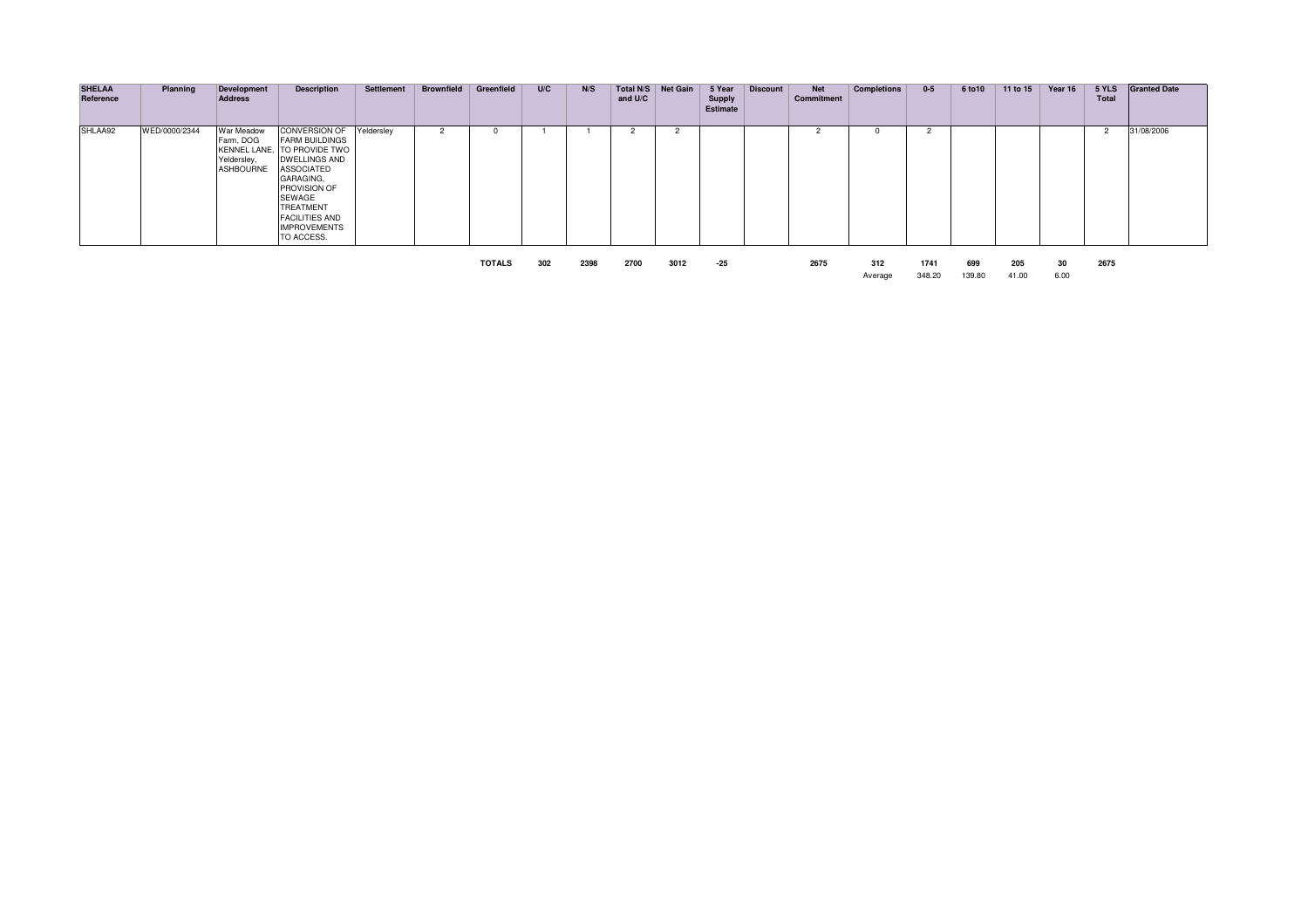| <b>SHELAA</b><br>Reference | Planning      | Development<br><b>Address</b>                                                    | <b>Description</b>                                                                                                                                                                                                             | Settlement | <b>Brownfield</b> | Greenfield    | U/C | N/S  | Total N/S<br>and U/C | Net Gain | 5 Year<br><b>Supply</b><br><b>Estimate</b> | <b>Discount</b> | <b>Net</b><br>Commitment | <b>Completions</b> | $0-5$          | 6 to 10       | 11 to 15     | Year 16    | 5 YLS<br><b>Total</b> | <b>Granted Date</b> |
|----------------------------|---------------|----------------------------------------------------------------------------------|--------------------------------------------------------------------------------------------------------------------------------------------------------------------------------------------------------------------------------|------------|-------------------|---------------|-----|------|----------------------|----------|--------------------------------------------|-----------------|--------------------------|--------------------|----------------|---------------|--------------|------------|-----------------------|---------------------|
| SHLAA92                    | WED/0000/2344 | War Meadow<br>Farm, DOG<br><b>KENNEL LANE</b><br>Yeldersley,<br><b>ASHBOURNE</b> | <b>CONVERSION OF</b><br><b>FARM BUILDINGS</b><br>TO PROVIDE TWO<br><b>DWELLINGS AND</b><br><b>ASSOCIATED</b><br>GARAGING,<br>PROVISION OF<br>SEWAGE<br>TREATMENT<br><b>FACILITIES AND</b><br><b>IMPROVEMENTS</b><br>TO ACCESS. | Yeldersley |                   |               |     |      |                      |          |                                            |                 |                          |                    |                |               |              |            | $\overline{2}$        | 31/08/2006          |
|                            |               |                                                                                  |                                                                                                                                                                                                                                |            |                   | <b>TOTALS</b> | 302 | 2398 | 2700                 | 3012     | -25                                        |                 | 2675                     | 312<br>Average     | 1741<br>348.20 | 699<br>139.80 | 205<br>41.00 | 30<br>6.00 | 2675                  |                     |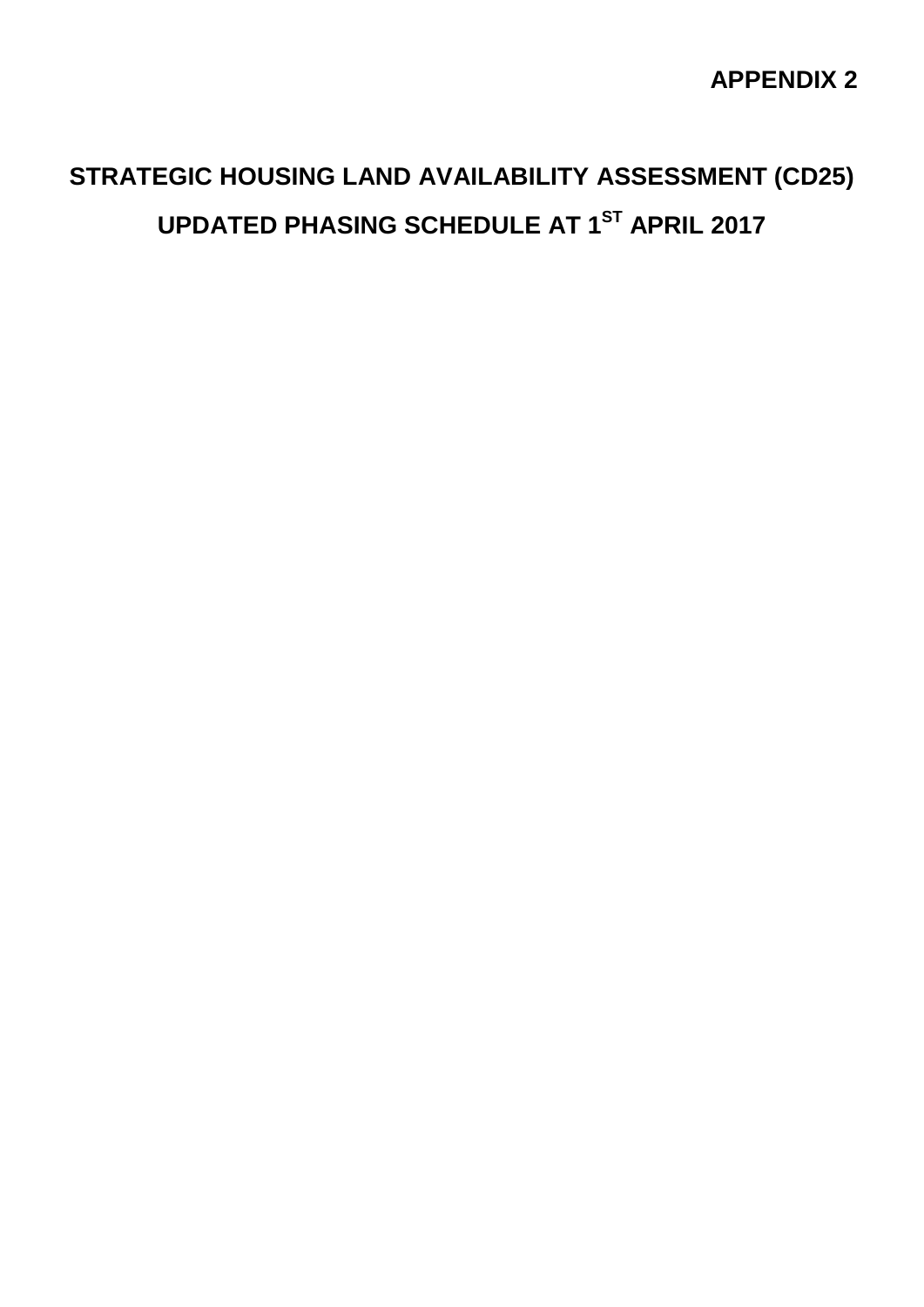## **APPENDIX 2**

## **STRATEGIC HOUSING LAND AVAILABILITY ASSESSMENT (CD25) UPDATED PHASING SCHEDULE AT 1ST APRIL 2017**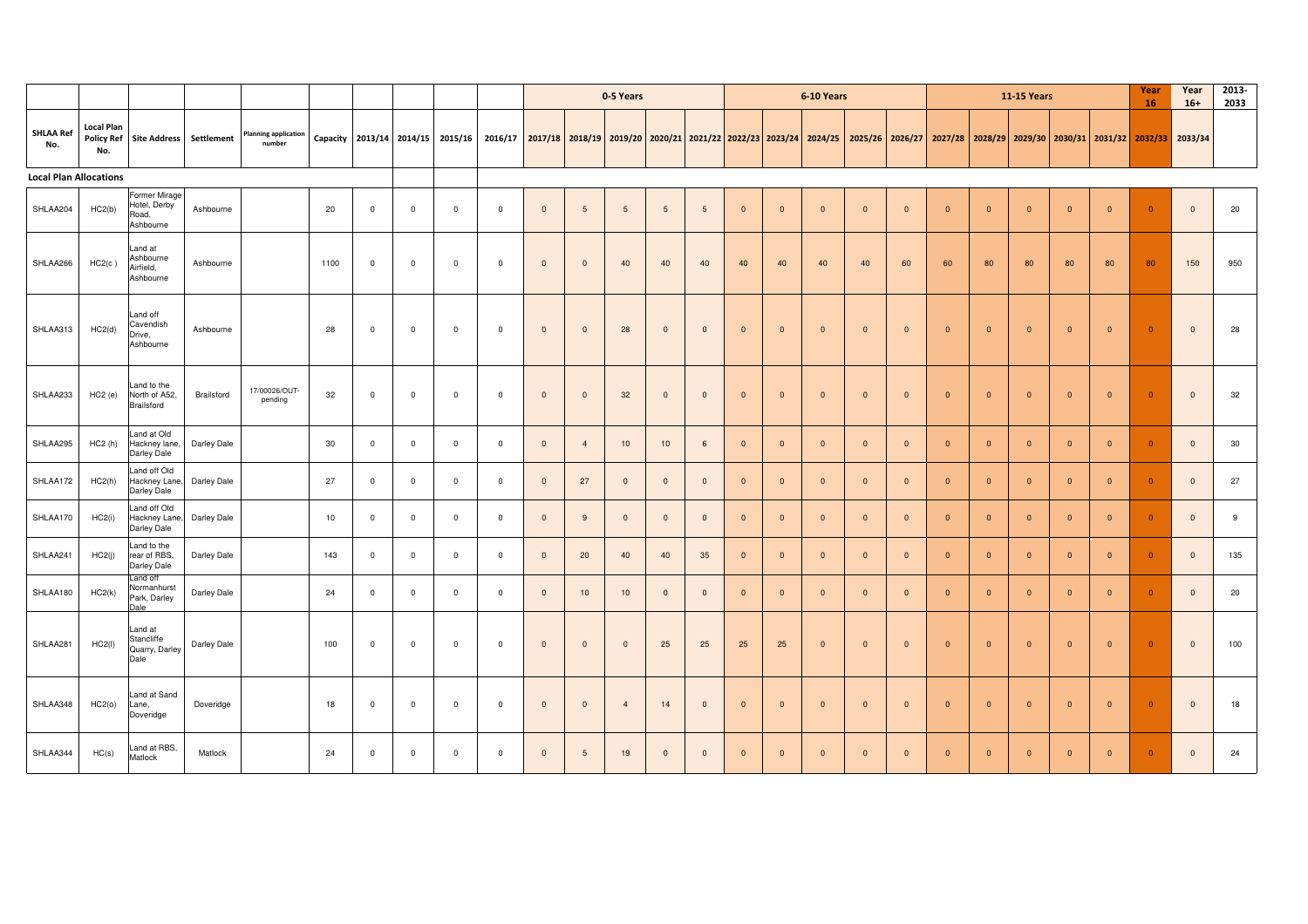|                               |                          |                                                     |             |                                       |      |             |                |                                  |                                                                                                                                                 |                         |                 | 0-5 Years      |                |                     |                |                | 6-10 Years     |                         |                         |                |                | <b>11-15 Years</b>      |                |                | Year<br>16     | Year<br>$16+$           | 2013-<br>2033 |
|-------------------------------|--------------------------|-----------------------------------------------------|-------------|---------------------------------------|------|-------------|----------------|----------------------------------|-------------------------------------------------------------------------------------------------------------------------------------------------|-------------------------|-----------------|----------------|----------------|---------------------|----------------|----------------|----------------|-------------------------|-------------------------|----------------|----------------|-------------------------|----------------|----------------|----------------|-------------------------|---------------|
| <b>SHLAA Ref</b><br>No.       | <b>Local Plan</b><br>No. | Policy Ref Site Address Settlement                  |             | <b>Planning application</b><br>number |      |             |                | Capacity 2013/14 2014/15 2015/16 | 2016/17 2017/18 2018/19 2019/20 2020/21 2021/22 2022/23 2023/24 2024/25 2025/26 2025/27 2027/28 2028/29 2029/30 2030/31 2031/32 2032/33 2033/34 |                         |                 |                |                |                     |                |                |                |                         |                         |                |                |                         |                |                |                |                         |               |
| <b>Local Plan Allocations</b> |                          |                                                     |             |                                       |      |             |                |                                  |                                                                                                                                                 |                         |                 |                |                |                     |                |                |                |                         |                         |                |                |                         |                |                |                |                         |               |
| SHLAA204                      | HC2(b)                   | Former Mirage<br>Hotel, Derby<br>Road,<br>Ashbourne | Ashbourne   |                                       | 20   | $\mathbf 0$ | $\mathbf 0$    | $^{\circ}$                       | $\mathbf 0$                                                                                                                                     | $\mathbf{0}$            | 5               | 5              | 5              | 5                   | $\overline{0}$ | $\overline{0}$ | $\mathbf{0}$   | $\Omega$                | $\mathbf{0}$            | $\Omega$       | $\Omega$       | $\Omega$                | $\mathbf{0}$   | $\overline{0}$ | $\overline{0}$ | $\overline{0}$          | 20            |
| SHLAA266                      | HC2(c)                   | Land at<br>Ashbourne<br>Airfield,<br>Ashbourne      | Ashbourne   |                                       | 1100 | $\Omega$    | $\Omega$       | $\mathbf{0}$                     | $\mathbf{0}$                                                                                                                                    | $\mathbf{0}$            | $\overline{0}$  | 40             | 40             | 40                  | 40             | 40             | 40             | 40                      | 60                      | 60             | 80             | 80                      | 80             | 80             | 80             | 150                     | 950           |
| SHLAA313                      | HC2(d)                   | Land off<br>Cavendish<br>Drive,<br>Ashbourne        | Ashbourne   |                                       | 28   | $^{\circ}$  | $\mathbf 0$    | $\mathbf 0$                      | $\mathbf 0$                                                                                                                                     | $\overline{0}$          | $\overline{0}$  | 28             | $\mathbf{0}$   | $\overline{0}$      | $\overline{0}$ | $\overline{0}$ | $\mathbf{0}$   | $\mathbf{0}$            | $\overline{0}$          | $\mathbf{0}$   | $\overline{0}$ | $\mathbf{0}$            | $\mathbf{0}$   | $\mathbf{0}$   | $\overline{0}$ | $\mathbf{0}$            | 28            |
| SHLAA233                      | HC2(e)                   | Land to the<br>North of A52,<br>Brailsford          | Brailsford  | 17/00026/OUT-<br>pending              | 32   | $\mathbf 0$ | $\mathbf 0$    | $\mathbf 0$                      | $\mathbf 0$                                                                                                                                     | $\mathbf 0$             | $\mathbf 0$     | 32             | $\mathbf{0}$   | $\overline{0}$      | $\mathbf{0}$   | $\mathbf{0}$   | $\mathbf 0$    | $\overline{0}$          | $\mathbf 0$             | $\overline{0}$ | $\mathbf{0}$   | $\overline{0}$          | $\mathbf{0}$   | $\mathbf{0}$   | $\mathbf{0}$   | $\overline{0}$          | 32            |
| SHLAA295                      | HC2(h)                   | Land at Old<br>Hackney lane,<br>Darley Dale         | Darley Dale |                                       | 30   | $\mathbf 0$ | $\mathsf 0$    | $\mathbf 0$                      | $\mathsf 0$                                                                                                                                     | $\mathbf 0$             | $\overline{4}$  | 10             | 10             | $\,$ 6 $\,$         | $\overline{0}$ | $\mathbf{0}$   | $\mathbf 0$    | $\overline{0}$          | $\mathbf 0$             | $\mathbf{0}$   | $\mathbf{0}$   | $\overline{0}$          | $\mathbf{0}$   | $\mathbf{0}$   | $\overline{0}$ | $\overline{\mathbf{0}}$ | 30            |
| SHLAA172                      | HC2(h)                   | Land off Old<br>Hackney Lane,<br>Darley Dale        | Darley Dale |                                       | 27   | $\mathbf 0$ | $\mathbf 0$    | $\mathbf 0$                      | $\mathsf 0$                                                                                                                                     | $\mathbf{0}$            | 27              | $\mathbf{0}$   | $\circ$        | $\mathbf{0}$        | $\mathbf{0}$   | $\mathbf{0}$   | $\mathbf{0}$   | $\overline{0}$          | $\mathbf{0}$            | $\mathbf{0}$   | $\overline{0}$ | $\overline{0}$          | $\mathbf{0}$   | $\mathbf{0}$   | $\mathbf{0}$   | $\overline{\mathbf{0}}$ | 27            |
| SHLAA170                      | HC2(i)                   | Land off Old<br>Hackney Lane,<br>Darley Dale        | Darley Dale |                                       | 10   | $\mathbf 0$ | $\mathbf 0$    | $\mathbf{0}$                     | $\mathbf 0$                                                                                                                                     | $\overline{\mathbf{0}}$ | 9               | $\mathbf 0$    | $\circ$        | $\mathbf{0}$        | $\mathbf{0}$   | $\mathbf{0}$   | $\mathbf{0}$   | $\overline{0}$          | $\mathbf{0}$            | $\overline{0}$ | $\mathbf{0}$   | $\overline{0}$          | $\mathbf{0}$   | $\mathbf{0}$   | $\overline{0}$ | $\overline{0}$          | 9             |
| SHLAA241                      | HC2(i)                   | Land to the<br>rear of RBS,<br>Darley Dale          | Darley Dale |                                       | 143  | $\mathbf 0$ | $\overline{0}$ | $\mathbf 0$                      | $\mathbf 0$                                                                                                                                     | $\overline{\mathbf{0}}$ | 20              | 40             | 40             | 35                  | $\mathbf{0}$   | $\mathbf{0}$   | $\overline{0}$ | $\overline{0}$          | $\overline{\mathbf{0}}$ | $\overline{0}$ | $\overline{0}$ | $\overline{\mathbf{0}}$ | $\overline{0}$ | $\overline{0}$ | $\overline{0}$ | $\overline{0}$          | 135           |
| SHLAA180                      | HC2(k)                   | Land off<br>Normanhurst<br>Park, Darley<br>Dale     | Darley Dale |                                       | 24   | $\mathbf 0$ | $\overline{0}$ | $\mathbf 0$                      | $\mathbf{0}$                                                                                                                                    | $\overline{\mathbf{0}}$ | 10              | 10             | $\circ$        | $\overline{0}$      | $\mathbf{0}$   | $\mathbf{0}$   | $\mathbf{0}$   | $\overline{\mathbf{0}}$ | $\overline{0}$          | $\overline{0}$ | $\overline{0}$ | $\overline{\mathbf{0}}$ | $\mathbf{0}$   | $\overline{0}$ | $\overline{0}$ | $\overline{0}$          | 20            |
| SHLAA281                      | HC2(I)                   | Land at<br>Stancliffe<br>Quarry, Darley<br>Dale     | Darley Dale |                                       | 100  | $\mathbf 0$ | $\mathbf 0$    | $^{\circ}$                       | $\mathbf 0$                                                                                                                                     | $\mathbf{0}$            | $\mathbf 0$     | $\mathbf 0$    | 25             | 25                  | 25             | 25             | $\mathbf{0}$   | $\overline{0}$          | $\mathbf{0}$            | $\overline{0}$ | $\overline{0}$ | $\overline{0}$          | $\mathbf{0}$   | $\overline{0}$ | $\mathbf{0}$   | $\overline{0}$          | 100           |
| SHLAA348                      | HC2(0)                   | Land at Sand<br>Lane,<br>Doveridge                  | Doveridge   |                                       | 18   | $\mathbf 0$ | $\mathbf 0$    | $\mathbf 0$                      | $\mathbf 0$                                                                                                                                     | $\overline{0}$          | $\mathbf 0$     | $\overline{4}$ | 14             | $\overline{0}$      | $\mathbf{0}$   | $\mathbf{0}$   | $\overline{0}$ | $\overline{0}$          | $\mathbf{0}$            | $\overline{0}$ | $\overline{0}$ | $\mathbf{0}$            | $\mathbf{0}$   | $\overline{0}$ | $\overline{0}$ | $\overline{0}$          | 18            |
| SHLAA344                      | HC(s)                    | Land at RBS,<br>Matlock                             | Matlock     |                                       | 24   | $\mathbf 0$ | $\mathbf 0$    | $\mathbf 0$                      | $\mathbf 0$                                                                                                                                     | $\mathbf 0$             | $5\phantom{.0}$ | 19             | $\overline{0}$ | $\mathsf{O}\xspace$ | $\mathbf 0$    | $\mathbf 0$    | $\mathbf 0$    | $\overline{0}$          | $\mathbf{0}$            | $\overline{0}$ | $\mathbf 0$    | $\overline{0}$          | $\mathbf{0}$   | $\overline{0}$ | $\overline{0}$ | $\mathbf{0}$            | 24            |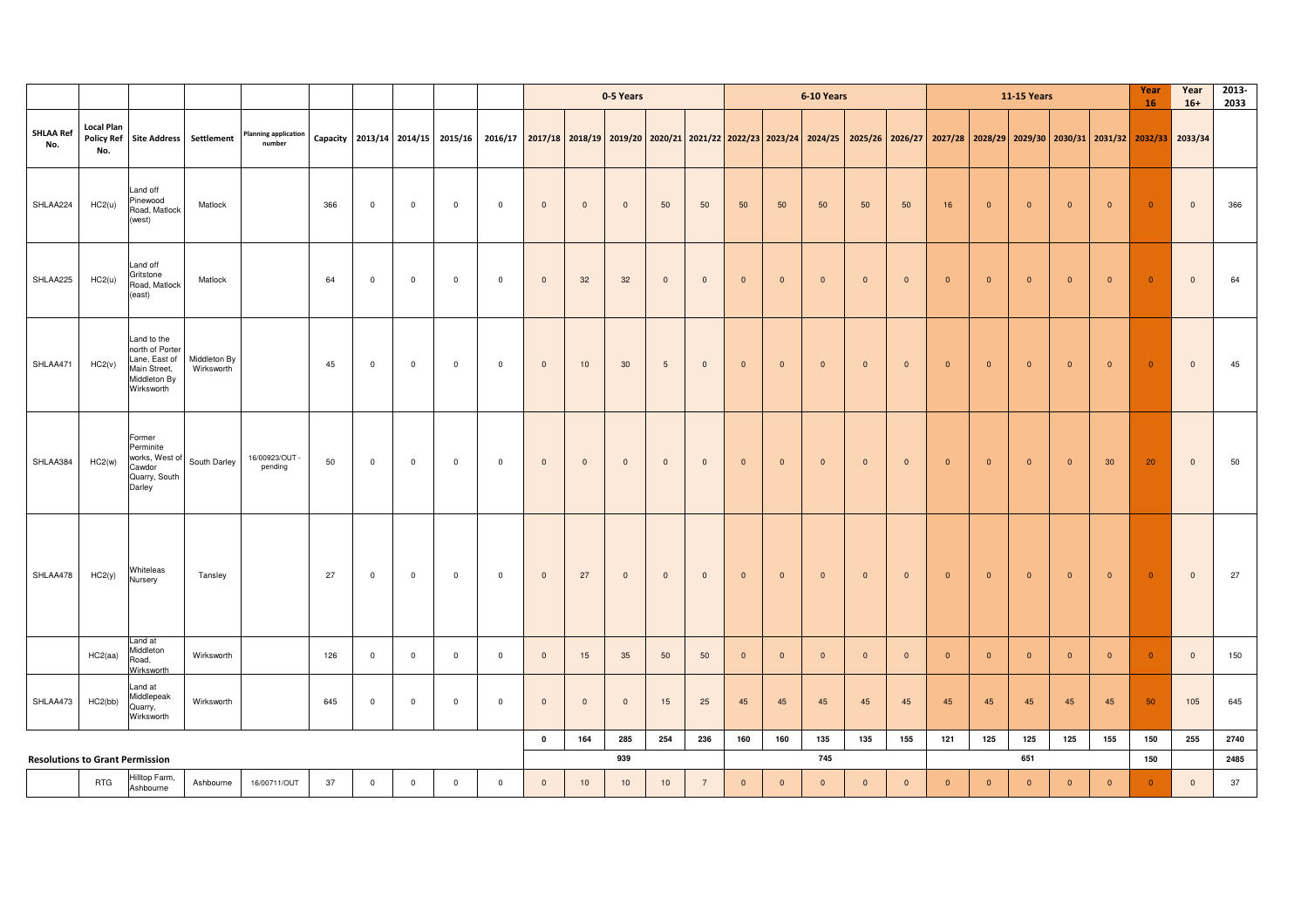|                                        |                          |                                                                                               |                            |                                       |     |                |                         |                |                                                                                                                                                                                  |                         |                | 0-5 Years      |                |                 |                         |                | 6-10 Years   |              |                |                |                | <b>11-15 Years</b> |                |                 | Year<br>16     | Year<br>$16+$  | 2013-<br>2033 |
|----------------------------------------|--------------------------|-----------------------------------------------------------------------------------------------|----------------------------|---------------------------------------|-----|----------------|-------------------------|----------------|----------------------------------------------------------------------------------------------------------------------------------------------------------------------------------|-------------------------|----------------|----------------|----------------|-----------------|-------------------------|----------------|--------------|--------------|----------------|----------------|----------------|--------------------|----------------|-----------------|----------------|----------------|---------------|
| <b>SHLAA Ref</b><br>No.                | <b>Local Plan</b><br>No. | Policy Ref Site Address Settlement                                                            |                            | <b>Planning application</b><br>number |     |                |                         |                | Capacity 2013/14 2014/15 2015/16 2016/17 2017/18 2018/19 2019/20 2020/21 2021/22 2022/23 2023/24 2024/25 2025/26 2025/27 2027/28 2028/29 2029/30 2030/31 2031/32 2032/33 2033/34 |                         |                |                |                |                 |                         |                |              |              |                |                |                |                    |                |                 |                |                |               |
| SHLAA224                               | HC2(u)                   | Land off<br>Pinewood<br>Road, Matlock<br>(west)                                               | Matlock                    |                                       | 366 | $\overline{0}$ | $\overline{0}$          | $\overline{0}$ | $\overline{0}$                                                                                                                                                                   | $\mathbf 0$             | $\overline{0}$ | $\mathbf{0}$   | 50             | 50              | 50                      | 50             | 50           | 50           | 50             | 16             | $\overline{0}$ | $\mathbf{0}$       | $\mathbf{0}$   | $\overline{0}$  | $\overline{0}$ | $\mathbf{0}$   | 366           |
| SHLAA225                               | HC2(u)                   | Land off<br>Gritstone<br>Road, Matlock<br>(east)                                              | Matlock                    |                                       | 64  | $\mathbf 0$    | $\overline{\mathbf{0}}$ | $\overline{0}$ | $\mathbf 0$                                                                                                                                                                      | $\overline{0}$          | 32             | 32             | $\overline{0}$ | $\mathbf{0}$    | $\overline{\mathbf{0}}$ | $\mathbf{0}$   | $\mathbf{0}$ | $\mathbf{0}$ | $\overline{0}$ | $\overline{0}$ | $\overline{0}$ | $\overline{0}$     | $\overline{0}$ | $\overline{0}$  | $\overline{0}$ | $\mathbf 0$    | 64            |
| SHLAA471                               | HC2(v)                   | Land to the<br>north of Porter<br>Lane, East of<br>Main Street,<br>Middleton By<br>Wirksworth | Middleton By<br>Wirksworth |                                       | 45  | $\overline{0}$ | $\overline{\mathbf{0}}$ | $\overline{0}$ | $\mathbf 0$                                                                                                                                                                      | $\overline{0}$          | 10             | 30             | 5              | $\mathbf{0}$    | $\overline{\mathbf{0}}$ | $\overline{0}$ | $\mathbf{0}$ | $\mathbf 0$  | $\overline{0}$ | $\overline{0}$ | $\overline{0}$ | $\overline{0}$     | $\overline{0}$ | $\overline{0}$  | $\overline{0}$ | $\overline{0}$ | 45            |
| SHLAA384                               | HC2(w)                   | Former<br>Perminite<br>works, West of<br>Cawdor<br>Quarry, South<br>Darley                    | South Darley               | 16/00923/OUT -<br>pending             | 50  | $\overline{0}$ | $\overline{0}$          | $\overline{0}$ | $\overline{0}$                                                                                                                                                                   | $\mathbf 0$             | $\overline{0}$ | $\mathbf{0}$   | $\mathbf{0}$   | $\mathbf{0}$    | $\overline{\mathbf{0}}$ | $\overline{0}$ | $\mathbf{0}$ | $\mathbf{0}$ | $\mathbf{0}$   | $\overline{0}$ | $\overline{0}$ | $\overline{0}$     | $\overline{0}$ | 30 <sup>°</sup> | 20             | $\mathbf{0}$   | 50            |
| SHLAA478                               | HC2(y)                   | Whiteleas<br>Nursery                                                                          | Tansley                    |                                       | 27  | $\overline{0}$ | $\overline{0}$          | $\overline{0}$ | $\overline{0}$                                                                                                                                                                   | $\mathbf{0}$            | 27             | $\mathbf{0}$   | $\mathbf{0}$   | $\mathbf{0}$    | $\overline{\mathbf{0}}$ | $\overline{0}$ | $\mathbf{0}$ | $\mathbf{0}$ | $\mathbf{0}$   | $\overline{0}$ | $\overline{0}$ | $\mathbf{0}$       | $\overline{0}$ | $\overline{0}$  | $\overline{0}$ | $\mathbf{0}$   | 27            |
|                                        | HC2(aa)                  | Land at<br>Middleton<br>Road,<br>Wirksworth                                                   | Wirksworth                 |                                       | 126 | $\mathbf 0$    | $\mathbf 0$             | $\overline{0}$ | $\mathbf 0$                                                                                                                                                                      | $\overline{0}$          | 15             | 35             | 50             | 50              | $\overline{0}$          | $\overline{0}$ | $\mathbf{0}$ | $\mathbf 0$  | $\overline{0}$ | $\overline{0}$ | $\mathbf{0}$   | $\mathbf{0}$       | $\mathbf 0$    | $\overline{0}$  | $\overline{0}$ | $\mathbf{0}$   | 150           |
| SHLAA473                               | HC2(bb)                  | Land at<br>Middlepeak<br>Quarry,<br>Wirksworth                                                | Wirksworth                 |                                       | 645 | $\overline{0}$ | $\overline{\mathbf{0}}$ | $\overline{0}$ | $\mathbf 0$                                                                                                                                                                      | $\overline{0}$          | $\overline{0}$ | $\overline{0}$ | 15             | 25              | 45                      | 45             | 45           | 45           | 45             | 45             | 45             | 45                 | 45             | 45              | 50             | 105            | 645           |
|                                        |                          |                                                                                               |                            |                                       |     |                |                         |                |                                                                                                                                                                                  | $\overline{\mathbf{0}}$ | 164            | 285            | 254            | 236             | 160                     | 160            | 135          | 135          | 155            | 121            | 125            | 125                | 125            | 155             | 150            | 255            | 2740          |
| <b>Resolutions to Grant Permission</b> |                          |                                                                                               |                            |                                       |     |                |                         |                |                                                                                                                                                                                  |                         |                | 939            |                |                 |                         |                | 745          |              |                |                |                | 651                |                |                 | 150            |                | 2485          |
|                                        | <b>RTG</b>               | Hilltop Farm,<br>Ashbourne                                                                    | Ashbourne                  | 16/00711/OUT                          | 37  | $\overline{0}$ | $\overline{\mathbf{0}}$ | $\overline{0}$ | $\mathsf 0$                                                                                                                                                                      | $\overline{0}$          | 10             | 10             | 10             | $7\overline{ }$ | $\overline{\mathbf{0}}$ | $\mathbf 0$    | $\mathbf 0$  | $\mathbf 0$  | $\mathbf 0$    | $\overline{0}$ | $\overline{0}$ | $\mathbf{0}$       | $\mathbf 0$    | $\overline{0}$  | $\mathbf{0}$   | $\mathbf 0$    | 37            |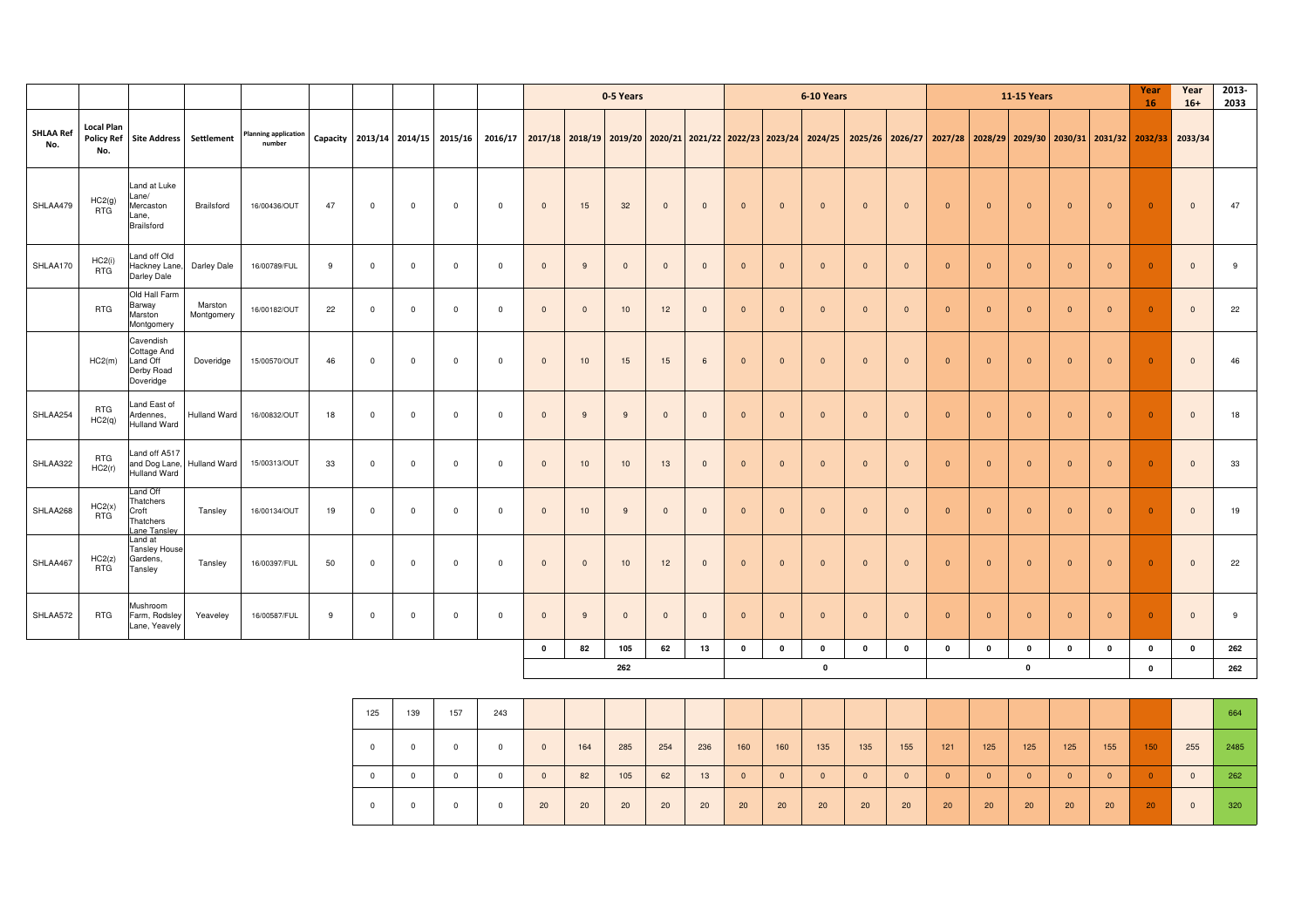|                         |                          |                                                                 |                       |                                       |    |              |              |                                  |                | 0-5 Years                                                                               |                |                |                |              |                |                | 6-10 Years     |                |              |                                                                                                                                                 |                | <b>11-15 Years</b> |                |                         | Year<br>16     | Year<br>$16+$           | 2013-<br>2033 |
|-------------------------|--------------------------|-----------------------------------------------------------------|-----------------------|---------------------------------------|----|--------------|--------------|----------------------------------|----------------|-----------------------------------------------------------------------------------------|----------------|----------------|----------------|--------------|----------------|----------------|----------------|----------------|--------------|-------------------------------------------------------------------------------------------------------------------------------------------------|----------------|--------------------|----------------|-------------------------|----------------|-------------------------|---------------|
| <b>SHLAA Ref</b><br>No. | <b>Local Plan</b><br>No. | <b>Policy Ref</b> Site Address                                  | Settlement            | <b>Planning application</b><br>number |    |              |              | Capacity 2013/14 2014/15 2015/16 |                |                                                                                         |                |                |                |              |                |                |                |                |              | 2016/17 2017/18 2018/19 2019/20 2020/21 2021/22 2022/23 2023/24 2024/25 2025/26 2026/27 2027/28 2028/29 2029/30 2030/31 2031/32 2032/33 2033/34 |                |                    |                |                         |                |                         |               |
| SHLAA479                | HC2(g)<br><b>RTG</b>     | Land at Luke<br>_ane/<br>Mercaston<br>_ane,<br>Brailsford       | Brailsford            | 16/00436/OUT                          | 47 | $\mathbf 0$  | $\mathbf 0$  | $^{\circ}$                       | $\mathbf{0}$   | $\mathbf{0}$                                                                            | 15             | 32             | $\mathbf{0}$   | $\mathbf{0}$ | $\mathbf{0}$   | $\overline{0}$ | $\overline{0}$ | $\mathbf{0}$   | $\mathbf{0}$ | $\overline{0}$                                                                                                                                  | $\mathbf{0}$   | $\mathbf{0}$       | $\overline{0}$ | $\overline{0}$          | $\overline{0}$ | $\overline{0}$          | 47            |
| SHLAA170                | HC2(i)<br><b>RTG</b>     | Land off Old<br>Hackney Lane,<br>Darley Dale                    | Darley Dale           | 16/00789/FUL                          | 9  | $\mathbf{0}$ | $\mathbf{0}$ | $\mathbf{0}$                     | $\overline{0}$ | $\mathbf{0}$                                                                            | 9              | $\mathbf 0$    | $\overline{0}$ | $\mathbf{0}$ | $\overline{0}$ | $\Omega$       | $\mathbf{0}$   | $\Omega$       | $\mathbf{0}$ | $\Omega$                                                                                                                                        | $\overline{0}$ | $\Omega$           | $\mathbf{0}$   | $\overline{0}$          | $\overline{0}$ | $\Omega$                | 9             |
|                         | <b>RTG</b>               | Old Hall Farm<br>Barway<br>Marston<br>Montgomery                | Marston<br>Montgomery | 16/00182/OUT                          | 22 | $\Omega$     | $\mathbf 0$  | $^{\circ}$                       | $\overline{0}$ | $\mathbf{0}$                                                                            | $\overline{0}$ | 10             | 12             | $\mathbf{0}$ | $\mathbf{0}$   | $\overline{0}$ | $\mathbf 0$    | $\mathbf{0}$   | $\mathbf{0}$ | $\overline{0}$                                                                                                                                  | $\mathbf{0}$   | $\mathbf{0}$       | $\mathbf{0}$   | $\overline{0}$          | $\overline{0}$ | $\overline{0}$          | 22            |
|                         | HC2(m)                   | Cavendish<br>Cottage And<br>Land Off<br>Derby Road<br>Doveridge | Doveridge             | 15/00570/OUT                          | 46 | $\mathbf 0$  | $\mathbf 0$  | $\mathbf 0$                      | $\overline{0}$ | $\overline{0}$                                                                          | 10             | 15             | 15             | 6            | $\mathbf{0}$   | $\overline{0}$ | $\mathbf{0}$   | $\mathbf{0}$   | $\mathbf{0}$ | $\overline{0}$                                                                                                                                  | $\mathbf{0}$   | $\mathbf{0}$       | $\overline{0}$ | $\overline{0}$          | $\overline{0}$ | $\overline{0}$          | 46            |
| SHLAA254                | <b>RTG</b><br>HC2(q)     | Land East of<br>Ardennes,<br>Hulland Ward                       | Hulland Ward          | 16/00832/OUT                          | 18 | $\mathbf 0$  | $\mathbf 0$  | $\mathbf 0$                      | $\overline{0}$ | $\mathbf{0}$                                                                            | 9              | $\overline{9}$ | $\overline{0}$ | $\mathbf{0}$ | $\mathbf{0}$   | $\overline{0}$ | $\mathbf{0}$   | $\mathbf{0}$   | $\mathbf{0}$ | $\overline{0}$                                                                                                                                  | $\mathbf{0}$   | $\mathbf{0}$       | $\mathbf{0}$   | $\overline{\mathbf{0}}$ | $\overline{0}$ | $\overline{0}$          | 18            |
| SHLAA322                | <b>RTG</b><br>HC2(r)     | Land off A517<br>and Dog Lane,<br>Hulland Ward                  | Hulland Ward          | 15/00313/OUT                          | 33 | $\mathbf 0$  | $\mathbf 0$  | $\mathbf 0$                      | $\overline{0}$ | $\mathbf 0$                                                                             | 10             | 10             | 13             | $\mathbf{0}$ | $\mathbf 0$    | $\overline{0}$ | $\mathbf 0$    | $\overline{0}$ | $\mathbf{0}$ | $\Omega$                                                                                                                                        | $\mathbf{0}$   | $\mathbf{0}$       | $\mathbf 0$    | $\overline{0}$          | $\overline{0}$ | $\overline{\mathbf{0}}$ | 33            |
| SHLAA268                | HC2(x)<br><b>RTG</b>     | Land Off<br>Thatchers<br>Croft<br>Thatchers<br>ane Tansley      | Tansley               | 16/00134/OUT                          | 19 | $\mathbf 0$  | $\mathbf 0$  | $\mathbf 0$                      | $\overline{0}$ | $\mathbf{0}$                                                                            | 10             | $\overline{9}$ | $\mathbf{0}$   | $\mathbf{0}$ | $\mathbf{0}$   | $\Omega$       | $\overline{0}$ | $\overline{0}$ | $\mathbf{0}$ | $\Omega$                                                                                                                                        | $\mathbf{0}$   | $\Omega$           | $\overline{0}$ | $\overline{\mathbf{0}}$ | $\overline{0}$ | $\overline{0}$          | 19            |
| SHLAA467                | HC2(z)<br><b>RTG</b>     | Land at<br><b>Tansley House</b><br>Gardens,<br>Tansley          | Tansley               | 16/00397/FUL                          | 50 | $\mathbf 0$  | $\mathbf 0$  | $\mathbf 0$                      | $\overline{0}$ | $\mathbf 0$                                                                             | $\overline{0}$ | 10             | 12             | $\mathbf{0}$ | $\mathbf{0}$   | $\overline{0}$ | $\mathbf 0$    | $\overline{0}$ | $\mathbf{0}$ | $\overline{0}$                                                                                                                                  | $\mathbf{0}$   | $\overline{0}$     | $\overline{0}$ | $\overline{0}$          | $\overline{0}$ | $\overline{\mathbf{0}}$ | 22            |
| SHLAA572                | <b>RTG</b>               | Mushroom<br>Farm, Rodsley<br>Lane, Yeavely                      | Yeaveley              | 16/00587/FUL                          | 9  | $\mathbf 0$  | $\mathbf{0}$ | $\mathbf 0$                      | $^{\circ}$     | $\mathbf{0}$<br>$\overline{0}$<br>9<br>$\overline{0}$<br>$\mathbf{0}$<br>$\overline{0}$ |                |                |                |              |                | $\Omega$       | $\mathbf{0}$   | $\Omega$       | $\mathbf{0}$ | $\Omega$                                                                                                                                        | $\mathbf{0}$   | $\Omega$           | $\overline{0}$ | $\overline{0}$          | $\overline{0}$ | $\overline{0}$          | 9             |
|                         |                          |                                                                 |                       |                                       |    |              |              |                                  |                | 62<br>$\mathbf 0$<br>82<br>105<br>13<br>$\mathbf 0$                                     |                |                |                |              |                | 0              | $\mathbf 0$    | 0              | 0            | $\mathbf 0$                                                                                                                                     | $\mathbf 0$    | 0                  | $\mathbf{0}$   | $\mathbf 0$             | $\mathbf 0$    | $\mathbf 0$             | 262           |
|                         |                          |                                                                 |                       |                                       |    |              |              |                                  |                |                                                                                         |                | 262            |                |              |                |                | $\mathbf 0$    |                |              |                                                                                                                                                 |                | $\pmb{0}$          |                |                         | $\mathbf 0$    |                         | 262           |

| 125        | 139 | 157        | 243 |              |     |     |     |     |                |          |                |              |                |              |              |          |          |              |                 |              | 664  |
|------------|-----|------------|-----|--------------|-----|-----|-----|-----|----------------|----------|----------------|--------------|----------------|--------------|--------------|----------|----------|--------------|-----------------|--------------|------|
| $^{\circ}$ | 0   | $^{\circ}$ |     | $\mathbf{0}$ | 164 | 285 | 254 | 236 | 160            | 160      | 135            | 135          | 155            | 121          | 125          | 125      | 125      | 155          | 150             | 255          | 2485 |
| $^{\circ}$ |     | 0          |     | $\mathbf{0}$ | 82  | 105 | 62  | 13  | $\overline{0}$ | $\Omega$ | $\overline{0}$ | $\mathbf{0}$ | $\overline{0}$ | $\mathbf{0}$ | $\mathbf{0}$ | $\Omega$ | $\Omega$ | $\mathbf{0}$ | $\overline{0}$  | $\Omega$     | 262  |
| $^{\circ}$ |     | 0          |     | 20           | 20  | 20  | 20  | 20  | 20             | 20       | 20             | 20           | 20             | 20           | 20           | 20       | 20       | 20           | 20 <sub>2</sub> | $\mathbf{0}$ | 320  |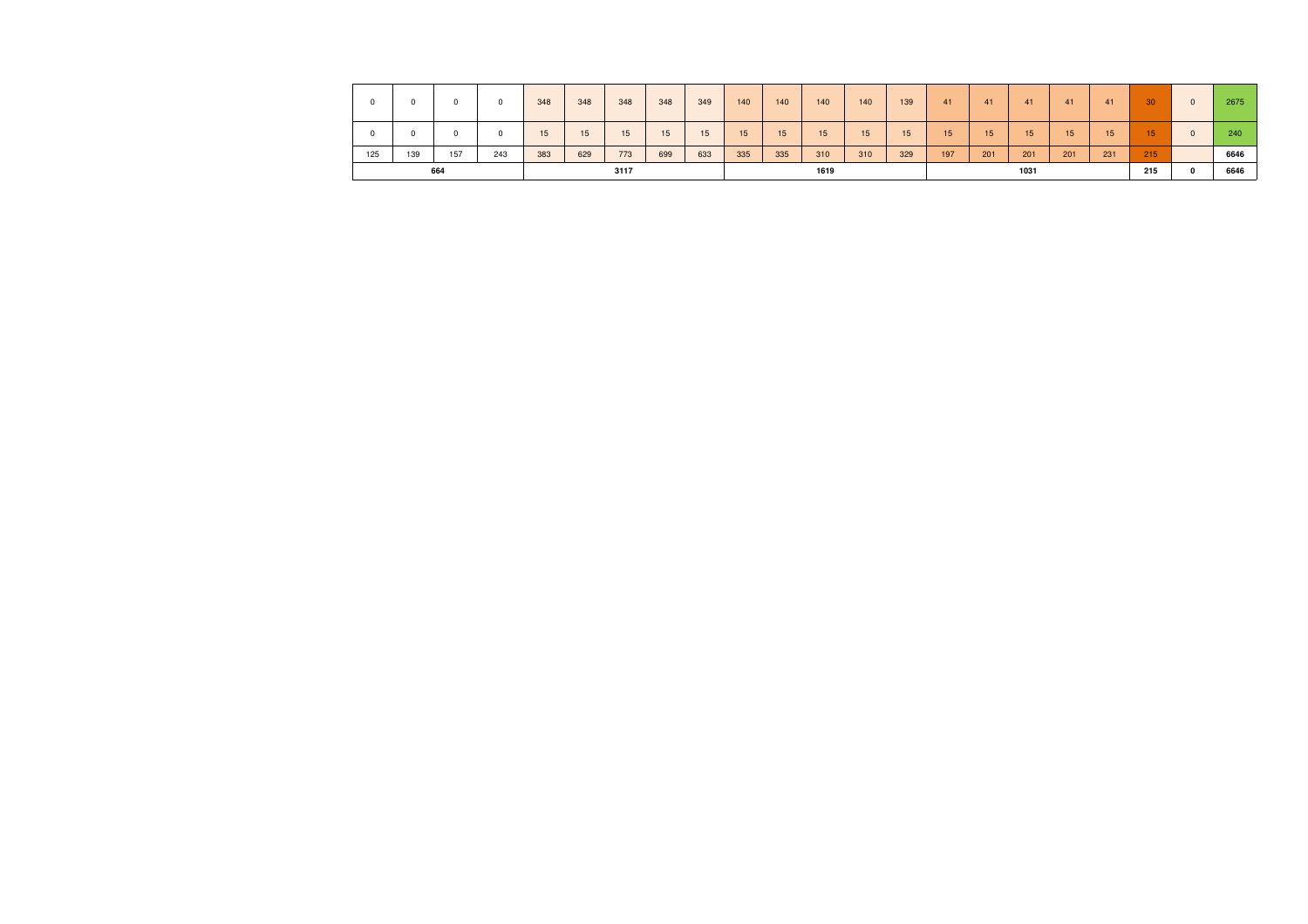| $\Omega$ |     | 0          |     | 348 | 348 | 348  | 348 | 349 | 140 | 140 | 140  | 140 | 139             | 41  | 41  | 41               | 41  | 41  | 30               | $\mathbf{0}$ | 2675 |
|----------|-----|------------|-----|-----|-----|------|-----|-----|-----|-----|------|-----|-----------------|-----|-----|------------------|-----|-----|------------------|--------------|------|
| 0        |     | $^{\circ}$ |     | 15  | 15  | 15   | 15  | 15  | 15  | 15  | 15   | 15  | 15 <sup>1</sup> | 15  | 15  | 15 <sub>15</sub> | 15  | 15  | 15 <sub>15</sub> | $\mathbf{0}$ | 240  |
| 125      | 139 | 157        | 243 | 383 | 629 | 773  | 699 | 633 | 335 | 335 | 310  | 310 | 329             | 197 | 201 | 201              | 201 | 231 | 215              |              | 6646 |
|          |     | 664        |     |     |     | 3117 |     |     |     |     | 1619 |     |                 |     |     | 1031             |     |     | 215              | $\Omega$     | 6646 |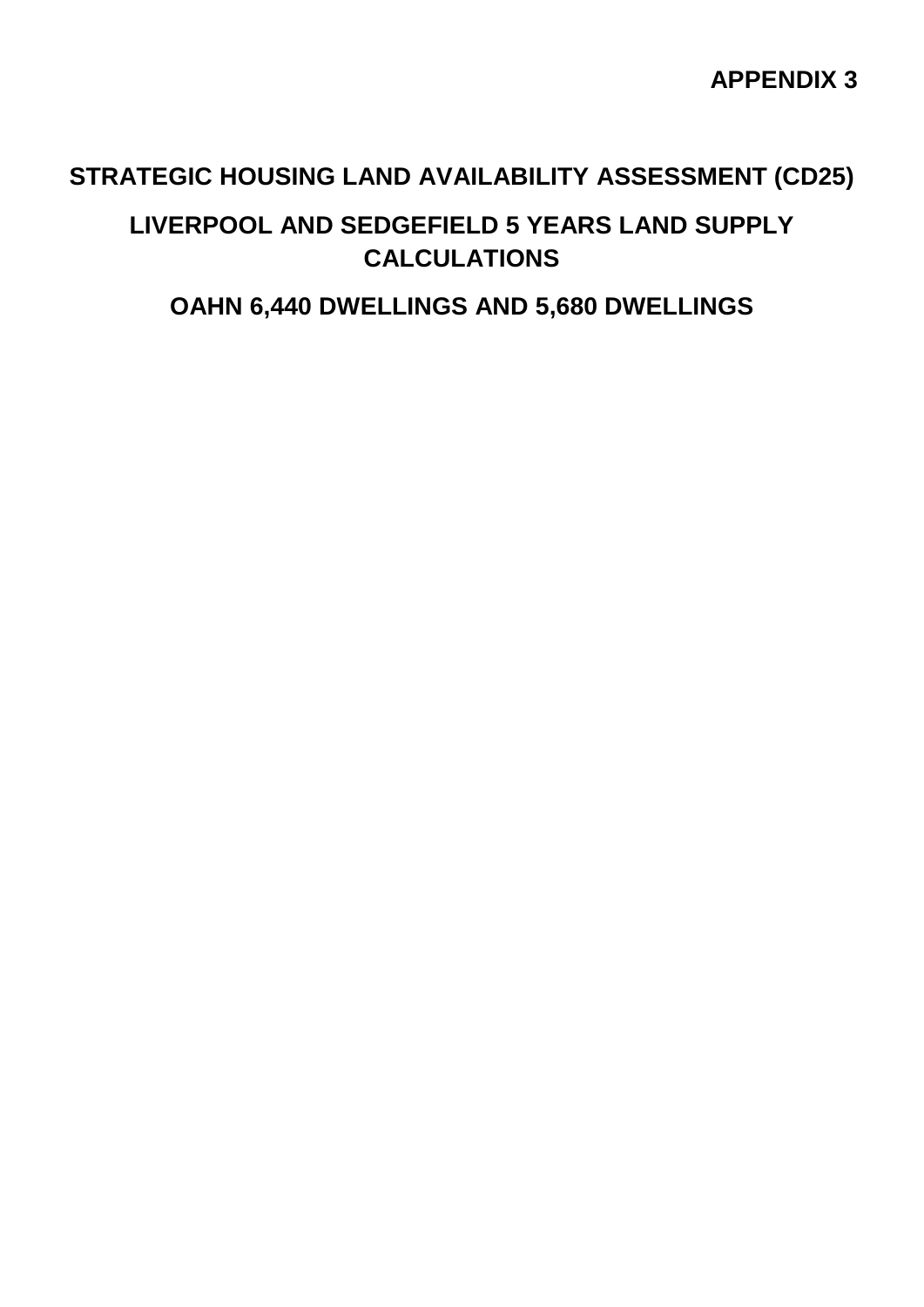## **STRATEGIC HOUSING LAND AVAILABILITY ASSESSMENT (CD25)**

## **LIVERPOOL AND SEDGEFIELD 5 YEARS LAND SUPPLY CALCULATIONS**

## **OAHN 6,440 DWELLINGS AND 5,680 DWELLINGS**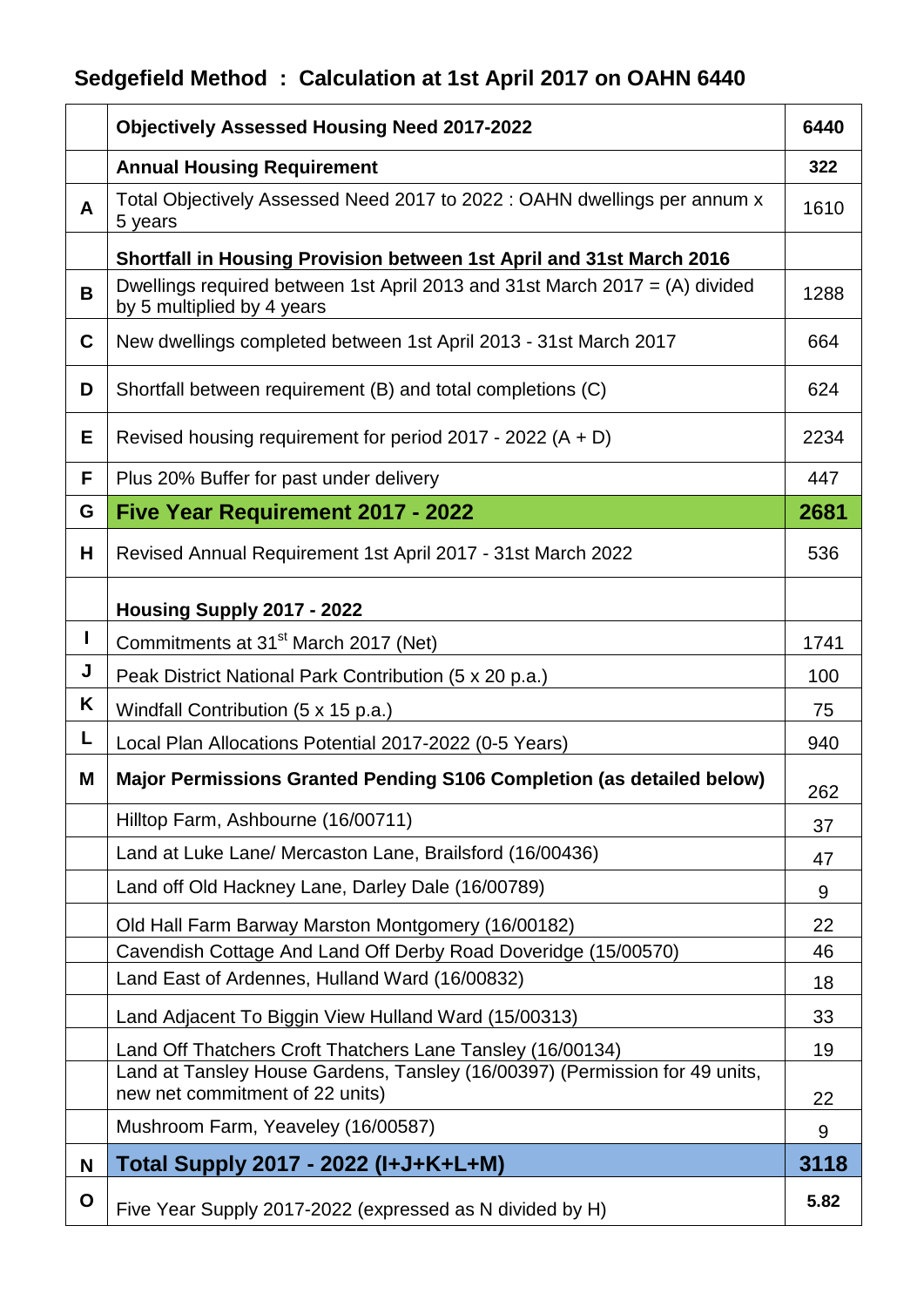## **Sedgefield Method : Calculation at 1st April 2017 on OAHN 6440**

|              | <b>Objectively Assessed Housing Need 2017-2022</b>                                                                                                                           | 6440     |
|--------------|------------------------------------------------------------------------------------------------------------------------------------------------------------------------------|----------|
|              | <b>Annual Housing Requirement</b>                                                                                                                                            | 322      |
| A            | Total Objectively Assessed Need 2017 to 2022 : OAHN dwellings per annum x<br>5 years                                                                                         | 1610     |
|              | Shortfall in Housing Provision between 1st April and 31st March 2016                                                                                                         |          |
| B            | Dwellings required between 1st April 2013 and 31st March 2017 = $(A)$ divided<br>by 5 multiplied by 4 years                                                                  | 1288     |
| C            | New dwellings completed between 1st April 2013 - 31st March 2017                                                                                                             | 664      |
| D            | Shortfall between requirement (B) and total completions (C)                                                                                                                  | 624      |
| Е            | Revised housing requirement for period $2017 - 2022(A + D)$                                                                                                                  | 2234     |
| F            | Plus 20% Buffer for past under delivery                                                                                                                                      | 447      |
| G            | <b>Five Year Requirement 2017 - 2022</b>                                                                                                                                     | 2681     |
| H            | Revised Annual Requirement 1st April 2017 - 31st March 2022                                                                                                                  | 536      |
|              | Housing Supply 2017 - 2022                                                                                                                                                   |          |
| $\mathbf{I}$ | Commitments at 31 <sup>st</sup> March 2017 (Net)                                                                                                                             | 1741     |
| J            | Peak District National Park Contribution (5 x 20 p.a.)                                                                                                                       | 100      |
| K            | Windfall Contribution (5 x 15 p.a.)                                                                                                                                          | 75       |
| L            | Local Plan Allocations Potential 2017-2022 (0-5 Years)                                                                                                                       | 940      |
| M            | Major Permissions Granted Pending S106 Completion (as detailed below)                                                                                                        | 262      |
|              | Hilltop Farm, Ashbourne (16/00711)                                                                                                                                           | 37       |
|              | Land at Luke Lane/ Mercaston Lane, Brailsford (16/00436)                                                                                                                     | 47       |
|              | Land off Old Hackney Lane, Darley Dale (16/00789)                                                                                                                            | 9        |
|              | Old Hall Farm Barway Marston Montgomery (16/00182)                                                                                                                           | 22       |
|              | Cavendish Cottage And Land Off Derby Road Doveridge (15/00570)                                                                                                               | 46       |
|              | Land East of Ardennes, Hulland Ward (16/00832)                                                                                                                               | 18       |
|              | Land Adjacent To Biggin View Hulland Ward (15/00313)                                                                                                                         | 33       |
|              | Land Off Thatchers Croft Thatchers Lane Tansley (16/00134)<br>Land at Tansley House Gardens, Tansley (16/00397) (Permission for 49 units,<br>new net commitment of 22 units) | 19<br>22 |
|              | Mushroom Farm, Yeaveley (16/00587)                                                                                                                                           | 9        |
| N            | Total Supply 2017 - 2022 (I+J+K+L+M)                                                                                                                                         | 3118     |
| O            | Five Year Supply 2017-2022 (expressed as N divided by H)                                                                                                                     | 5.82     |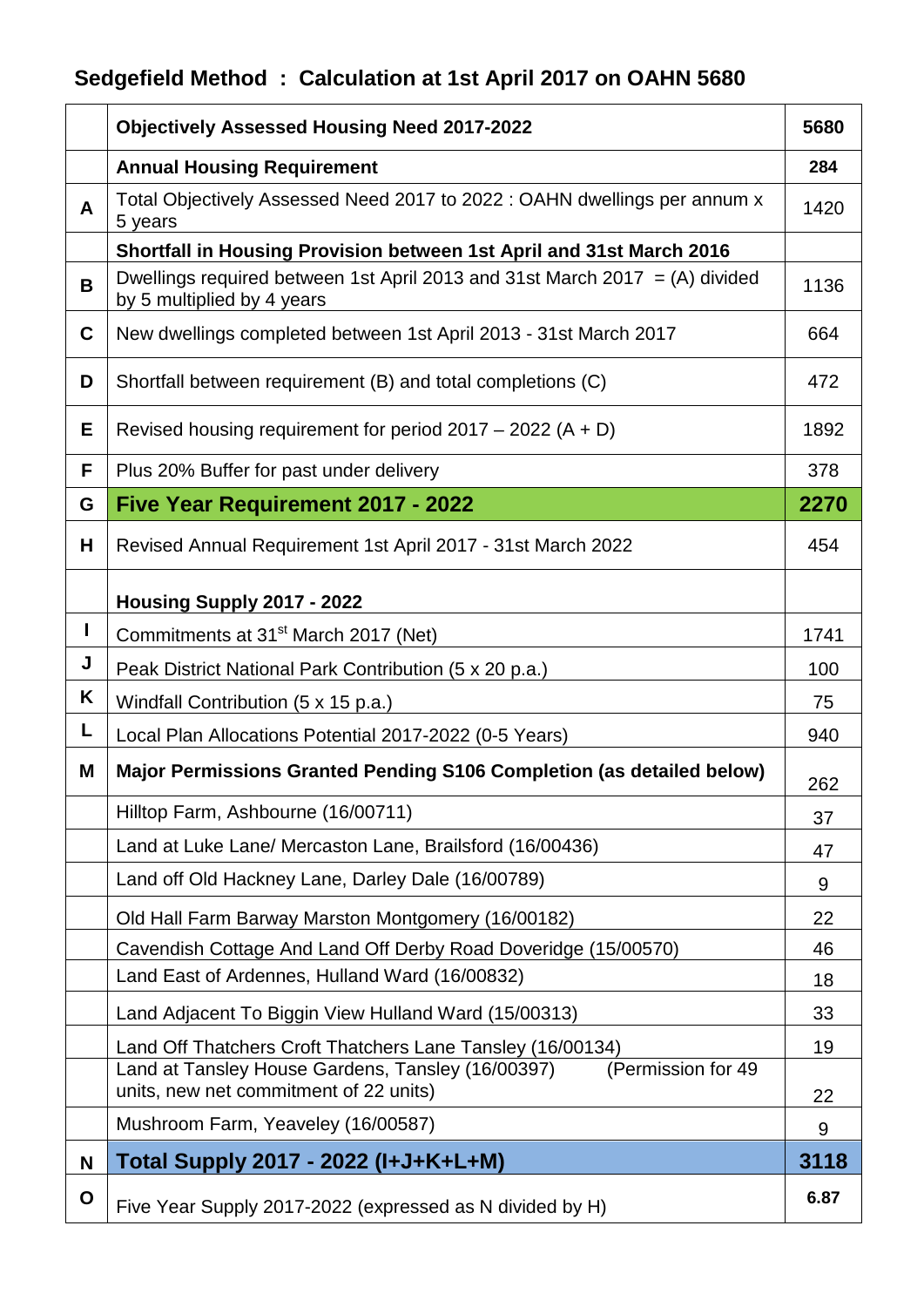## **Sedgefield Method : Calculation at 1st April 2017 on OAHN 5680**

|   | <b>Objectively Assessed Housing Need 2017-2022</b>                                                                                                                              | 5680    |
|---|---------------------------------------------------------------------------------------------------------------------------------------------------------------------------------|---------|
|   | <b>Annual Housing Requirement</b>                                                                                                                                               | 284     |
| A | Total Objectively Assessed Need 2017 to 2022 : OAHN dwellings per annum x<br>5 years                                                                                            | 1420    |
|   | Shortfall in Housing Provision between 1st April and 31st March 2016                                                                                                            |         |
| B | Dwellings required between 1st April 2013 and 31st March 2017 = (A) divided<br>by 5 multiplied by 4 years                                                                       | 1136    |
| C | New dwellings completed between 1st April 2013 - 31st March 2017                                                                                                                | 664     |
| D | Shortfall between requirement (B) and total completions (C)                                                                                                                     | 472     |
| Е | Revised housing requirement for period $2017 - 2022(A + D)$                                                                                                                     | 1892    |
| F | Plus 20% Buffer for past under delivery                                                                                                                                         | 378     |
| G | <b>Five Year Requirement 2017 - 2022</b>                                                                                                                                        | 2270    |
| Н | Revised Annual Requirement 1st April 2017 - 31st March 2022                                                                                                                     | 454     |
|   | Housing Supply 2017 - 2022                                                                                                                                                      |         |
| п | Commitments at 31 <sup>st</sup> March 2017 (Net)                                                                                                                                | 1741    |
| J | Peak District National Park Contribution (5 x 20 p.a.)                                                                                                                          | 100     |
| Κ | Windfall Contribution (5 x 15 p.a.)                                                                                                                                             | 75      |
| L | Local Plan Allocations Potential 2017-2022 (0-5 Years)                                                                                                                          | 940     |
| M | Major Permissions Granted Pending S106 Completion (as detailed below)                                                                                                           | 262     |
|   | Hilltop Farm, Ashbourne (16/00711)                                                                                                                                              | 37      |
|   | Land at Luke Lane/ Mercaston Lane, Brailsford (16/00436)                                                                                                                        | 47      |
|   | Land off Old Hackney Lane, Darley Dale (16/00789)                                                                                                                               | 9       |
|   | Old Hall Farm Barway Marston Montgomery (16/00182)                                                                                                                              | 22      |
|   | Cavendish Cottage And Land Off Derby Road Doveridge (15/00570)                                                                                                                  | 46      |
|   | Land East of Ardennes, Hulland Ward (16/00832)                                                                                                                                  | 18      |
|   | Land Adjacent To Biggin View Hulland Ward (15/00313)                                                                                                                            | 33      |
|   | Land Off Thatchers Croft Thatchers Lane Tansley (16/00134)<br>Land at Tansley House Gardens, Tansley (16/00397)<br>(Permission for 49<br>units, new net commitment of 22 units) | 19      |
|   | Mushroom Farm, Yeaveley (16/00587)                                                                                                                                              | 22<br>9 |
| N | Total Supply 2017 - 2022 (I+J+K+L+M)                                                                                                                                            | 3118    |
| O | Five Year Supply 2017-2022 (expressed as N divided by H)                                                                                                                        | 6.87    |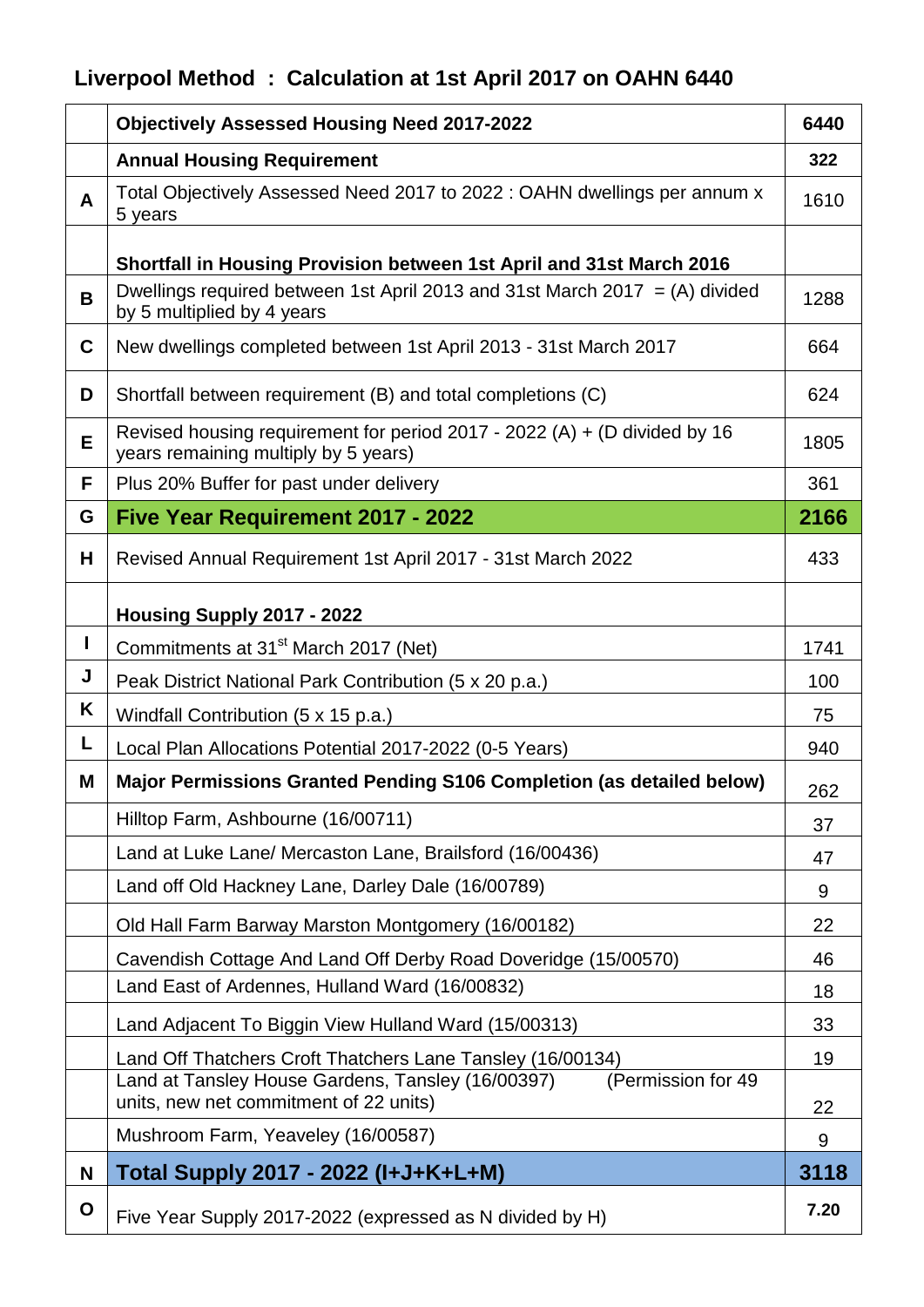## **Liverpool Method : Calculation at 1st April 2017 on OAHN 6440**

|              | <b>Objectively Assessed Housing Need 2017-2022</b>                                                                                                                              | 6440     |
|--------------|---------------------------------------------------------------------------------------------------------------------------------------------------------------------------------|----------|
|              | <b>Annual Housing Requirement</b>                                                                                                                                               | 322      |
| $\mathsf{A}$ | Total Objectively Assessed Need 2017 to 2022 : OAHN dwellings per annum x<br>5 years                                                                                            | 1610     |
|              | Shortfall in Housing Provision between 1st April and 31st March 2016                                                                                                            |          |
| B            | Dwellings required between 1st April 2013 and 31st March 2017 = (A) divided<br>by 5 multiplied by 4 years                                                                       | 1288     |
| $\mathbf C$  | New dwellings completed between 1st April 2013 - 31st March 2017                                                                                                                | 664      |
| D            | Shortfall between requirement (B) and total completions (C)                                                                                                                     | 624      |
| E            | Revised housing requirement for period 2017 - 2022 (A) + (D divided by 16<br>years remaining multiply by 5 years)                                                               | 1805     |
| F            | Plus 20% Buffer for past under delivery                                                                                                                                         | 361      |
| G            | <b>Five Year Requirement 2017 - 2022</b>                                                                                                                                        | 2166     |
| H            | Revised Annual Requirement 1st April 2017 - 31st March 2022                                                                                                                     | 433      |
|              | Housing Supply 2017 - 2022                                                                                                                                                      |          |
| $\mathbf{I}$ | Commitments at 31 <sup>st</sup> March 2017 (Net)                                                                                                                                | 1741     |
| J            | Peak District National Park Contribution (5 x 20 p.a.)                                                                                                                          | 100      |
| Κ            | Windfall Contribution (5 x 15 p.a.)                                                                                                                                             | 75       |
| L            | Local Plan Allocations Potential 2017-2022 (0-5 Years)                                                                                                                          | 940      |
| M            | Major Permissions Granted Pending S106 Completion (as detailed below)                                                                                                           | 262      |
|              | Hilltop Farm, Ashbourne (16/00711)                                                                                                                                              | 37       |
|              | Land at Luke Lane/ Mercaston Lane, Brailsford (16/00436)                                                                                                                        | 47       |
|              | Land off Old Hackney Lane, Darley Dale (16/00789)                                                                                                                               | 9        |
|              | Old Hall Farm Barway Marston Montgomery (16/00182)                                                                                                                              | 22       |
|              | Cavendish Cottage And Land Off Derby Road Doveridge (15/00570)                                                                                                                  | 46       |
|              | Land East of Ardennes, Hulland Ward (16/00832)                                                                                                                                  | 18       |
|              | Land Adjacent To Biggin View Hulland Ward (15/00313)                                                                                                                            | 33       |
|              | Land Off Thatchers Croft Thatchers Lane Tansley (16/00134)<br>Land at Tansley House Gardens, Tansley (16/00397)<br>(Permission for 49<br>units, new net commitment of 22 units) | 19<br>22 |
|              | Mushroom Farm, Yeaveley (16/00587)                                                                                                                                              | 9        |
| N            | Total Supply 2017 - 2022 (I+J+K+L+M)                                                                                                                                            | 3118     |
|              |                                                                                                                                                                                 |          |
| $\mathbf O$  | Five Year Supply 2017-2022 (expressed as N divided by H)                                                                                                                        | 7.20     |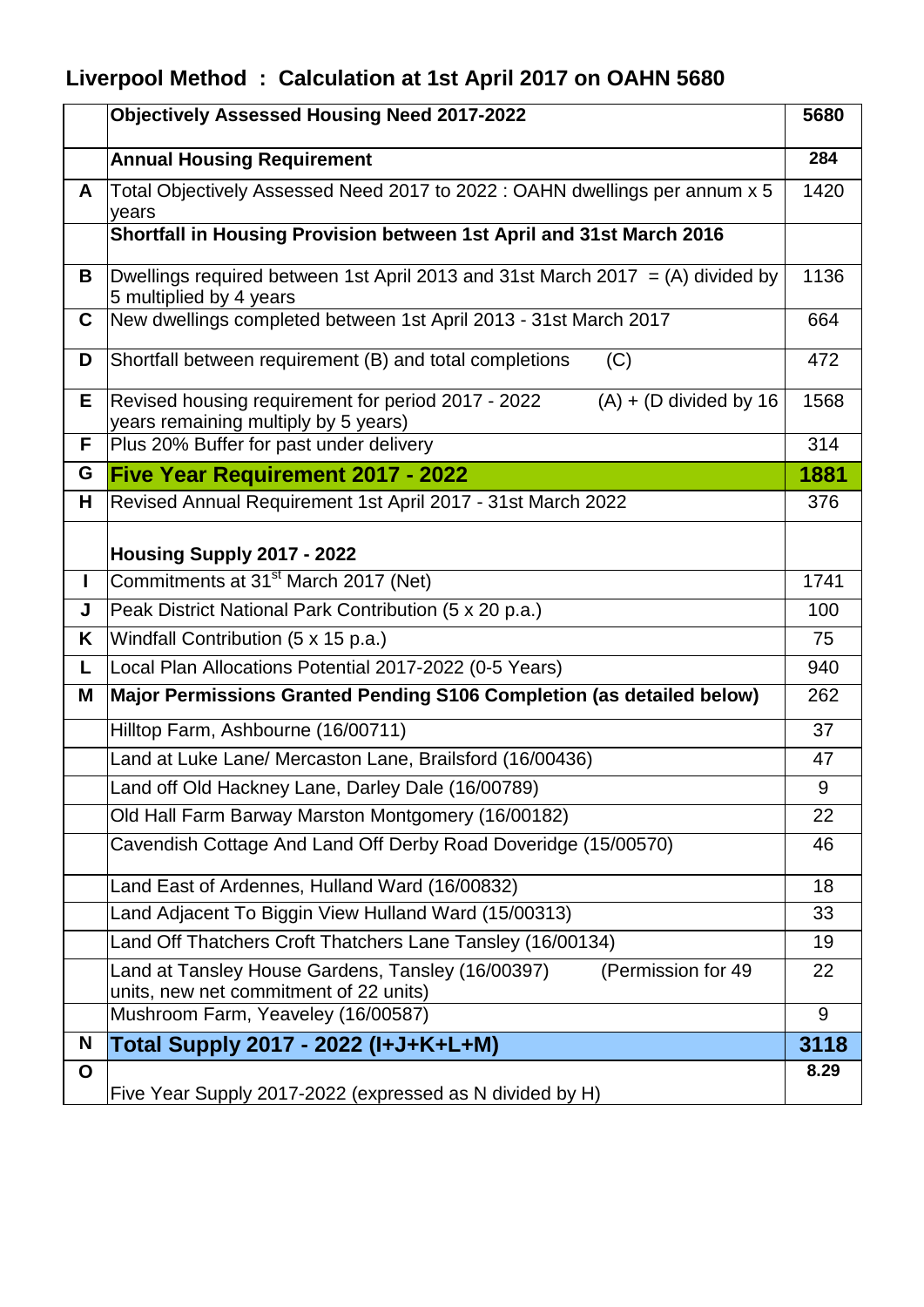## **Liverpool Method : Calculation at 1st April 2017 on OAHN 5680**

|              | <b>Objectively Assessed Housing Need 2017-2022</b>                                                                               | 5680 |
|--------------|----------------------------------------------------------------------------------------------------------------------------------|------|
|              | <b>Annual Housing Requirement</b>                                                                                                | 284  |
| A            | Total Objectively Assessed Need 2017 to 2022 : OAHN dwellings per annum x 5<br>years                                             | 1420 |
|              | Shortfall in Housing Provision between 1st April and 31st March 2016                                                             |      |
| B            | Dwellings required between 1st April 2013 and 31st March 2017 = (A) divided by<br>5 multiplied by 4 years                        | 1136 |
| C            | New dwellings completed between 1st April 2013 - 31st March 2017                                                                 | 664  |
| D            | Shortfall between requirement (B) and total completions<br>(C)                                                                   | 472  |
| E.           | Revised housing requirement for period 2017 - 2022<br>$(A) + (D \text{ divided by } 16)$<br>years remaining multiply by 5 years) | 1568 |
| F            | Plus 20% Buffer for past under delivery                                                                                          | 314  |
| G            | <b>Five Year Requirement 2017 - 2022</b>                                                                                         | 1881 |
| н            | Revised Annual Requirement 1st April 2017 - 31st March 2022                                                                      | 376  |
|              | Housing Supply 2017 - 2022                                                                                                       |      |
| $\mathbf{I}$ | Commitments at 31 <sup>st</sup> March 2017 (Net)                                                                                 | 1741 |
| J            | Peak District National Park Contribution (5 x 20 p.a.)                                                                           | 100  |
| K            | Windfall Contribution (5 x 15 p.a.)                                                                                              | 75   |
| L            | Local Plan Allocations Potential 2017-2022 (0-5 Years)                                                                           | 940  |
| Μ            | Major Permissions Granted Pending S106 Completion (as detailed below)                                                            | 262  |
|              | Hilltop Farm, Ashbourne (16/00711)                                                                                               | 37   |
|              | Land at Luke Lane/ Mercaston Lane, Brailsford (16/00436)                                                                         | 47   |
|              | Land off Old Hackney Lane, Darley Dale (16/00789)                                                                                | 9    |
|              | Old Hall Farm Barway Marston Montgomery (16/00182)                                                                               | 22   |
|              | Cavendish Cottage And Land Off Derby Road Doveridge (15/00570)                                                                   | 46   |
|              | Land East of Ardennes, Hulland Ward (16/00832)                                                                                   | 18   |
|              | Land Adjacent To Biggin View Hulland Ward (15/00313)                                                                             | 33   |
|              | Land Off Thatchers Croft Thatchers Lane Tansley (16/00134)                                                                       | 19   |
|              | Land at Tansley House Gardens, Tansley (16/00397)<br>(Permission for 49<br>units, new net commitment of 22 units)                | 22   |
|              | Mushroom Farm, Yeaveley (16/00587)                                                                                               | 9    |
| N            | Total Supply 2017 - 2022 (I+J+K+L+M)                                                                                             | 3118 |
| O            | Five Year Supply 2017-2022 (expressed as N divided by H)                                                                         | 8.29 |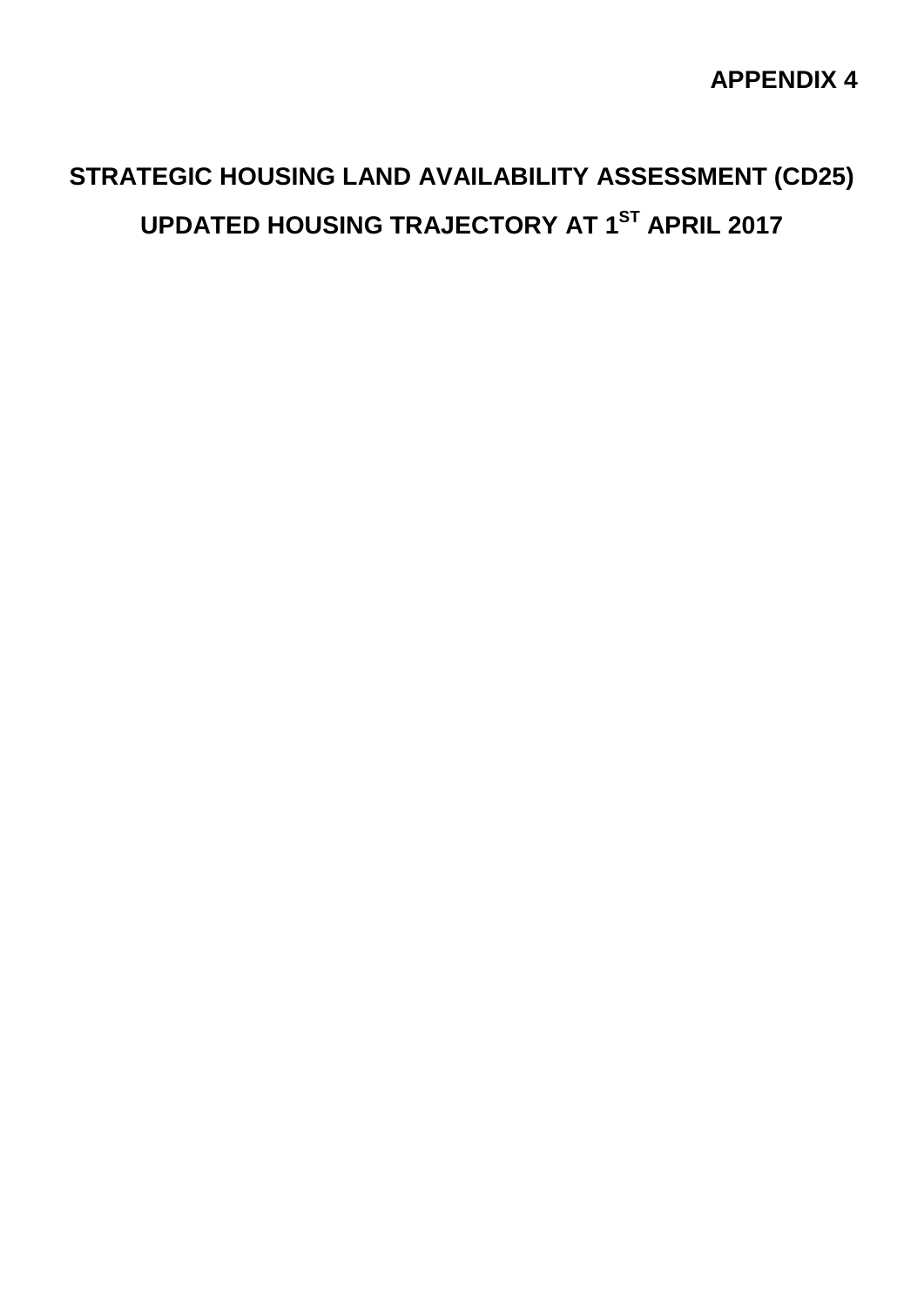## **APPENDIX 4**

## **STRATEGIC HOUSING LAND AVAILABILITY ASSESSMENT (CD25) UPDATED HOUSING TRAJECTORY AT 1ST APRIL 2017**